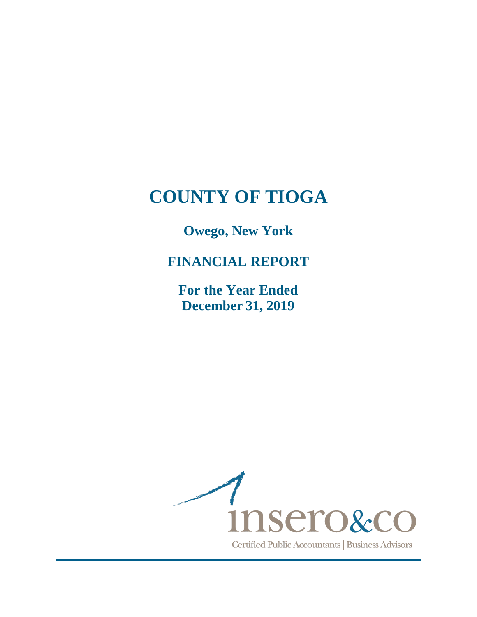**Owego, New York**

**FINANCIAL REPORT**

**For the Year Ended December 31, 2019**

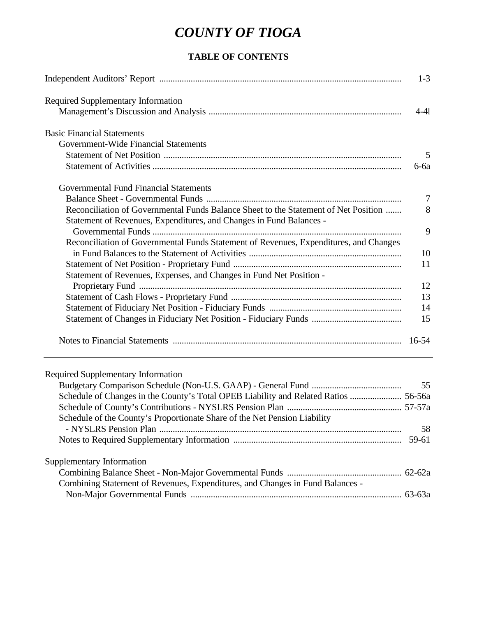## **TABLE OF CONTENTS**

|                                                                                       | $1-3$  |
|---------------------------------------------------------------------------------------|--------|
| <b>Required Supplementary Information</b>                                             |        |
|                                                                                       | $4-41$ |
| <b>Basic Financial Statements</b>                                                     |        |
| Government-Wide Financial Statements                                                  |        |
|                                                                                       | 5      |
|                                                                                       | $6-6a$ |
| Governmental Fund Financial Statements                                                |        |
|                                                                                       | 7      |
| Reconciliation of Governmental Funds Balance Sheet to the Statement of Net Position   | 8      |
| Statement of Revenues, Expenditures, and Changes in Fund Balances -                   | 9      |
| Reconciliation of Governmental Funds Statement of Revenues, Expenditures, and Changes |        |
|                                                                                       | 10     |
|                                                                                       | 11     |
| Statement of Revenues, Expenses, and Changes in Fund Net Position -                   |        |
|                                                                                       | 12     |
|                                                                                       | 13     |
|                                                                                       | 14     |
|                                                                                       | 15     |
|                                                                                       |        |
|                                                                                       |        |
| <b>Required Supplementary Information</b>                                             | 55     |
| Schedule of Changes in the County's Total OPEB Liability and Related Ratios  56-56a   |        |
|                                                                                       |        |
| Schedule of the County's Proportionate Share of the Net Pension Liability             |        |
|                                                                                       | 58     |
|                                                                                       | 59-61  |
| Supplementary Information                                                             |        |
|                                                                                       |        |
| Combining Statement of Revenues, Expenditures, and Changes in Fund Balances -         |        |
|                                                                                       |        |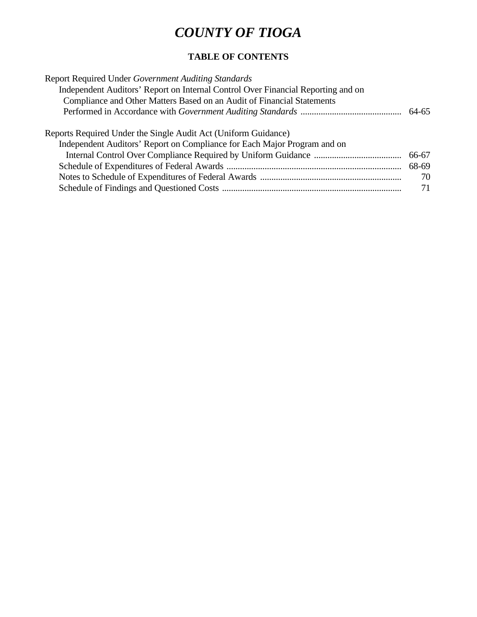## **TABLE OF CONTENTS**

| Report Required Under Government Auditing Standards                              |       |
|----------------------------------------------------------------------------------|-------|
| Independent Auditors' Report on Internal Control Over Financial Reporting and on |       |
| Compliance and Other Matters Based on an Audit of Financial Statements           |       |
|                                                                                  |       |
| Reports Required Under the Single Audit Act (Uniform Guidance)                   |       |
| Independent Auditors' Report on Compliance for Each Major Program and on         |       |
|                                                                                  | 66-67 |
|                                                                                  | 68-69 |
|                                                                                  | 70    |
|                                                                                  | 71    |
|                                                                                  |       |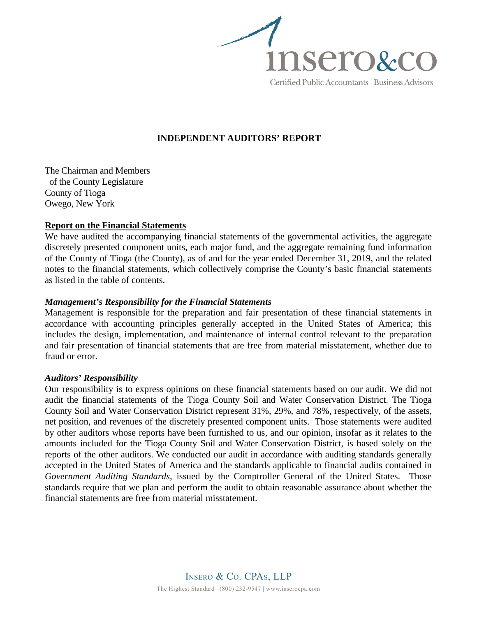

## **INDEPENDENT AUDITORS' REPORT**

The Chairman and Members of the County Legislature County of Tioga Owego, New York

#### **Report on the Financial Statements**

We have audited the accompanying financial statements of the governmental activities, the aggregate discretely presented component units, each major fund, and the aggregate remaining fund information of the County of Tioga (the County), as of and for the year ended December 31, 2019, and the related notes to the financial statements, which collectively comprise the County's basic financial statements as listed in the table of contents.

## *Management's Responsibility for the Financial Statements*

Management is responsible for the preparation and fair presentation of these financial statements in accordance with accounting principles generally accepted in the United States of America; this includes the design, implementation, and maintenance of internal control relevant to the preparation and fair presentation of financial statements that are free from material misstatement, whether due to fraud or error.

#### *Auditors' Responsibility*

Our responsibility is to express opinions on these financial statements based on our audit. We did not audit the financial statements of the Tioga County Soil and Water Conservation District. The Tioga County Soil and Water Conservation District represent 31%, 29%, and 78%, respectively, of the assets, net position, and revenues of the discretely presented component units. Those statements were audited by other auditors whose reports have been furnished to us, and our opinion, insofar as it relates to the amounts included for the Tioga County Soil and Water Conservation District, is based solely on the reports of the other auditors. We conducted our audit in accordance with auditing standards generally accepted in the United States of America and the standards applicable to financial audits contained in *Government Auditing Standards*, issued by the Comptroller General of the United States. Those standards require that we plan and perform the audit to obtain reasonable assurance about whether the financial statements are free from material misstatement.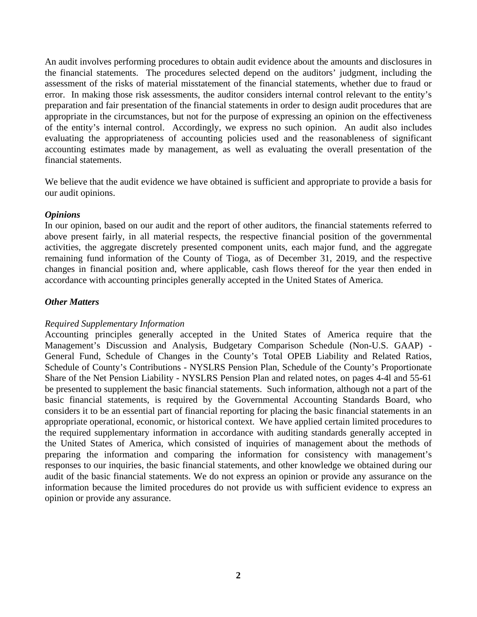An audit involves performing procedures to obtain audit evidence about the amounts and disclosures in the financial statements. The procedures selected depend on the auditors' judgment, including the assessment of the risks of material misstatement of the financial statements, whether due to fraud or error. In making those risk assessments, the auditor considers internal control relevant to the entity's preparation and fair presentation of the financial statements in order to design audit procedures that are appropriate in the circumstances, but not for the purpose of expressing an opinion on the effectiveness of the entity's internal control. Accordingly, we express no such opinion. An audit also includes evaluating the appropriateness of accounting policies used and the reasonableness of significant accounting estimates made by management, as well as evaluating the overall presentation of the financial statements.

We believe that the audit evidence we have obtained is sufficient and appropriate to provide a basis for our audit opinions.

## *Opinions*

In our opinion, based on our audit and the report of other auditors, the financial statements referred to above present fairly, in all material respects, the respective financial position of the governmental activities, the aggregate discretely presented component units, each major fund, and the aggregate remaining fund information of the County of Tioga, as of December 31, 2019, and the respective changes in financial position and, where applicable, cash flows thereof for the year then ended in accordance with accounting principles generally accepted in the United States of America.

## *Other Matters*

## *Required Supplementary Information*

Accounting principles generally accepted in the United States of America require that the Management's Discussion and Analysis, Budgetary Comparison Schedule (Non-U.S. GAAP) - General Fund, Schedule of Changes in the County's Total OPEB Liability and Related Ratios, Schedule of County's Contributions - NYSLRS Pension Plan, Schedule of the County's Proportionate Share of the Net Pension Liability - NYSLRS Pension Plan and related notes, on pages 4-4l and 55-61 be presented to supplement the basic financial statements. Such information, although not a part of the basic financial statements, is required by the Governmental Accounting Standards Board, who considers it to be an essential part of financial reporting for placing the basic financial statements in an appropriate operational, economic, or historical context. We have applied certain limited procedures to the required supplementary information in accordance with auditing standards generally accepted in the United States of America, which consisted of inquiries of management about the methods of preparing the information and comparing the information for consistency with management's responses to our inquiries, the basic financial statements, and other knowledge we obtained during our audit of the basic financial statements. We do not express an opinion or provide any assurance on the information because the limited procedures do not provide us with sufficient evidence to express an opinion or provide any assurance.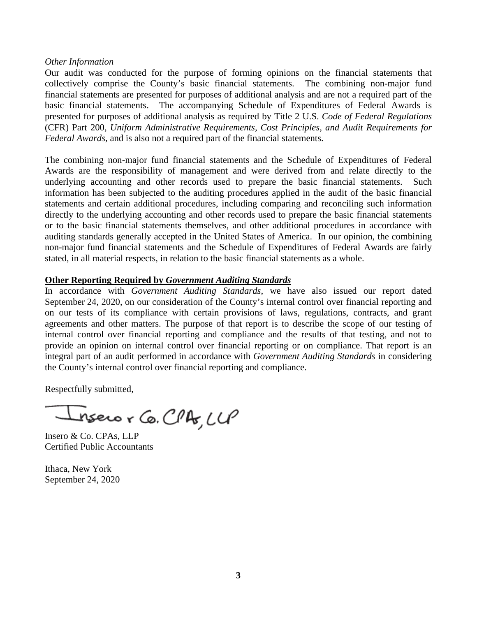#### *Other Information*

Our audit was conducted for the purpose of forming opinions on the financial statements that collectively comprise the County's basic financial statements. The combining non-major fund financial statements are presented for purposes of additional analysis and are not a required part of the basic financial statements. The accompanying Schedule of Expenditures of Federal Awards is presented for purposes of additional analysis as required by Title 2 U.S. *Code of Federal Regulations* (CFR) Part 200, *Uniform Administrative Requirements, Cost Principles, and Audit Requirements for Federal Awards*, and is also not a required part of the financial statements.

The combining non-major fund financial statements and the Schedule of Expenditures of Federal Awards are the responsibility of management and were derived from and relate directly to the underlying accounting and other records used to prepare the basic financial statements. Such information has been subjected to the auditing procedures applied in the audit of the basic financial statements and certain additional procedures, including comparing and reconciling such information directly to the underlying accounting and other records used to prepare the basic financial statements or to the basic financial statements themselves, and other additional procedures in accordance with auditing standards generally accepted in the United States of America. In our opinion, the combining non-major fund financial statements and the Schedule of Expenditures of Federal Awards are fairly stated, in all material respects, in relation to the basic financial statements as a whole.

## **Other Reporting Required by** *Government Auditing Standards*

In accordance with *Government Auditing Standards*, we have also issued our report dated September 24, 2020, on our consideration of the County's internal control over financial reporting and on our tests of its compliance with certain provisions of laws, regulations, contracts, and grant agreements and other matters. The purpose of that report is to describe the scope of our testing of internal control over financial reporting and compliance and the results of that testing, and not to provide an opinion on internal control over financial reporting or on compliance. That report is an integral part of an audit performed in accordance with *Government Auditing Standards* in considering the County's internal control over financial reporting and compliance.

Respectfully submitted,

nsero r Co. CPA, LLP

Insero & Co. CPAs, LLP Certified Public Accountants

Ithaca, New York September 24, 2020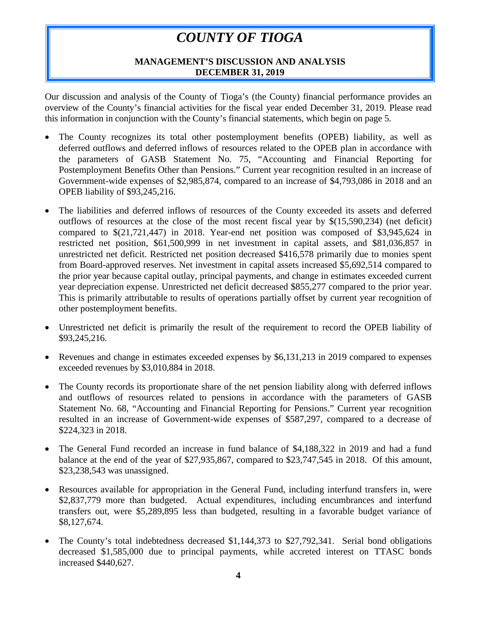## **MANAGEMENT'S DISCUSSION AND ANALYSIS DECEMBER 31, 2019**

Our discussion and analysis of the County of Tioga's (the County) financial performance provides an overview of the County's financial activities for the fiscal year ended December 31, 2019. Please read this information in conjunction with the County's financial statements, which begin on page 5.

- The County recognizes its total other postemployment benefits (OPEB) liability, as well as deferred outflows and deferred inflows of resources related to the OPEB plan in accordance with the parameters of GASB Statement No. 75, "Accounting and Financial Reporting for Postemployment Benefits Other than Pensions." Current year recognition resulted in an increase of Government-wide expenses of \$2,985,874, compared to an increase of \$4,793,086 in 2018 and an OPEB liability of \$93,245,216.
- The liabilities and deferred inflows of resources of the County exceeded its assets and deferred outflows of resources at the close of the most recent fiscal year by \$(15,590,234) (net deficit) compared to \$(21,721,447) in 2018. Year-end net position was composed of \$3,945,624 in restricted net position, \$61,500,999 in net investment in capital assets, and \$81,036,857 in unrestricted net deficit. Restricted net position decreased \$416,578 primarily due to monies spent from Board-approved reserves. Net investment in capital assets increased \$5,692,514 compared to the prior year because capital outlay, principal payments, and change in estimates exceeded current year depreciation expense. Unrestricted net deficit decreased \$855,277 compared to the prior year. This is primarily attributable to results of operations partially offset by current year recognition of other postemployment benefits.
- Unrestricted net deficit is primarily the result of the requirement to record the OPEB liability of \$93,245,216.
- Revenues and change in estimates exceeded expenses by \$6,131,213 in 2019 compared to expenses exceeded revenues by \$3,010,884 in 2018.
- The County records its proportionate share of the net pension liability along with deferred inflows and outflows of resources related to pensions in accordance with the parameters of GASB Statement No. 68, "Accounting and Financial Reporting for Pensions." Current year recognition resulted in an increase of Government-wide expenses of \$587,297, compared to a decrease of \$224,323 in 2018.
- The General Fund recorded an increase in fund balance of \$4,188,322 in 2019 and had a fund balance at the end of the year of \$27,935,867, compared to \$23,747,545 in 2018. Of this amount, \$23,238,543 was unassigned.
- Resources available for appropriation in the General Fund, including interfund transfers in, were \$2,837,779 more than budgeted. Actual expenditures, including encumbrances and interfund transfers out, were \$5,289,895 less than budgeted, resulting in a favorable budget variance of \$8,127,674.
- The County's total indebtedness decreased \$1,144,373 to \$27,792,341. Serial bond obligations decreased \$1,585,000 due to principal payments, while accreted interest on TTASC bonds increased \$440,627.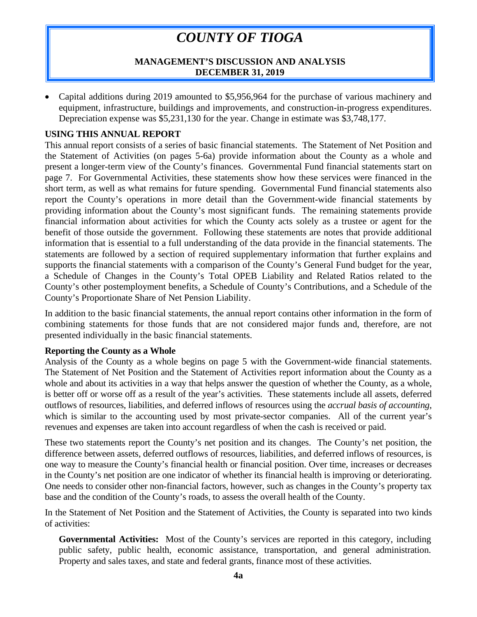## **MANAGEMENT'S DISCUSSION AND ANALYSIS DECEMBER 31, 2019**

• Capital additions during 2019 amounted to \$5,956,964 for the purchase of various machinery and equipment, infrastructure, buildings and improvements, and construction-in-progress expenditures. Depreciation expense was \$5,231,130 for the year. Change in estimate was \$3,748,177.

## **USING THIS ANNUAL REPORT**

This annual report consists of a series of basic financial statements. The Statement of Net Position and the Statement of Activities (on pages 5-6a) provide information about the County as a whole and present a longer-term view of the County's finances. Governmental Fund financial statements start on page 7. For Governmental Activities, these statements show how these services were financed in the short term, as well as what remains for future spending. Governmental Fund financial statements also report the County's operations in more detail than the Government-wide financial statements by providing information about the County's most significant funds. The remaining statements provide financial information about activities for which the County acts solely as a trustee or agent for the benefit of those outside the government. Following these statements are notes that provide additional information that is essential to a full understanding of the data provide in the financial statements. The statements are followed by a section of required supplementary information that further explains and supports the financial statements with a comparison of the County's General Fund budget for the year, a Schedule of Changes in the County's Total OPEB Liability and Related Ratios related to the County's other postemployment benefits, a Schedule of County's Contributions, and a Schedule of the County's Proportionate Share of Net Pension Liability.

In addition to the basic financial statements, the annual report contains other information in the form of combining statements for those funds that are not considered major funds and, therefore, are not presented individually in the basic financial statements.

## **Reporting the County as a Whole**

Analysis of the County as a whole begins on page 5 with the Government-wide financial statements. The Statement of Net Position and the Statement of Activities report information about the County as a whole and about its activities in a way that helps answer the question of whether the County, as a whole, is better off or worse off as a result of the year's activities. These statements include all assets, deferred outflows of resources, liabilities, and deferred inflows of resources using the *accrual basis of accounting*, which is similar to the accounting used by most private-sector companies. All of the current year's revenues and expenses are taken into account regardless of when the cash is received or paid.

These two statements report the County's net position and its changes. The County's net position, the difference between assets, deferred outflows of resources, liabilities, and deferred inflows of resources, is one way to measure the County's financial health or financial position. Over time, increases or decreases in the County's net position are one indicator of whether its financial health is improving or deteriorating. One needs to consider other non-financial factors, however, such as changes in the County's property tax base and the condition of the County's roads, to assess the overall health of the County.

In the Statement of Net Position and the Statement of Activities, the County is separated into two kinds of activities:

**Governmental Activities:** Most of the County's services are reported in this category, including public safety, public health, economic assistance, transportation, and general administration. Property and sales taxes, and state and federal grants, finance most of these activities.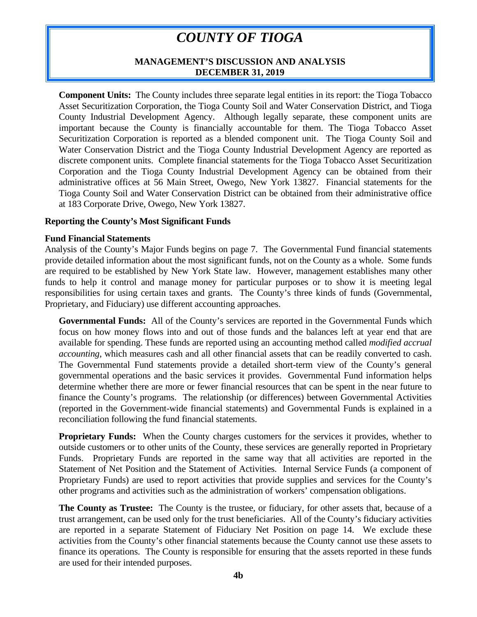## **MANAGEMENT'S DISCUSSION AND ANALYSIS DECEMBER 31, 2019**

**Component Units:** The County includes three separate legal entities in its report: the Tioga Tobacco Asset Securitization Corporation, the Tioga County Soil and Water Conservation District, and Tioga County Industrial Development Agency. Although legally separate, these component units are important because the County is financially accountable for them. The Tioga Tobacco Asset Securitization Corporation is reported as a blended component unit. The Tioga County Soil and Water Conservation District and the Tioga County Industrial Development Agency are reported as discrete component units. Complete financial statements for the Tioga Tobacco Asset Securitization Corporation and the Tioga County Industrial Development Agency can be obtained from their administrative offices at 56 Main Street, Owego, New York 13827. Financial statements for the Tioga County Soil and Water Conservation District can be obtained from their administrative office at 183 Corporate Drive, Owego, New York 13827.

#### **Reporting the County's Most Significant Funds**

#### **Fund Financial Statements**

Analysis of the County's Major Funds begins on page 7. The Governmental Fund financial statements provide detailed information about the most significant funds, not on the County as a whole. Some funds are required to be established by New York State law. However, management establishes many other funds to help it control and manage money for particular purposes or to show it is meeting legal responsibilities for using certain taxes and grants. The County's three kinds of funds (Governmental, Proprietary, and Fiduciary) use different accounting approaches.

**Governmental Funds:** All of the County's services are reported in the Governmental Funds which focus on how money flows into and out of those funds and the balances left at year end that are available for spending. These funds are reported using an accounting method called *modified accrual accounting*, which measures cash and all other financial assets that can be readily converted to cash. The Governmental Fund statements provide a detailed short-term view of the County's general governmental operations and the basic services it provides. Governmental Fund information helps determine whether there are more or fewer financial resources that can be spent in the near future to finance the County's programs. The relationship (or differences) between Governmental Activities (reported in the Government-wide financial statements) and Governmental Funds is explained in a reconciliation following the fund financial statements.

**Proprietary Funds:** When the County charges customers for the services it provides, whether to outside customers or to other units of the County, these services are generally reported in Proprietary Funds. Proprietary Funds are reported in the same way that all activities are reported in the Statement of Net Position and the Statement of Activities. Internal Service Funds (a component of Proprietary Funds) are used to report activities that provide supplies and services for the County's other programs and activities such as the administration of workers' compensation obligations.

**The County as Trustee:** The County is the trustee, or fiduciary, for other assets that, because of a trust arrangement, can be used only for the trust beneficiaries. All of the County's fiduciary activities are reported in a separate Statement of Fiduciary Net Position on page 14. We exclude these activities from the County's other financial statements because the County cannot use these assets to finance its operations. The County is responsible for ensuring that the assets reported in these funds are used for their intended purposes.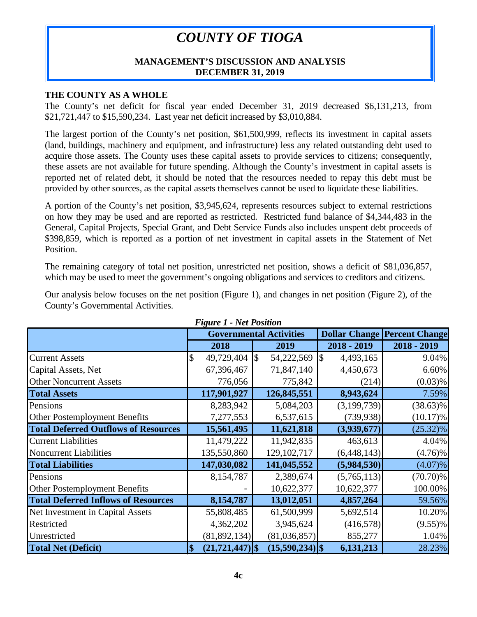## **MANAGEMENT'S DISCUSSION AND ANALYSIS DECEMBER 31, 2019**

## **THE COUNTY AS A WHOLE**

The County's net deficit for fiscal year ended December 31, 2019 decreased \$6,131,213, from \$21,721,447 to \$15,590,234. Last year net deficit increased by \$3,010,884.

The largest portion of the County's net position, \$61,500,999, reflects its investment in capital assets (land, buildings, machinery and equipment, and infrastructure) less any related outstanding debt used to acquire those assets. The County uses these capital assets to provide services to citizens; consequently, these assets are not available for future spending. Although the County's investment in capital assets is reported net of related debt, it should be noted that the resources needed to repay this debt must be provided by other sources, as the capital assets themselves cannot be used to liquidate these liabilities.

A portion of the County's net position, \$3,945,624, represents resources subject to external restrictions on how they may be used and are reported as restricted. Restricted fund balance of \$4,344,483 in the General, Capital Projects, Special Grant, and Debt Service Funds also includes unspent debt proceeds of \$398,859, which is reported as a portion of net investment in capital assets in the Statement of Net Position.

The remaining category of total net position, unrestricted net position, shows a deficit of \$81,036,857, which may be used to meet the government's ongoing obligations and services to creditors and citizens.

Our analysis below focuses on the net position (Figure 1), and changes in net position (Figure 2), of the County's Governmental Activities.

| <b>Figure 1 - Net Position</b>              |                                          |                                |                         |                                     |  |  |  |  |
|---------------------------------------------|------------------------------------------|--------------------------------|-------------------------|-------------------------------------|--|--|--|--|
|                                             |                                          | <b>Governmental Activities</b> |                         | <b>Dollar Change Percent Change</b> |  |  |  |  |
|                                             | 2018                                     | 2019                           | $2018 - 2019$           | $2018 - 2019$                       |  |  |  |  |
| <b>Current Assets</b>                       | \$<br>49,729,404 \$                      | 54,222,569                     | $\sqrt{3}$<br>4,493,165 | 9.04%                               |  |  |  |  |
| Capital Assets, Net                         | 67,396,467                               | 71,847,140                     | 4,450,673               | $6.60\%$                            |  |  |  |  |
| <b>Other Noncurrent Assets</b>              | 776,056                                  | 775,842                        | (214)                   | $(0.03)\%$                          |  |  |  |  |
| <b>Total Assets</b>                         | 117,901,927                              | 126,845,551                    | 8,943,624               | 7.59%                               |  |  |  |  |
| Pensions                                    | 8,283,942                                | 5,084,203                      | (3,199,739)             | $(38.63)\%$                         |  |  |  |  |
| <b>Other Postemployment Benefits</b>        | 7,277,553                                | 6,537,615                      | (739, 938)              | $(10.17)\%$                         |  |  |  |  |
| <b>Total Deferred Outflows of Resources</b> | 15,561,495                               | 11,621,818                     | (3,939,677)             | $(25.32)\%$                         |  |  |  |  |
| <b>Current Liabilities</b>                  | 11,479,222                               | 11,942,835                     | 463,613                 | 4.04%                               |  |  |  |  |
| <b>Noncurrent Liabilities</b>               | 135,550,860                              | 129, 102, 717                  | (6,448,143)             | $(4.76)\%$                          |  |  |  |  |
| <b>Total Liabilities</b>                    | 147,030,082                              | 141,045,552                    | (5,984,530)             | (4.07)%                             |  |  |  |  |
| Pensions                                    | 8,154,787                                | 2,389,674                      | (5,765,113)             | $(70.70)\%$                         |  |  |  |  |
| <b>Other Postemployment Benefits</b>        |                                          | 10,622,377                     | 10,622,377              | 100.00%                             |  |  |  |  |
| <b>Total Deferred Inflows of Resources</b>  | 8,154,787                                | 13,012,051                     | 4,857,264               | 59.56%                              |  |  |  |  |
| Net Investment in Capital Assets            | 55,808,485                               | 61,500,999                     | 5,692,514               | 10.20%                              |  |  |  |  |
| Restricted                                  | 4,362,202                                | 3,945,624                      | (416,578)               | $(9.55)$ %                          |  |  |  |  |
| Unrestricted                                | (81, 892, 134)                           | (81,036,857)                   | 855,277                 | 1.04%                               |  |  |  |  |
| <b>Total Net (Deficit)</b>                  | $(21, 721, 447)$ \$<br>$\boldsymbol{\$}$ | $(15,590,234)$ \$              | 6,131,213               | 28.23%                              |  |  |  |  |

*Figure 1 - Net Position*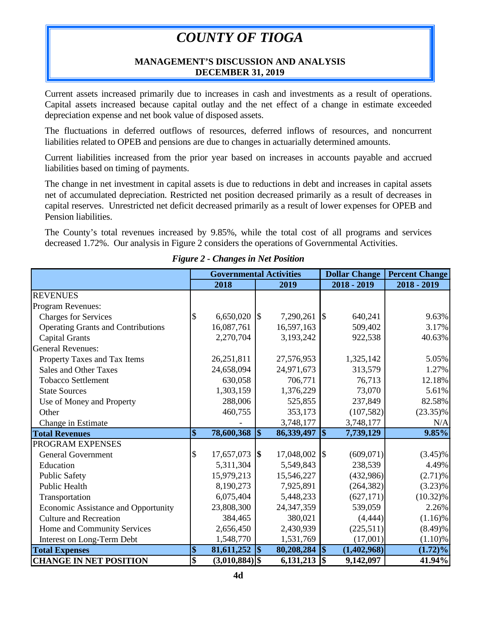## **MANAGEMENT'S DISCUSSION AND ANALYSIS DECEMBER 31, 2019**

Current assets increased primarily due to increases in cash and investments as a result of operations. Capital assets increased because capital outlay and the net effect of a change in estimate exceeded depreciation expense and net book value of disposed assets.

The fluctuations in deferred outflows of resources, deferred inflows of resources, and noncurrent liabilities related to OPEB and pensions are due to changes in actuarially determined amounts.

Current liabilities increased from the prior year based on increases in accounts payable and accrued liabilities based on timing of payments.

The change in net investment in capital assets is due to reductions in debt and increases in capital assets net of accumulated depreciation. Restricted net position decreased primarily as a result of decreases in capital reserves. Unrestricted net deficit decreased primarily as a result of lower expenses for OPEB and Pension liabilities.

The County's total revenues increased by 9.85%, while the total cost of all programs and services decreased 1.72%. Our analysis in Figure 2 considers the operations of Governmental Activities.

|                                           | <b>Governmental Activities</b> |                  |  |            |            | <b>Dollar Change</b> | <b>Percent Change</b> |
|-------------------------------------------|--------------------------------|------------------|--|------------|------------|----------------------|-----------------------|
|                                           |                                | 2018             |  | 2019       |            | $2018 - 2019$        | $2018 - 2019$         |
| <b>REVENUES</b>                           |                                |                  |  |            |            |                      |                       |
| <b>Program Revenues:</b>                  |                                |                  |  |            |            |                      |                       |
| <b>Charges for Services</b>               | \$                             |                  |  | 7,290,261  | $\sqrt{3}$ | 640,241              | 9.63%                 |
| <b>Operating Grants and Contributions</b> |                                | 16,087,761       |  | 16,597,163 |            | 509,402              | 3.17%                 |
| <b>Capital Grants</b>                     |                                | 2,270,704        |  | 3,193,242  |            | 922,538              | 40.63%                |
| <b>General Revenues:</b>                  |                                |                  |  |            |            |                      |                       |
| Property Taxes and Tax Items              |                                | 26,251,811       |  | 27,576,953 |            | 1,325,142            | 5.05%                 |
| <b>Sales and Other Taxes</b>              |                                | 24,658,094       |  | 24,971,673 |            | 313,579              | 1.27%                 |
| <b>Tobacco Settlement</b>                 |                                | 630,058          |  | 706,771    |            | 76,713               | 12.18%                |
| <b>State Sources</b>                      |                                | 1,303,159        |  | 1,376,229  |            | 73,070               | 5.61%                 |
| Use of Money and Property                 |                                | 288,006          |  | 525,855    |            | 237,849              | 82.58%                |
| Other                                     |                                | 460,755          |  | 353,173    |            | (107, 582)           | $(23.35)\%$           |
| Change in Estimate                        |                                |                  |  | 3,748,177  |            | 3,748,177            | N/A                   |
| <b>Total Revenues</b>                     | $\overline{\$}$                | 78,600,368 \$    |  | 86,339,497 | $\vert$ \$ | 7,739,129            | 9.85%                 |
| PROGRAM EXPENSES                          |                                |                  |  |            |            |                      |                       |
| <b>General Government</b>                 | \$                             | $17,657,073$ \$  |  | 17,048,002 | $\sqrt{3}$ | (609,071)            | $(3.45)\%$            |
| Education                                 |                                | 5,311,304        |  | 5,549,843  |            | 238,539              | 4.49%                 |
| <b>Public Safety</b>                      |                                | 15,979,213       |  | 15,546,227 |            | (432,986)            | $(2.71)$ %            |
| <b>Public Health</b>                      |                                | 8,190,273        |  | 7,925,891  |            | (264, 382)           | $(3.23)\%$            |
| Transportation                            |                                | 6,075,404        |  | 5,448,233  |            | (627, 171)           | $(10.32)\%$           |
| Economic Assistance and Opportunity       |                                | 23,808,300       |  | 24,347,359 |            | 539,059              | 2.26%                 |
| <b>Culture and Recreation</b>             |                                | 384,465          |  | 380,021    |            | (4, 444)             | $(1.16)\%$            |
| Home and Community Services               |                                | 2,656,450        |  | 2,430,939  |            | (225,511)            | (8.49)%               |
| Interest on Long-Term Debt                |                                | 1,548,770        |  | 1,531,769  |            | (17,001)             | (1.10)%               |
| <b>Total Expenses</b>                     | \$                             | 81,611,252   \$  |  | 80,208,284 | $\vert$ \$ | (1,402,968)          | $(1.72)\%$            |
| <b>CHANGE IN NET POSITION</b>             | \$                             | $(3,010,884)$ \$ |  |            |            | 9,142,097            | 41.94%                |

## *Figure 2 - Changes in Net Position*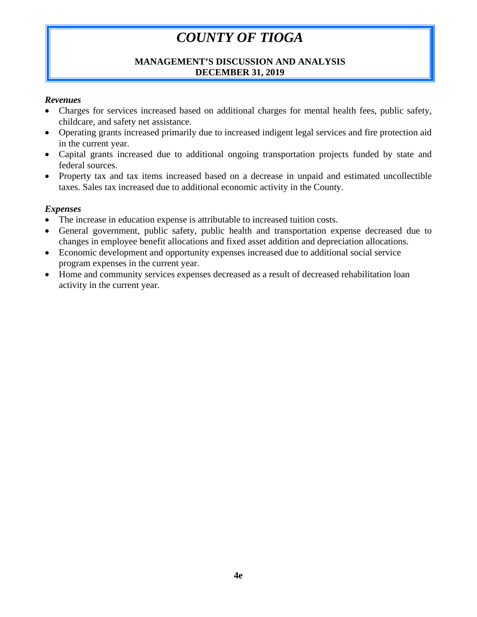## **MANAGEMENT'S DISCUSSION AND ANALYSIS DECEMBER 31, 2019**

## *Revenues*

- Charges for services increased based on additional charges for mental health fees, public safety, childcare, and safety net assistance.
- Operating grants increased primarily due to increased indigent legal services and fire protection aid in the current year.
- Capital grants increased due to additional ongoing transportation projects funded by state and federal sources.
- Property tax and tax items increased based on a decrease in unpaid and estimated uncollectible taxes. Sales tax increased due to additional economic activity in the County.

## *Expenses*

- The increase in education expense is attributable to increased tuition costs.
- General government, public safety, public health and transportation expense decreased due to changes in employee benefit allocations and fixed asset addition and depreciation allocations.
- Economic development and opportunity expenses increased due to additional social service program expenses in the current year.
- Home and community services expenses decreased as a result of decreased rehabilitation loan activity in the current year.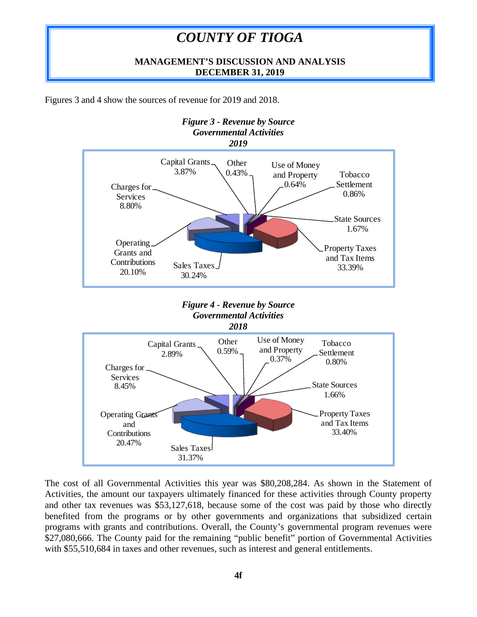## **MANAGEMENT'S DISCUSSION AND ANALYSIS DECEMBER 31, 2019**

Figures 3 and 4 show the sources of revenue for 2019 and 2018.



The cost of all Governmental Activities this year was \$80,208,284. As shown in the Statement of Activities, the amount our taxpayers ultimately financed for these activities through County property and other tax revenues was \$53,127,618, because some of the cost was paid by those who directly benefited from the programs or by other governments and organizations that subsidized certain programs with grants and contributions. Overall, the County's governmental program revenues were \$27,080,666. The County paid for the remaining "public benefit" portion of Governmental Activities with \$55,510,684 in taxes and other revenues, such as interest and general entitlements.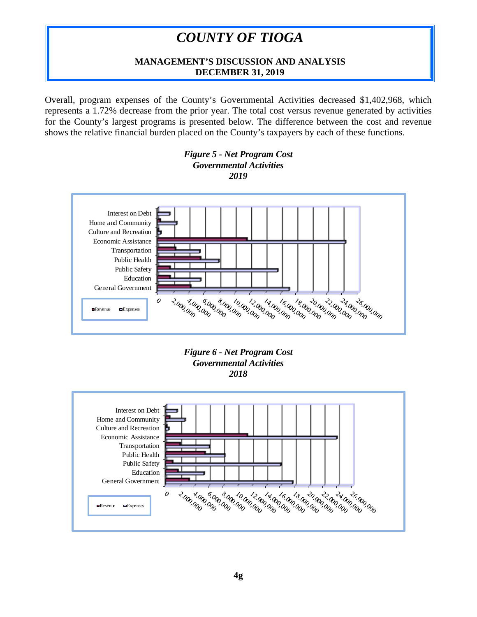## **MANAGEMENT'S DISCUSSION AND ANALYSIS DECEMBER 31, 2019**

Overall, program expenses of the County's Governmental Activities decreased \$1,402,968, which represents a 1.72% decrease from the prior year. The total cost versus revenue generated by activities for the County's largest programs is presented below. The difference between the cost and revenue shows the relative financial burden placed on the County's taxpayers by each of these functions.



*Figure 6 - Net Program Cost Governmental Activities 2018*

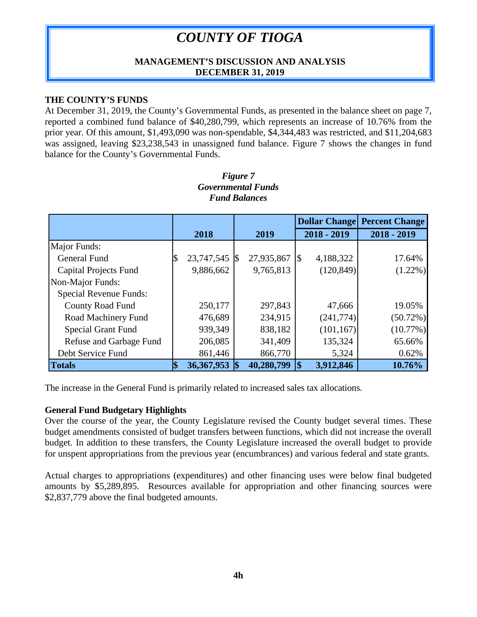## **MANAGEMENT'S DISCUSSION AND ANALYSIS DECEMBER 31, 2019**

## **THE COUNTY'S FUNDS**

At December 31, 2019, the County's Governmental Funds, as presented in the balance sheet on page 7, reported a combined fund balance of \$40,280,799, which represents an increase of 10.76% from the prior year. Of this amount, \$1,493,090 was non-spendable, \$4,344,483 was restricted, and \$11,204,683 was assigned, leaving \$23,238,543 in unassigned fund balance. Figure 7 shows the changes in fund balance for the County's Governmental Funds.

|                               |            |           |            |                    |               | <b>Dollar Change Percent Change</b> |
|-------------------------------|------------|-----------|------------|--------------------|---------------|-------------------------------------|
|                               | 2018       |           | 2019       |                    | $2018 - 2019$ | $2018 - 2019$                       |
| Major Funds:                  |            |           |            |                    |               |                                     |
| General Fund                  | 23,747,545 | <b>IS</b> | 27,935,867 | S                  | 4,188,322     | 17.64%                              |
| <b>Capital Projects Fund</b>  | 9,886,662  |           | 9,765,813  |                    | (120, 849)    | $(1.22\%)$                          |
| Non-Major Funds:              |            |           |            |                    |               |                                     |
| <b>Special Revenue Funds:</b> |            |           |            |                    |               |                                     |
| <b>County Road Fund</b>       | 250,177    |           | 297,843    |                    | 47,666        | 19.05%                              |
| Road Machinery Fund           | 476,689    |           | 234,915    |                    | (241,774)     | (50.72%)                            |
| <b>Special Grant Fund</b>     | 939,349    |           | 838,182    |                    | (101, 167)    | (10.77%)                            |
| Refuse and Garbage Fund       | 206,085    |           | 341,409    |                    | 135,324       | 65.66%                              |
| Debt Service Fund             | 861,446    |           | 866,770    |                    | 5,324         | 0.62%                               |
| <b>Totals</b>                 | 36,367,953 |           | 40,280,799 | $\boldsymbol{\$\}$ | 3,912,846     | 10.76%                              |

## *Figure 7 Governmental Funds Fund Balances*

The increase in the General Fund is primarily related to increased sales tax allocations.

## **General Fund Budgetary Highlights**

Over the course of the year, the County Legislature revised the County budget several times. These budget amendments consisted of budget transfers between functions, which did not increase the overall budget. In addition to these transfers, the County Legislature increased the overall budget to provide for unspent appropriations from the previous year (encumbrances) and various federal and state grants.

Actual charges to appropriations (expenditures) and other financing uses were below final budgeted amounts by \$5,289,895. Resources available for appropriation and other financing sources were \$2,837,779 above the final budgeted amounts.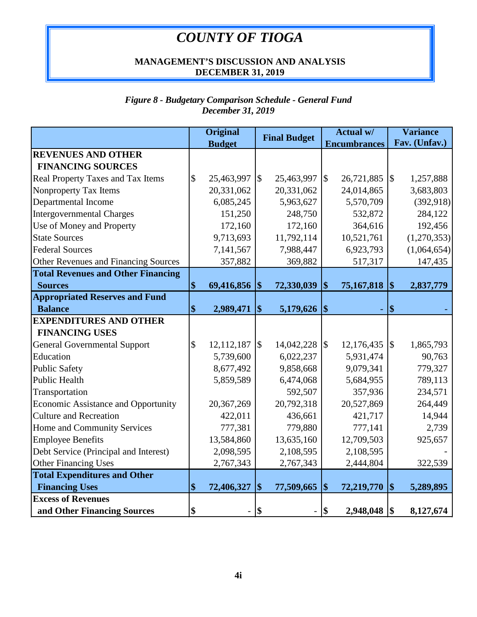## **MANAGEMENT'S DISCUSSION AND ANALYSIS DECEMBER 31, 2019**

## *Figure 8 - Budgetary Comparison Schedule - General Fund December 31, 2019*

|                                            | <b>Original</b>          | <b>Final Budget</b> |            |                         | Actual w/           | <b>Variance</b>   |               |
|--------------------------------------------|--------------------------|---------------------|------------|-------------------------|---------------------|-------------------|---------------|
|                                            | <b>Budget</b>            |                     |            |                         | <b>Encumbrances</b> |                   | Fav. (Unfav.) |
| <b>REVENUES AND OTHER</b>                  |                          |                     |            |                         |                     |                   |               |
| <b>FINANCING SOURCES</b>                   |                          |                     |            |                         |                     |                   |               |
| Real Property Taxes and Tax Items          | \$<br>25,463,997         | $\sqrt{3}$          | 25,463,997 | $\sqrt{3}$              | 26,721,885          | \$                | 1,257,888     |
| Nonproperty Tax Items                      | 20,331,062               |                     | 20,331,062 |                         | 24,014,865          |                   | 3,683,803     |
| Departmental Income                        | 6,085,245                |                     | 5,963,627  |                         | 5,570,709           |                   | (392, 918)    |
| <b>Intergovernmental Charges</b>           | 151,250                  |                     | 248,750    |                         | 532,872             |                   | 284,122       |
| Use of Money and Property                  | 172,160                  |                     | 172,160    |                         | 364,616             |                   | 192,456       |
| <b>State Sources</b>                       | 9,713,693                |                     | 11,792,114 |                         | 10,521,761          |                   | (1,270,353)   |
| <b>Federal Sources</b>                     | 7,141,567                |                     | 7,988,447  |                         | 6,923,793           |                   | (1,064,654)   |
| Other Revenues and Financing Sources       | 357,882                  |                     | 369,882    |                         | 517,317             |                   | 147,435       |
| <b>Total Revenues and Other Financing</b>  |                          |                     |            |                         |                     |                   |               |
| <b>Sources</b>                             | \$<br>69,416,856  \$     |                     | 72,330,039 | $\boldsymbol{\$}$       | 75,167,818          | \$                | 2,837,779     |
| <b>Appropriated Reserves and Fund</b>      |                          |                     |            |                         |                     |                   |               |
| <b>Balance</b>                             | \$<br>$2,989,471$ \\ \\$ |                     | 5,179,626  | $\vert$ \$              |                     | $\boldsymbol{\$}$ |               |
| <b>EXPENDITURES AND OTHER</b>              |                          |                     |            |                         |                     |                   |               |
| <b>FINANCING USES</b>                      |                          |                     |            |                         |                     |                   |               |
| <b>General Governmental Support</b>        | \$<br>12,112,187         | $\sqrt{3}$          | 14,042,228 | $\overline{\mathbf{S}}$ | 12,176,435          | \$                | 1,865,793     |
| Education                                  | 5,739,600                |                     | 6,022,237  |                         | 5,931,474           |                   | 90,763        |
| <b>Public Safety</b>                       | 8,677,492                |                     | 9,858,668  |                         | 9,079,341           |                   | 779,327       |
| <b>Public Health</b>                       | 5,859,589                |                     | 6,474,068  |                         | 5,684,955           |                   | 789,113       |
| Transportation                             |                          |                     | 592,507    |                         | 357,936             |                   | 234,571       |
| <b>Economic Assistance and Opportunity</b> | 20,367,269               |                     | 20,792,318 |                         | 20,527,869          |                   | 264,449       |
| <b>Culture and Recreation</b>              | 422,011                  |                     | 436,661    |                         | 421,717             |                   | 14,944        |
| Home and Community Services                | 777,381                  |                     | 779,880    |                         | 777,141             |                   | 2,739         |
| <b>Employee Benefits</b>                   | 13,584,860               |                     | 13,635,160 |                         | 12,709,503          |                   | 925,657       |
| Debt Service (Principal and Interest)      | 2,098,595                |                     | 2,108,595  |                         | 2,108,595           |                   |               |
| <b>Other Financing Uses</b>                | 2,767,343                |                     | 2,767,343  |                         | 2,444,804           |                   | 322,539       |
| <b>Total Expenditures and Other</b>        |                          |                     |            |                         |                     |                   |               |
| <b>Financing Uses</b>                      | \$<br>72,406,327         | $\vert$ \$          | 77,509,665 | \$                      | 72,219,770          | \$                | 5,289,895     |
| <b>Excess of Revenues</b>                  |                          |                     |            |                         |                     |                   |               |
| and Other Financing Sources                | \$                       | \$                  |            | \$                      | 2,948,048           | $\vert$ \$        | 8,127,674     |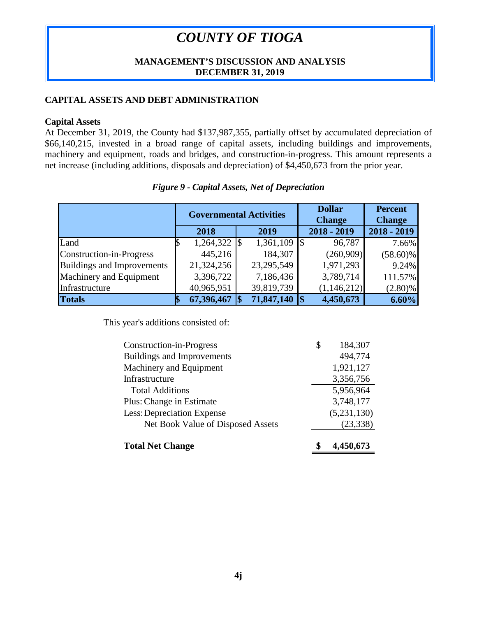## **MANAGEMENT'S DISCUSSION AND ANALYSIS DECEMBER 31, 2019**

## **CAPITAL ASSETS AND DEBT ADMINISTRATION**

#### **Capital Assets**

At December 31, 2019, the County had \$137,987,355, partially offset by accumulated depreciation of \$66,140,215, invested in a broad range of capital assets, including buildings and improvements, machinery and equipment, roads and bridges, and construction-in-progress. This amount represents a net increase (including additions, disposals and depreciation) of \$4,450,673 from the prior year.

|                            |  | <b>Governmental Activities</b> |  |            |  | <b>Dollar</b> | <b>Percent</b> |
|----------------------------|--|--------------------------------|--|------------|--|---------------|----------------|
|                            |  |                                |  |            |  | <b>Change</b> | <b>Change</b>  |
|                            |  | 2018                           |  | 2019       |  | $2018 - 2019$ | $2018 - 2019$  |
| Land                       |  | 1,264,322 \$                   |  |            |  | 96,787        | 7.66%          |
| Construction-in-Progress   |  | 445,216                        |  | 184,307    |  | (260,909)     | $(58.60)\%$    |
| Buildings and Improvements |  | 21,324,256                     |  | 23,295,549 |  | 1,971,293     | 9.24%          |
| Machinery and Equipment    |  | 3,396,722                      |  | 7,186,436  |  | 3,789,714     | 111.57%        |
| Infrastructure             |  | 40,965,951                     |  | 39,819,739 |  | (1,146,212)   | $(2.80)\%$     |
| <b>Totals</b>              |  | 67,396,467                     |  | 71,847,140 |  | 4,450,673     | 6.60%          |

## *Figure 9 - Capital Assets, Net of Depreciation*

This year's additions consisted of:

| <b>Total Net Change</b>           | 4,450,673     |
|-----------------------------------|---------------|
| Net Book Value of Disposed Assets | (23, 338)     |
| Less: Depreciation Expense        | (5,231,130)   |
| Plus: Change in Estimate          | 3,748,177     |
| <b>Total Additions</b>            | 5,956,964     |
| Infrastructure                    | 3,356,756     |
| Machinery and Equipment           | 1,921,127     |
| <b>Buildings and Improvements</b> | 494,774       |
| Construction-in-Progress          | \$<br>184,307 |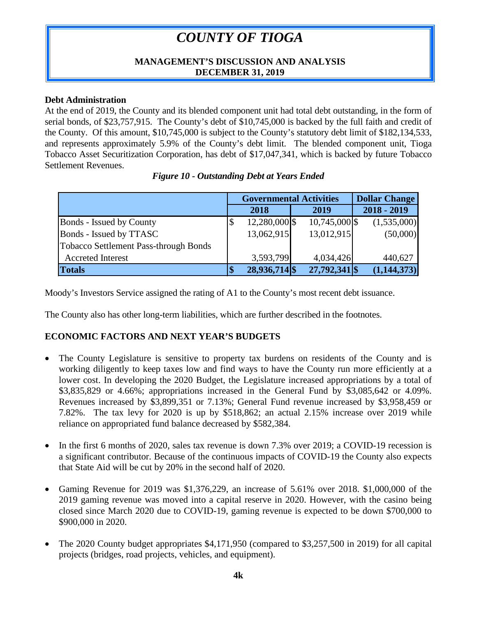## **MANAGEMENT'S DISCUSSION AND ANALYSIS DECEMBER 31, 2019**

## **Debt Administration**

At the end of 2019, the County and its blended component unit had total debt outstanding, in the form of serial bonds, of \$23,757,915. The County's debt of \$10,745,000 is backed by the full faith and credit of the County. Of this amount, \$10,745,000 is subject to the County's statutory debt limit of \$182,134,533, and represents approximately 5.9% of the County's debt limit. The blended component unit, Tioga Tobacco Asset Securitization Corporation, has debt of \$17,047,341, which is backed by future Tobacco Settlement Revenues.

|                                       | <b>Governmental Activities</b> | <b>Dollar Change</b> |               |
|---------------------------------------|--------------------------------|----------------------|---------------|
|                                       | 2018                           | 2019                 | $2018 - 2019$ |
| <b>Bonds</b> - Issued by County       | 12,280,000 \$                  | $10,745,000$ \$      | (1,535,000)   |
| Bonds - Issued by TTASC               | 13,062,915                     | 13,012,915           | (50,000)      |
| Tobacco Settlement Pass-through Bonds |                                |                      |               |
| <b>Accreted Interest</b>              | 3,593,799                      | 4,034,426            | 440,627       |
| <b>Totals</b>                         | 28,936,714 \$                  | 27,792,341 \$        | (1,144,373)   |

## *Figure 10 - Outstanding Debt at Years Ended*

Moody's Investors Service assigned the rating of A1 to the County's most recent debt issuance.

The County also has other long-term liabilities, which are further described in the footnotes.

## **ECONOMIC FACTORS AND NEXT YEAR'S BUDGETS**

- The County Legislature is sensitive to property tax burdens on residents of the County and is working diligently to keep taxes low and find ways to have the County run more efficiently at a lower cost. In developing the 2020 Budget, the Legislature increased appropriations by a total of \$3,835,829 or 4.66%; appropriations increased in the General Fund by \$3,085,642 or 4.09%. Revenues increased by \$3,899,351 or 7.13%; General Fund revenue increased by \$3,958,459 or 7.82%. The tax levy for 2020 is up by \$518,862; an actual 2.15% increase over 2019 while reliance on appropriated fund balance decreased by \$582,384.
- In the first 6 months of 2020, sales tax revenue is down 7.3% over 2019; a COVID-19 recession is a significant contributor. Because of the continuous impacts of COVID-19 the County also expects that State Aid will be cut by 20% in the second half of 2020.
- Gaming Revenue for 2019 was \$1,376,229, an increase of 5.61% over 2018. \$1,000,000 of the 2019 gaming revenue was moved into a capital reserve in 2020. However, with the casino being closed since March 2020 due to COVID-19, gaming revenue is expected to be down \$700,000 to \$900,000 in 2020.
- The 2020 County budget appropriates \$4,171,950 (compared to \$3,257,500 in 2019) for all capital projects (bridges, road projects, vehicles, and equipment).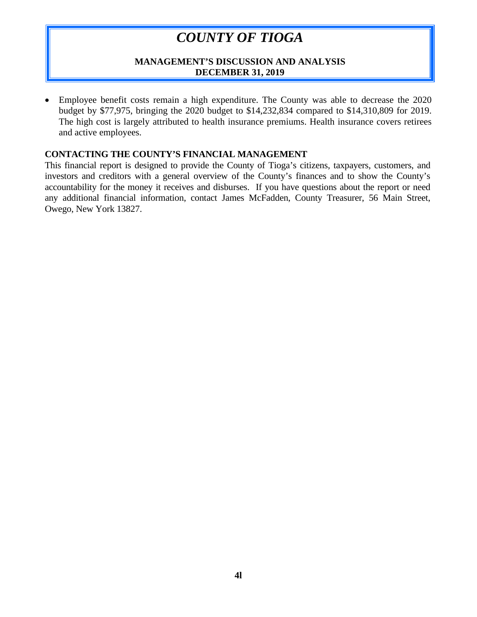## **MANAGEMENT'S DISCUSSION AND ANALYSIS DECEMBER 31, 2019**

• Employee benefit costs remain a high expenditure. The County was able to decrease the 2020 budget by \$77,975, bringing the 2020 budget to \$14,232,834 compared to \$14,310,809 for 2019. The high cost is largely attributed to health insurance premiums. Health insurance covers retirees and active employees.

## **CONTACTING THE COUNTY'S FINANCIAL MANAGEMENT**

This financial report is designed to provide the County of Tioga's citizens, taxpayers, customers, and investors and creditors with a general overview of the County's finances and to show the County's accountability for the money it receives and disburses. If you have questions about the report or need any additional financial information, contact James McFadden, County Treasurer, 56 Main Street, Owego, New York 13827.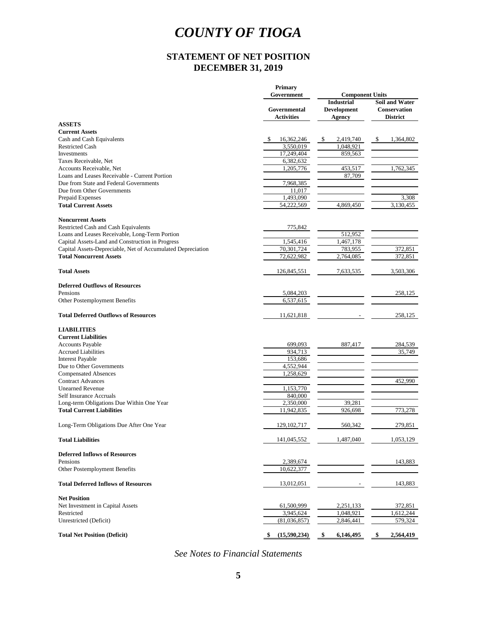## **STATEMENT OF NET POSITION DECEMBER 31, 2019**

|                                                             | <b>Primary</b><br>Government      | <b>Component Units</b>                            |                                                                 |  |  |
|-------------------------------------------------------------|-----------------------------------|---------------------------------------------------|-----------------------------------------------------------------|--|--|
|                                                             | Governmental<br><b>Activities</b> | <b>Industrial</b><br>Development<br><b>Agency</b> | <b>Soil and Water</b><br><b>Conservation</b><br><b>District</b> |  |  |
| <b>ASSETS</b>                                               |                                   |                                                   |                                                                 |  |  |
| <b>Current Assets</b>                                       |                                   |                                                   |                                                                 |  |  |
| Cash and Cash Equivalents                                   | 16,362,246<br>Y.                  | 2,419,740<br>\$                                   | \$<br>1,364,802                                                 |  |  |
| <b>Restricted Cash</b>                                      | 3,550,019                         | 1,048,921                                         |                                                                 |  |  |
| Investments                                                 | 17,249,404                        | 859,563                                           |                                                                 |  |  |
| Taxes Receivable, Net                                       | 6,382,632                         |                                                   |                                                                 |  |  |
| Accounts Receivable, Net                                    | 1,205,776                         | 453,517                                           | 1,762,345                                                       |  |  |
| Loans and Leases Receivable - Current Portion               |                                   | 87,709                                            |                                                                 |  |  |
| Due from State and Federal Governments                      | 7,968,385                         |                                                   |                                                                 |  |  |
| Due from Other Governments                                  | 11,017                            |                                                   |                                                                 |  |  |
| Prepaid Expenses                                            | 1,493,090                         |                                                   | 3,308                                                           |  |  |
| <b>Total Current Assets</b>                                 | 54,222,569                        | 4,869,450                                         | 3,130,455                                                       |  |  |
| <b>Noncurrent Assets</b>                                    |                                   |                                                   |                                                                 |  |  |
| Restricted Cash and Cash Equivalents                        | 775,842                           |                                                   |                                                                 |  |  |
| Loans and Leases Receivable, Long-Term Portion              |                                   | 512,952                                           |                                                                 |  |  |
| Capital Assets-Land and Construction in Progress            | 1,545,416                         | 1,467,178                                         |                                                                 |  |  |
| Capital Assets-Depreciable, Net of Accumulated Depreciation | 70,301,724                        | 783,955                                           | 372,851                                                         |  |  |
| <b>Total Noncurrent Assets</b>                              | 72,622,982                        | 2,764,085                                         | 372,851                                                         |  |  |
| <b>Total Assets</b>                                         | 126,845,551                       | 7,633,535                                         | 3,503,306                                                       |  |  |
| <b>Deferred Outflows of Resources</b>                       |                                   |                                                   |                                                                 |  |  |
| Pensions                                                    | 5,084,203                         |                                                   | 258,125                                                         |  |  |
| Other Postemployment Benefits                               | 6,537,615                         |                                                   |                                                                 |  |  |
| <b>Total Deferred Outflows of Resources</b>                 | 11,621,818                        |                                                   | 258,125                                                         |  |  |
| <b>LIABILITIES</b>                                          |                                   |                                                   |                                                                 |  |  |
| <b>Current Liabilities</b>                                  |                                   |                                                   |                                                                 |  |  |
| <b>Accounts Payable</b>                                     | 699,093                           | 887,417                                           | 284,539                                                         |  |  |
| <b>Accrued Liabilities</b>                                  | 934,713                           |                                                   | 35,749                                                          |  |  |
| <b>Interest Payable</b>                                     | 153,686                           |                                                   |                                                                 |  |  |
| Due to Other Governments                                    | 4,552,944                         |                                                   |                                                                 |  |  |
| <b>Compensated Absences</b>                                 | 1,258,629                         |                                                   |                                                                 |  |  |
| <b>Contract Advances</b>                                    |                                   |                                                   | 452,990                                                         |  |  |
| <b>Unearned Revenue</b>                                     | 1,153,770                         |                                                   |                                                                 |  |  |
| Self Insurance Accruals                                     | 840,000                           |                                                   |                                                                 |  |  |
| Long-term Obligations Due Within One Year                   | 2,350,000                         | 39,281                                            |                                                                 |  |  |
| <b>Total Current Liabilities</b>                            | 11,942,835                        | 926,698                                           | 773,278                                                         |  |  |
| Long-Term Obligations Due After One Year                    | 129, 102, 717                     | 560.342                                           | 279,851                                                         |  |  |
| <b>Total Liabilities</b>                                    | 141,045,552                       | 1,487,040                                         | 1,053,129                                                       |  |  |
| <b>Deferred Inflows of Resources</b>                        |                                   |                                                   |                                                                 |  |  |
| Pensions                                                    | 2,389,674                         |                                                   | 143,883                                                         |  |  |
| Other Postemployment Benefits                               | 10,622,377                        |                                                   |                                                                 |  |  |
| <b>Total Deferred Inflows of Resources</b>                  | 13,012,051                        |                                                   | 143,883                                                         |  |  |
| <b>Net Position</b>                                         |                                   |                                                   |                                                                 |  |  |
| Net Investment in Capital Assets                            | 61,500,999                        | 2,251,133                                         | 372,851                                                         |  |  |
| Restricted                                                  | 3,945,624                         | 1,048,921                                         | 1,612,244                                                       |  |  |
| Unrestricted (Deficit)                                      | (81,036,857)                      | 2,846,441                                         | 579,324                                                         |  |  |
| <b>Total Net Position (Deficit)</b>                         | (15,590,234)<br>\$                | \$<br>6,146,495                                   | \$<br>2,564,419                                                 |  |  |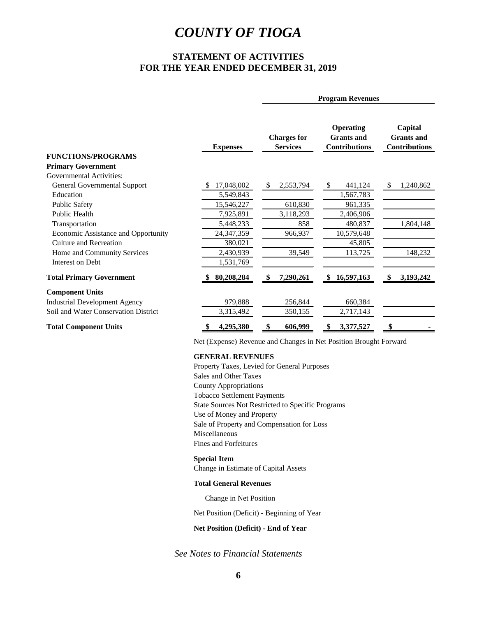## **STATEMENT OF ACTIVITIES FOR THE YEAR ENDED DECEMBER 31, 2019**

|                                                                 |                 | <b>Program Revenues</b>               |                                                               |                                                      |  |  |  |  |  |
|-----------------------------------------------------------------|-----------------|---------------------------------------|---------------------------------------------------------------|------------------------------------------------------|--|--|--|--|--|
|                                                                 | <b>Expenses</b> | <b>Charges for</b><br><b>Services</b> | <b>Operating</b><br><b>Grants</b> and<br><b>Contributions</b> | Capital<br><b>Grants</b> and<br><b>Contributions</b> |  |  |  |  |  |
| <b>FUNCTIONS/PROGRAMS</b>                                       |                 |                                       |                                                               |                                                      |  |  |  |  |  |
| <b>Primary Government</b>                                       |                 |                                       |                                                               |                                                      |  |  |  |  |  |
| <b>Governmental Activities:</b><br>General Governmental Support | 17,048,002      | 2,553,794<br>\$                       | \$<br>441,124                                                 | 1,240,862                                            |  |  |  |  |  |
| Education                                                       | 5,549,843       |                                       | 1,567,783                                                     |                                                      |  |  |  |  |  |
| <b>Public Safety</b>                                            | 15,546,227      | 610,830                               | 961,335                                                       |                                                      |  |  |  |  |  |
| <b>Public Health</b>                                            | 7,925,891       | 3,118,293                             | 2,406,906                                                     |                                                      |  |  |  |  |  |
| Transportation                                                  | 5,448,233       | 858                                   | 480,837                                                       | 1,804,148                                            |  |  |  |  |  |
| Economic Assistance and Opportunity                             | 24,347,359      | 966,937                               | 10,579,648                                                    |                                                      |  |  |  |  |  |
| Culture and Recreation                                          | 380,021         |                                       | 45,805                                                        |                                                      |  |  |  |  |  |
| Home and Community Services                                     | 2,430,939       | 39,549                                | 113,725                                                       | 148,232                                              |  |  |  |  |  |
| Interest on Debt                                                | 1,531,769       |                                       |                                                               |                                                      |  |  |  |  |  |
| <b>Total Primary Government</b>                                 | 80,208,284      | 7,290,261<br>\$                       | 16,597,163<br>\$                                              | 3,193,242<br>S                                       |  |  |  |  |  |
| <b>Component Units</b>                                          |                 |                                       |                                                               |                                                      |  |  |  |  |  |
| <b>Industrial Development Agency</b>                            | 979,888         | 256,844                               | 660,384                                                       |                                                      |  |  |  |  |  |
| Soil and Water Conservation District                            | 3,315,492       | 350,155                               | 2,717,143                                                     |                                                      |  |  |  |  |  |
| <b>Total Component Units</b>                                    | 4,295,380<br>ъ  | 606,999<br>\$                         | 3,377,527<br>Y.                                               | \$                                                   |  |  |  |  |  |

Net (Expense) Revenue and Changes in Net Position Brought Forward

#### **GENERAL REVENUES**

Property Taxes, Levied for General Purposes Sales and Other Taxes County Appropriations Tobacco Settlement Payments State Sources Not Restricted to Specific Programs Use of Money and Property Sale of Property and Compensation for Loss Miscellaneous Fines and Forfeitures

#### **Special Item**

Change in Estimate of Capital Assets

#### **Total General Revenues**

Change in Net Position

Net Position (Deficit) - Beginning of Year

#### **Net Position (Deficit) - End of Year**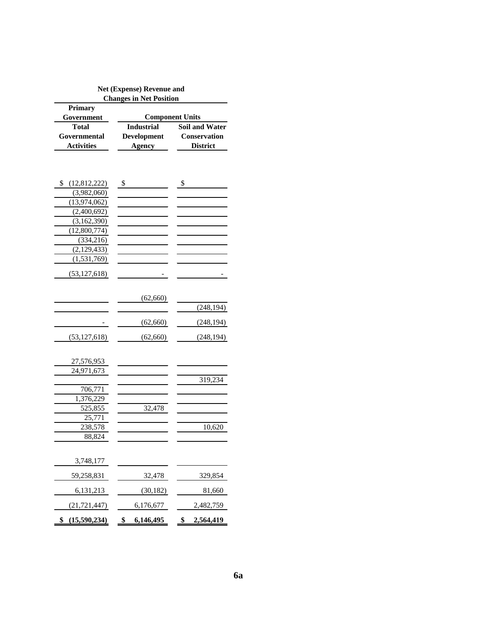| <b>Net (Expense) Revenue and</b> |  |
|----------------------------------|--|
| Changes in Net Position          |  |

|                    | <b>Changes in Net Position</b> |                       |
|--------------------|--------------------------------|-----------------------|
| <b>Primary</b>     |                                |                       |
| Government         | <b>Component Units</b>         |                       |
| <b>Total</b>       | <b>Industrial</b>              | <b>Soil and Water</b> |
| Governmental       | <b>Development</b>             | <b>Conservation</b>   |
| <b>Activities</b>  | <b>Agency</b>                  | <b>District</b>       |
|                    |                                |                       |
|                    |                                |                       |
| \$<br>(12,812,222) | \$                             | \$                    |
| (3,982,060)        |                                |                       |
| (13, 974, 062)     |                                |                       |
| (2,400,692)        |                                |                       |
| (3,162,390)        |                                |                       |
| (12,800,774)       |                                |                       |
| (334,216)          |                                |                       |
| (2,129,433)        |                                |                       |
| (1,531,769)        |                                |                       |
| (53, 127, 618)     |                                |                       |
|                    |                                |                       |
|                    | (62, 660)                      |                       |
|                    |                                | (248, 194)            |
|                    | (62,660)                       | (248, 194)            |
| (53, 127, 618)     | (62, 660)                      | (248, 194)            |
|                    |                                |                       |
| 27,576,953         |                                |                       |
| 24,971,673         |                                |                       |
|                    |                                | 319,234               |
| 706,771            |                                |                       |
| 1,376,229          |                                |                       |
| 525,855            | 32,478                         |                       |
| 25,771             |                                |                       |
| 238,578            |                                | 10,620                |
| 88,824             |                                |                       |
|                    |                                |                       |
| 3,748,177          |                                |                       |
| 59,258,831         | 32,478                         | 329,854               |
| 6, 131, 213        | (30, 182)                      | 81,660                |
| (21, 721, 447)     | 6,176,677                      | 2,482,759             |
| \$<br>(15,590,234) | \$<br>6,146,495                | \$<br>2,564,419       |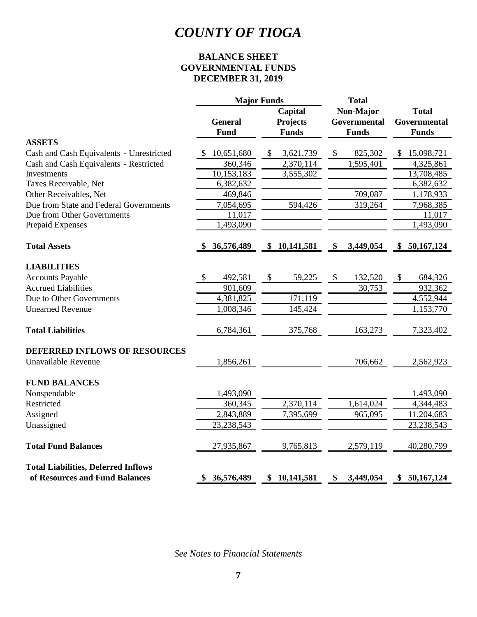## **BALANCE SHEET GOVERNMENTAL FUNDS DECEMBER 31, 2019**

|                                                                              | <b>Major Funds</b> |                        |                                            | <b>Total</b>              |                                           |    |                                              |
|------------------------------------------------------------------------------|--------------------|------------------------|--------------------------------------------|---------------------------|-------------------------------------------|----|----------------------------------------------|
|                                                                              |                    | <b>General</b><br>Fund | Capital<br><b>Projects</b><br><b>Funds</b> |                           | Non-Major<br>Governmental<br><b>Funds</b> |    | <b>Total</b><br>Governmental<br><b>Funds</b> |
| <b>ASSETS</b>                                                                |                    |                        |                                            |                           |                                           |    |                                              |
| Cash and Cash Equivalents - Unrestricted                                     | S.                 | 10,651,680             | \$<br>3,621,739                            | $\boldsymbol{\mathsf{S}}$ | 825,302                                   | \$ | 15,098,721                                   |
| Cash and Cash Equivalents - Restricted                                       |                    | 360,346                | 2,370,114                                  |                           | 1,595,401                                 |    | 4,325,861                                    |
| Investments                                                                  |                    | 10,153,183             | 3,555,302                                  |                           |                                           |    | 13,708,485                                   |
| Taxes Receivable, Net                                                        |                    | 6,382,632              |                                            |                           |                                           |    | 6,382,632                                    |
| Other Receivables, Net                                                       |                    | 469,846                |                                            |                           | 709,087                                   |    | 1,178,933                                    |
| Due from State and Federal Governments                                       |                    | 7,054,695              | 594,426                                    |                           | 319,264                                   |    | 7,968,385                                    |
| Due from Other Governments                                                   |                    | 11,017                 |                                            |                           |                                           |    | 11,017                                       |
| Prepaid Expenses                                                             |                    | 1,493,090              |                                            |                           |                                           |    | 1,493,090                                    |
| <b>Total Assets</b>                                                          |                    | \$36,576,489           | \$<br>10,141,581                           | \$                        | 3,449,054                                 | \$ | 50, 167, 124                                 |
| <b>LIABILITIES</b>                                                           |                    |                        |                                            |                           |                                           |    |                                              |
| <b>Accounts Payable</b>                                                      | $\mathcal{S}$      | 492,581                | \$<br>59,225                               | $\boldsymbol{\mathsf{S}}$ | 132,520                                   | \$ | 684,326                                      |
| <b>Accrued Liabilities</b>                                                   |                    | 901,609                |                                            |                           | 30,753                                    |    | 932,362                                      |
| Due to Other Governments                                                     |                    | 4,381,825              | 171,119                                    |                           |                                           |    | 4,552,944                                    |
| <b>Unearned Revenue</b>                                                      |                    | 1,008,346              | 145,424                                    |                           |                                           |    | 1,153,770                                    |
| <b>Total Liabilities</b>                                                     |                    | 6,784,361              | 375,768                                    |                           | 163,273                                   |    | 7,323,402                                    |
| DEFERRED INFLOWS OF RESOURCES                                                |                    |                        |                                            |                           |                                           |    |                                              |
| Unavailable Revenue                                                          |                    | 1,856,261              |                                            |                           | 706,662                                   |    | 2,562,923                                    |
| <b>FUND BALANCES</b>                                                         |                    |                        |                                            |                           |                                           |    |                                              |
| Nonspendable                                                                 |                    | 1,493,090              |                                            |                           |                                           |    | 1,493,090                                    |
| Restricted                                                                   |                    | 360,345                | 2,370,114                                  |                           | 1,614,024                                 |    | 4,344,483                                    |
| Assigned                                                                     |                    | 2,843,889              | 7,395,699                                  |                           | 965,095                                   |    | 11,204,683                                   |
| Unassigned                                                                   |                    | 23,238,543             |                                            |                           |                                           |    | 23, 238, 543                                 |
| <b>Total Fund Balances</b>                                                   |                    | 27,935,867             | 9,765,813                                  |                           | 2,579,119                                 |    | 40,280,799                                   |
| <b>Total Liabilities, Deferred Inflows</b><br>of Resources and Fund Balances |                    | \$36,576,489           | \$<br>10,141,581                           | \$                        | 3,449,054                                 |    | \$50,167,124                                 |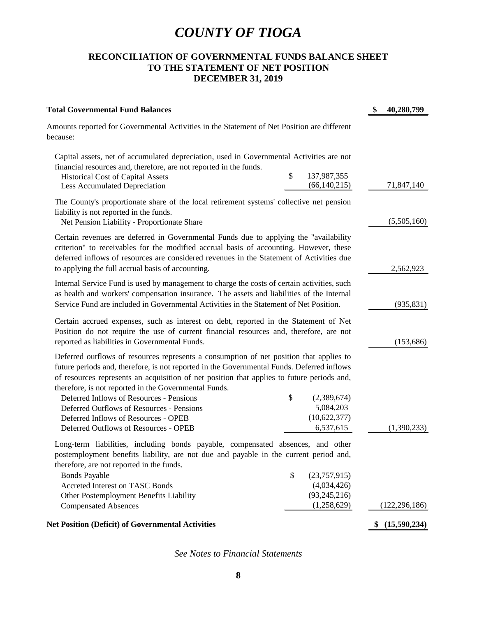## **RECONCILIATION OF GOVERNMENTAL FUNDS BALANCE SHEET TO THE STATEMENT OF NET POSITION DECEMBER 31, 2019**

| <b>Total Governmental Fund Balances</b>                                                                                                                                                                                                                                                                                                                                                                                                                                                                                |                                                             | \$<br>40,280,799 |
|------------------------------------------------------------------------------------------------------------------------------------------------------------------------------------------------------------------------------------------------------------------------------------------------------------------------------------------------------------------------------------------------------------------------------------------------------------------------------------------------------------------------|-------------------------------------------------------------|------------------|
| Amounts reported for Governmental Activities in the Statement of Net Position are different<br>because:                                                                                                                                                                                                                                                                                                                                                                                                                |                                                             |                  |
| Capital assets, net of accumulated depreciation, used in Governmental Activities are not<br>financial resources and, therefore, are not reported in the funds.<br><b>Historical Cost of Capital Assets</b><br>Less Accumulated Depreciation                                                                                                                                                                                                                                                                            | \$<br>137,987,355<br>(66, 140, 215)                         | 71,847,140       |
| The County's proportionate share of the local retirement systems' collective net pension<br>liability is not reported in the funds.<br>Net Pension Liability - Proportionate Share                                                                                                                                                                                                                                                                                                                                     |                                                             | (5,505,160)      |
| Certain revenues are deferred in Governmental Funds due to applying the "availability"<br>criterion" to receivables for the modified accrual basis of accounting. However, these<br>deferred inflows of resources are considered revenues in the Statement of Activities due<br>to applying the full accrual basis of accounting.                                                                                                                                                                                      |                                                             | 2,562,923        |
| Internal Service Fund is used by management to charge the costs of certain activities, such<br>as health and workers' compensation insurance. The assets and liabilities of the Internal<br>Service Fund are included in Governmental Activities in the Statement of Net Position.                                                                                                                                                                                                                                     |                                                             | (935, 831)       |
| Certain accrued expenses, such as interest on debt, reported in the Statement of Net<br>Position do not require the use of current financial resources and, therefore, are not<br>reported as liabilities in Governmental Funds.                                                                                                                                                                                                                                                                                       |                                                             | (153, 686)       |
| Deferred outflows of resources represents a consumption of net position that applies to<br>future periods and, therefore, is not reported in the Governmental Funds. Deferred inflows<br>of resources represents an acquisition of net position that applies to future periods and,<br>therefore, is not reported in the Governmental Funds.<br>Deferred Inflows of Resources - Pensions<br>Deferred Outflows of Resources - Pensions<br>Deferred Inflows of Resources - OPEB<br>Deferred Outflows of Resources - OPEB | \$<br>(2,389,674)<br>5,084,203<br>(10,622,377)<br>6,537,615 | (1,390,233)      |
| Long-term liabilities, including bonds payable, compensated absences, and other<br>postemployment benefits liability, are not due and payable in the current period and,<br>therefore, are not reported in the funds.<br><b>Bonds Payable</b>                                                                                                                                                                                                                                                                          | \$<br>(23,757,915)                                          |                  |
| <b>Accreted Interest on TASC Bonds</b><br>Other Postemployment Benefits Liability<br><b>Compensated Absences</b>                                                                                                                                                                                                                                                                                                                                                                                                       | (4,034,426)<br>(93, 245, 216)<br>(1,258,629)                | (122, 296, 186)  |
| <b>Net Position (Deficit) of Governmental Activities</b>                                                                                                                                                                                                                                                                                                                                                                                                                                                               |                                                             | (15,590,234)     |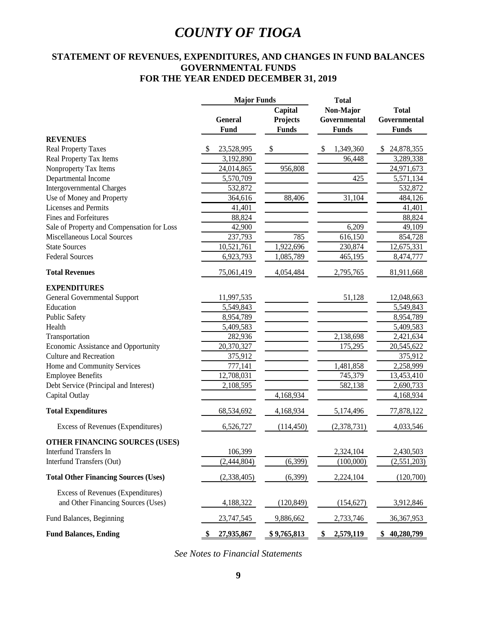## **STATEMENT OF REVENUES, EXPENDITURES, AND CHANGES IN FUND BALANCES GOVERNMENTAL FUNDS FOR THE YEAR ENDED DECEMBER 31, 2019**

|                                                                         | <b>Major Funds</b>      |                                     | <b>Total</b>                              |                                              |  |
|-------------------------------------------------------------------------|-------------------------|-------------------------------------|-------------------------------------------|----------------------------------------------|--|
|                                                                         | General<br>Fund         | Capital<br>Projects<br><b>Funds</b> | Non-Major<br>Governmental<br><b>Funds</b> | <b>Total</b><br>Governmental<br><b>Funds</b> |  |
| <b>REVENUES</b>                                                         |                         |                                     |                                           |                                              |  |
| <b>Real Property Taxes</b>                                              | 23,528,995<br>S         | \$                                  | \$<br>1,349,360                           | 24,878,355<br>S.                             |  |
| <b>Real Property Tax Items</b><br>Nonproperty Tax Items                 | 3,192,890<br>24,014,865 | 956,808                             | 96,448                                    | 3,289,338<br>24,971,673                      |  |
| Departmental Income                                                     | 5,570,709               |                                     | 425                                       | 5,571,134                                    |  |
| <b>Intergovernmental Charges</b>                                        | 532,872                 |                                     |                                           | 532,872                                      |  |
| Use of Money and Property                                               | 364,616                 | 88,406                              | 31,104                                    | 484,126                                      |  |
| <b>Licenses and Permits</b>                                             | 41,401                  |                                     |                                           | 41,401                                       |  |
| <b>Fines and Forfeitures</b>                                            | 88,824                  |                                     |                                           | 88,824                                       |  |
| Sale of Property and Compensation for Loss                              | 42,900                  |                                     | 6,209                                     | 49,109                                       |  |
| <b>Miscellaneous Local Sources</b>                                      | 237,793                 | 785                                 | 616,150                                   | 854,728                                      |  |
| <b>State Sources</b>                                                    | 10,521,761              | 1,922,696                           | 230,874                                   | 12,675,331                                   |  |
| <b>Federal Sources</b>                                                  | 6,923,793               | 1,085,789                           | 465,195                                   | 8,474,777                                    |  |
| <b>Total Revenues</b>                                                   | 75,061,419              | 4,054,484                           | 2,795,765                                 | 81,911,668                                   |  |
| <b>EXPENDITURES</b>                                                     |                         |                                     |                                           |                                              |  |
| <b>General Governmental Support</b>                                     | 11,997,535              |                                     | 51,128                                    | 12,048,663                                   |  |
| Education                                                               | 5,549,843               |                                     |                                           | 5,549,843                                    |  |
| <b>Public Safety</b>                                                    | 8,954,789               |                                     |                                           | 8,954,789                                    |  |
| Health                                                                  | 5,409,583               |                                     |                                           | 5,409,583                                    |  |
| Transportation                                                          | 282,936                 |                                     | 2,138,698                                 | 2,421,634                                    |  |
| Economic Assistance and Opportunity                                     | 20,370,327              |                                     | 175,295                                   | 20,545,622                                   |  |
| <b>Culture and Recreation</b>                                           | 375,912                 |                                     |                                           | 375,912                                      |  |
| Home and Community Services                                             | 777,141                 |                                     | $\overline{1,}481,858$                    | 2,258,999                                    |  |
| <b>Employee Benefits</b>                                                | 12,708,031              |                                     | 745,379                                   | 13,453,410                                   |  |
| Debt Service (Principal and Interest)                                   | 2,108,595               |                                     | 582,138                                   | 2,690,733                                    |  |
| Capital Outlay                                                          |                         | 4,168,934                           |                                           | 4,168,934                                    |  |
| <b>Total Expenditures</b>                                               | 68,534,692              | 4,168,934                           | 5,174,496                                 | 77,878,122                                   |  |
| Excess of Revenues (Expenditures)                                       | 6,526,727               | (114, 450)                          | (2,378,731)                               | 4,033,546                                    |  |
| <b>OTHER FINANCING SOURCES (USES)</b>                                   |                         |                                     |                                           |                                              |  |
| <b>Interfund Transfers In</b>                                           | 106,399                 |                                     | 2,324,104                                 | 2,430,503                                    |  |
| Interfund Transfers (Out)                                               | (2,444,804)             | (6, 399)                            | (100,000)                                 | (2,551,203)                                  |  |
| <b>Total Other Financing Sources (Uses)</b>                             | (2,338,405)             | (6,399)                             | 2,224,104                                 | (120,700)                                    |  |
| Excess of Revenues (Expenditures)<br>and Other Financing Sources (Uses) | 4,188,322               | (120, 849)                          | (154, 627)                                | 3,912,846                                    |  |
| Fund Balances, Beginning                                                | 23,747,545              | 9,886,662                           | 2,733,746                                 | 36, 367, 953                                 |  |
| <b>Fund Balances, Ending</b>                                            | 27,935,867              | \$9,765,813                         | \$<br>2,579,119                           | 40,280,799<br>\$                             |  |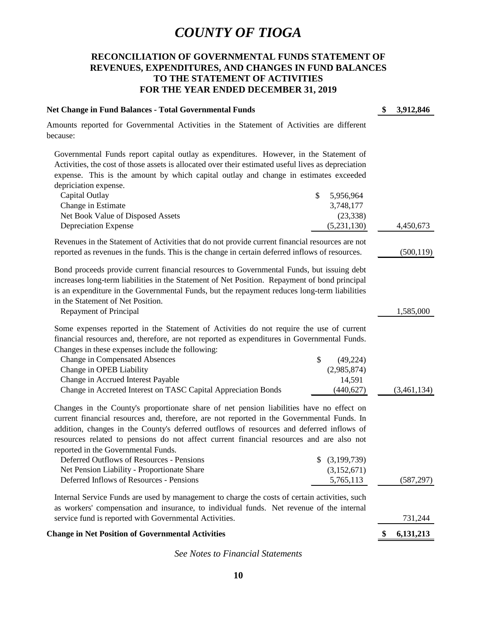## **RECONCILIATION OF GOVERNMENTAL FUNDS STATEMENT OF REVENUES, EXPENDITURES, AND CHANGES IN FUND BALANCES TO THE STATEMENT OF ACTIVITIES FOR THE YEAR ENDED DECEMBER 31, 2019**

#### **Net Change in Fund Balances - Total Governmental Funds 8 3,912,846**

Amounts reported for Governmental Activities in the Statement of Activities are different because:

Governmental Funds report capital outlay as expenditures. However, in the Statement of Activities, the cost of those assets is allocated over their estimated useful lives as depreciation expense. This is the amount by which capital outlay and change in estimates exceeded depriciation expense.

| Capital Outlay                    | <sup>S</sup> | 5.956.964   |           |
|-----------------------------------|--------------|-------------|-----------|
| Change in Estimate                |              | 3.748.177   |           |
| Net Book Value of Disposed Assets |              | (23, 338)   |           |
| Depreciation Expense              |              | (5,231,130) | 4.450.673 |

Revenues in the Statement of Activities that do not provide current financial resources are not reported as revenues in the funds. This is the change in certain deferred inflows of resources.

Bond proceeds provide current financial resources to Governmental Funds, but issuing debt increases long-term liabilities in the Statement of Net Position. Repayment of bond principal is an expenditure in the Governmental Funds, but the repayment reduces long-term liabilities in the Statement of Net Position.

Repayment of Principal 1,585,000

Some expenses reported in the Statement of Activities do not require the use of current financial resources and, therefore, are not reported as expenditures in Governmental Funds. Changes in these expenses include the following:

| <b>Change in Compensated Absences</b>                          | (49.224)    |             |
|----------------------------------------------------------------|-------------|-------------|
| Change in OPEB Liability                                       | (2,985,874) |             |
| Change in Accrued Interest Payable                             | 14.591      |             |
| Change in Accreted Interest on TASC Capital Appreciation Bonds | (440.627)   | (3,461,134) |

Changes in the County's proportionate share of net pension liabilities have no effect on current financial resources and, therefore, are not reported in the Governmental Funds. In addition, changes in the County's deferred outflows of resources and deferred inflows of resources related to pensions do not affect current financial resources and are also not reported in the Governmental Funds.

| Deferred Outflows of Resources - Pensions   | \$ (3,199,739) |            |
|---------------------------------------------|----------------|------------|
| Net Pension Liability - Proportionate Share | (3,152,671)    |            |
| Deferred Inflows of Resources - Pensions    | 5.765.113      | (587, 297) |

Internal Service Funds are used by management to charge the costs of certain activities, such as workers' compensation and insurance, to individual funds. Net revenue of the internal service fund is reported with Governmental Activities.

#### **Change in Net Position of Governmental Activities \$ 6,131,213**

*See Notes to Financial Statements*

(500,119)

731,244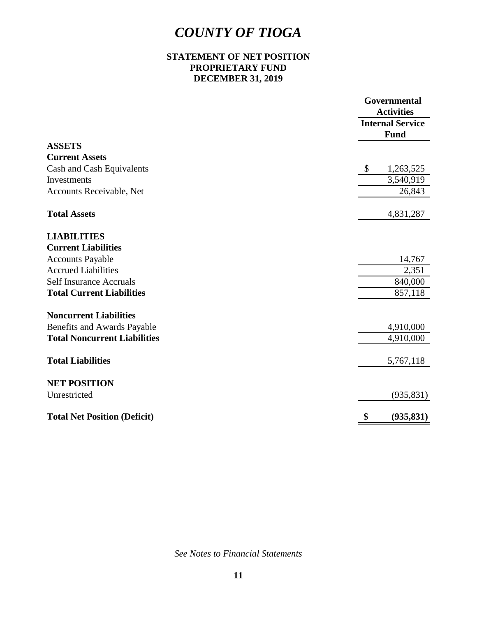## **STATEMENT OF NET POSITION PROPRIETARY FUND DECEMBER 31, 2019**

|                                     |                           | Governmental            |
|-------------------------------------|---------------------------|-------------------------|
|                                     |                           | <b>Activities</b>       |
|                                     |                           | <b>Internal Service</b> |
|                                     |                           | <b>Fund</b>             |
| <b>ASSETS</b>                       |                           |                         |
| <b>Current Assets</b>               |                           |                         |
| Cash and Cash Equivalents           | $\boldsymbol{\mathsf{S}}$ | 1,263,525               |
| Investments                         |                           | 3,540,919               |
| Accounts Receivable, Net            |                           | 26,843                  |
|                                     |                           |                         |
| <b>Total Assets</b>                 |                           | 4,831,287               |
| <b>LIABILITIES</b>                  |                           |                         |
| <b>Current Liabilities</b>          |                           |                         |
| <b>Accounts Payable</b>             |                           | 14,767                  |
| <b>Accrued Liabilities</b>          |                           | 2,351                   |
| <b>Self Insurance Accruals</b>      |                           | 840,000                 |
| <b>Total Current Liabilities</b>    |                           | 857,118                 |
| <b>Noncurrent Liabilities</b>       |                           |                         |
| Benefits and Awards Payable         |                           | 4,910,000               |
| <b>Total Noncurrent Liabilities</b> |                           | 4,910,000               |
|                                     |                           |                         |
| <b>Total Liabilities</b>            |                           | 5,767,118               |
| <b>NET POSITION</b>                 |                           |                         |
| Unrestricted                        |                           | (935, 831)              |
|                                     |                           |                         |
| <b>Total Net Position (Deficit)</b> | \$                        | (935, 831)              |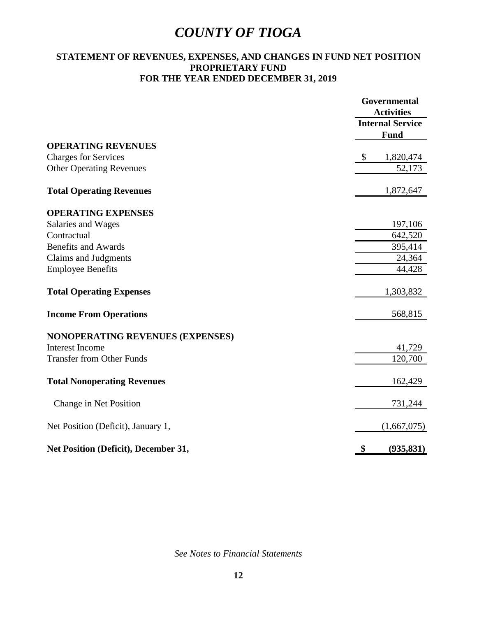## **STATEMENT OF REVENUES, EXPENSES, AND CHANGES IN FUND NET POSITION PROPRIETARY FUND FOR THE YEAR ENDED DECEMBER 31, 2019**

|                                      | Governmental<br><b>Activities</b>      |
|--------------------------------------|----------------------------------------|
|                                      | <b>Internal Service</b>                |
|                                      | <b>Fund</b>                            |
| <b>OPERATING REVENUES</b>            |                                        |
| <b>Charges for Services</b>          | $\boldsymbol{\mathsf{S}}$<br>1,820,474 |
| <b>Other Operating Revenues</b>      | 52,173                                 |
| <b>Total Operating Revenues</b>      | 1,872,647                              |
| <b>OPERATING EXPENSES</b>            |                                        |
| Salaries and Wages                   | 197,106                                |
| Contractual                          | 642,520                                |
| <b>Benefits and Awards</b>           | 395,414                                |
| <b>Claims and Judgments</b>          | 24,364                                 |
| <b>Employee Benefits</b>             | 44,428                                 |
| <b>Total Operating Expenses</b>      | 1,303,832                              |
| <b>Income From Operations</b>        | 568,815                                |
| NONOPERATING REVENUES (EXPENSES)     |                                        |
| <b>Interest Income</b>               | 41,729                                 |
| <b>Transfer from Other Funds</b>     | 120,700                                |
| <b>Total Nonoperating Revenues</b>   | 162,429                                |
| Change in Net Position               | 731,244                                |
| Net Position (Deficit), January 1,   | (1,667,075)                            |
| Net Position (Deficit), December 31, | \$<br>(935, 831)                       |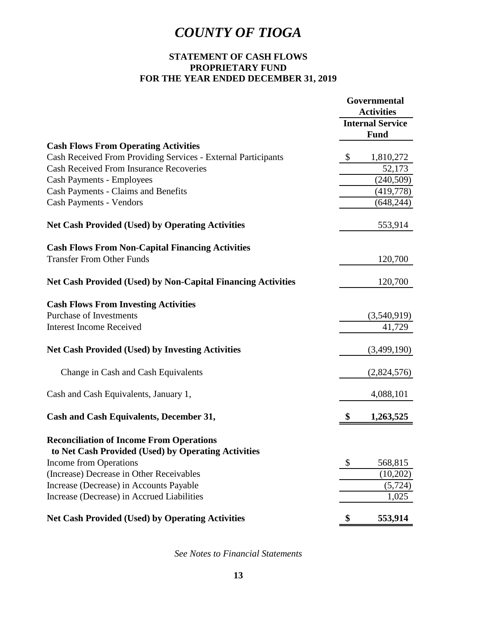## **STATEMENT OF CASH FLOWS PROPRIETARY FUND FOR THE YEAR ENDED DECEMBER 31, 2019**

|                                                                                                        |                            | Governmental<br><b>Activities</b>      |
|--------------------------------------------------------------------------------------------------------|----------------------------|----------------------------------------|
|                                                                                                        |                            | <b>Internal Service</b><br><b>Fund</b> |
| <b>Cash Flows From Operating Activities</b>                                                            |                            |                                        |
| Cash Received From Providing Services - External Participants                                          | \$                         | 1,810,272                              |
| <b>Cash Received From Insurance Recoveries</b>                                                         |                            | 52,173                                 |
| <b>Cash Payments - Employees</b>                                                                       |                            | (240,509)                              |
| <b>Cash Payments - Claims and Benefits</b>                                                             |                            | (419,778)                              |
| Cash Payments - Vendors                                                                                |                            | (648, 244)                             |
| <b>Net Cash Provided (Used) by Operating Activities</b>                                                |                            | 553,914                                |
| <b>Cash Flows From Non-Capital Financing Activities</b>                                                |                            |                                        |
| <b>Transfer From Other Funds</b>                                                                       |                            | 120,700                                |
| <b>Net Cash Provided (Used) by Non-Capital Financing Activities</b>                                    |                            | 120,700                                |
| <b>Cash Flows From Investing Activities</b>                                                            |                            |                                        |
| <b>Purchase of Investments</b>                                                                         |                            | (3,540,919)                            |
| <b>Interest Income Received</b>                                                                        |                            | 41,729                                 |
| <b>Net Cash Provided (Used) by Investing Activities</b>                                                |                            | (3,499,190)                            |
| Change in Cash and Cash Equivalents                                                                    |                            | (2,824,576)                            |
| Cash and Cash Equivalents, January 1,                                                                  |                            | 4,088,101                              |
| Cash and Cash Equivalents, December 31,                                                                | 5                          | 1,263,525                              |
| <b>Reconciliation of Income From Operations</b><br>to Net Cash Provided (Used) by Operating Activities |                            |                                        |
| <b>Income from Operations</b>                                                                          | $\boldsymbol{\mathsf{\$}}$ | 568,815                                |
| (Increase) Decrease in Other Receivables                                                               |                            | (10,202)                               |
| Increase (Decrease) in Accounts Payable                                                                |                            | (5, 724)                               |
| Increase (Decrease) in Accrued Liabilities                                                             |                            | 1,025                                  |
| <b>Net Cash Provided (Used) by Operating Activities</b>                                                | \$                         | 553,914                                |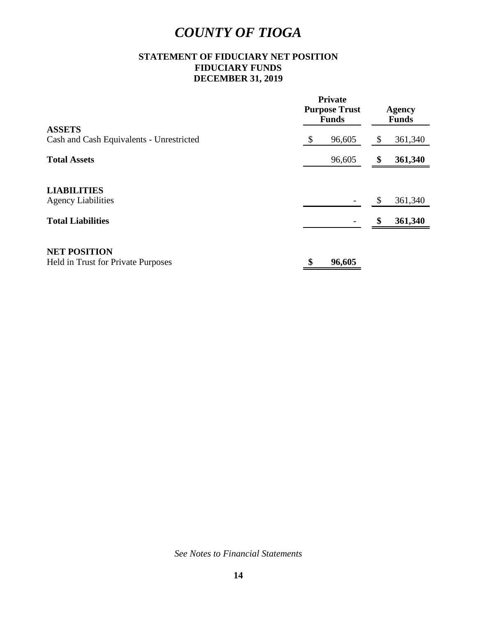## **STATEMENT OF FIDUCIARY NET POSITION FIDUCIARY FUNDS DECEMBER 31, 2019**

|                                                 | <b>Private</b><br><b>Purpose Trust</b><br><b>Funds</b> | <b>Agency</b><br><b>Funds</b> |         |  |
|-------------------------------------------------|--------------------------------------------------------|-------------------------------|---------|--|
| <b>ASSETS</b>                                   |                                                        |                               |         |  |
| Cash and Cash Equivalents - Unrestricted        | \$<br>96,605                                           | \$                            | 361,340 |  |
| <b>Total Assets</b>                             | 96,605                                                 | \$                            | 361,340 |  |
| <b>LIABILITIES</b><br><b>Agency Liabilities</b> |                                                        | \$                            | 361,340 |  |
| <b>Total Liabilities</b>                        |                                                        | \$                            | 361,340 |  |
| <b>NET POSITION</b>                             |                                                        |                               |         |  |
| <b>Held in Trust for Private Purposes</b>       | \$<br>96,605                                           |                               |         |  |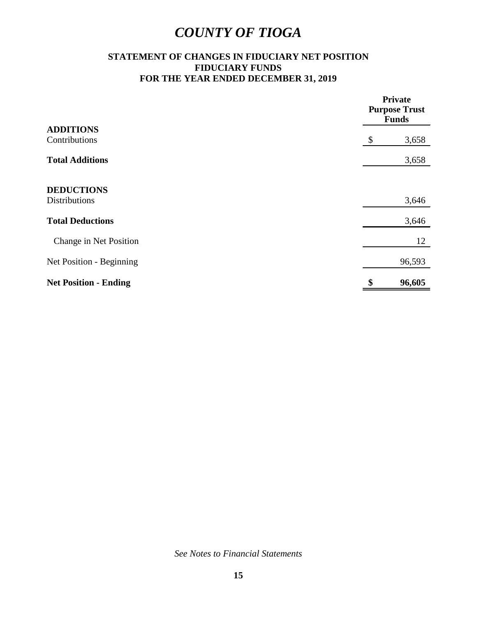## **STATEMENT OF CHANGES IN FIDUCIARY NET POSITION FIDUCIARY FUNDS FOR THE YEAR ENDED DECEMBER 31, 2019**

|                              | <b>Private</b><br><b>Purpose Trust</b><br><b>Funds</b> |        |  |  |
|------------------------------|--------------------------------------------------------|--------|--|--|
| <b>ADDITIONS</b>             |                                                        |        |  |  |
| Contributions                | \$                                                     | 3,658  |  |  |
| <b>Total Additions</b>       |                                                        | 3,658  |  |  |
| <b>DEDUCTIONS</b>            |                                                        |        |  |  |
| <b>Distributions</b>         |                                                        | 3,646  |  |  |
| <b>Total Deductions</b>      |                                                        | 3,646  |  |  |
| Change in Net Position       |                                                        | 12     |  |  |
| Net Position - Beginning     |                                                        | 96,593 |  |  |
| <b>Net Position - Ending</b> |                                                        | 96,605 |  |  |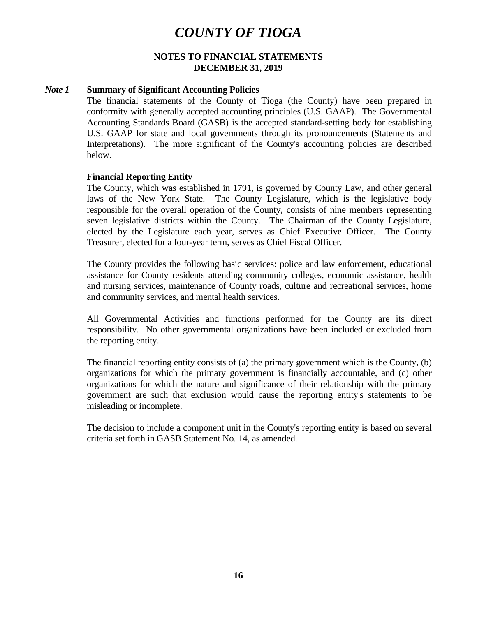## **NOTES TO FINANCIAL STATEMENTS DECEMBER 31, 2019**

### *Note 1* **Summary of Significant Accounting Policies**

The financial statements of the County of Tioga (the County) have been prepared in conformity with generally accepted accounting principles (U.S. GAAP). The Governmental Accounting Standards Board (GASB) is the accepted standard-setting body for establishing U.S. GAAP for state and local governments through its pronouncements (Statements and Interpretations). The more significant of the County's accounting policies are described below.

#### **Financial Reporting Entity**

The County, which was established in 1791, is governed by County Law, and other general laws of the New York State. The County Legislature, which is the legislative body responsible for the overall operation of the County, consists of nine members representing seven legislative districts within the County. The Chairman of the County Legislature, elected by the Legislature each year, serves as Chief Executive Officer. The County Treasurer, elected for a four-year term, serves as Chief Fiscal Officer.

The County provides the following basic services: police and law enforcement, educational assistance for County residents attending community colleges, economic assistance, health and nursing services, maintenance of County roads, culture and recreational services, home and community services, and mental health services.

All Governmental Activities and functions performed for the County are its direct responsibility. No other governmental organizations have been included or excluded from the reporting entity.

The financial reporting entity consists of (a) the primary government which is the County, (b) organizations for which the primary government is financially accountable, and (c) other organizations for which the nature and significance of their relationship with the primary government are such that exclusion would cause the reporting entity's statements to be misleading or incomplete.

The decision to include a component unit in the County's reporting entity is based on several criteria set forth in GASB Statement No. 14, as amended.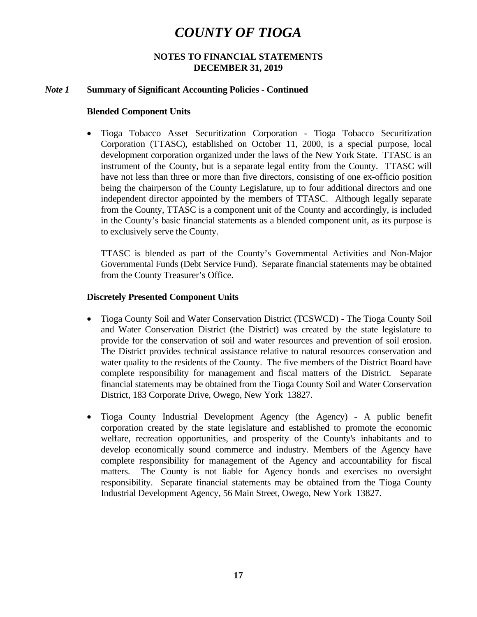## **NOTES TO FINANCIAL STATEMENTS DECEMBER 31, 2019**

## *Note 1* **Summary of Significant Accounting Policies - Continued**

#### **Blended Component Units**

• Tioga Tobacco Asset Securitization Corporation - Tioga Tobacco Securitization Corporation (TTASC), established on October 11, 2000, is a special purpose, local development corporation organized under the laws of the New York State. TTASC is an instrument of the County, but is a separate legal entity from the County. TTASC will have not less than three or more than five directors, consisting of one ex-officio position being the chairperson of the County Legislature, up to four additional directors and one independent director appointed by the members of TTASC. Although legally separate from the County, TTASC is a component unit of the County and accordingly, is included in the County's basic financial statements as a blended component unit, as its purpose is to exclusively serve the County.

TTASC is blended as part of the County's Governmental Activities and Non-Major Governmental Funds (Debt Service Fund). Separate financial statements may be obtained from the County Treasurer's Office.

#### **Discretely Presented Component Units**

- Tioga County Soil and Water Conservation District (TCSWCD) The Tioga County Soil and Water Conservation District (the District) was created by the state legislature to provide for the conservation of soil and water resources and prevention of soil erosion. The District provides technical assistance relative to natural resources conservation and water quality to the residents of the County. The five members of the District Board have complete responsibility for management and fiscal matters of the District. Separate financial statements may be obtained from the Tioga County Soil and Water Conservation District, 183 Corporate Drive, Owego, New York 13827.
- Tioga County Industrial Development Agency (the Agency) A public benefit corporation created by the state legislature and established to promote the economic welfare, recreation opportunities, and prosperity of the County's inhabitants and to develop economically sound commerce and industry. Members of the Agency have complete responsibility for management of the Agency and accountability for fiscal matters. The County is not liable for Agency bonds and exercises no oversight responsibility. Separate financial statements may be obtained from the Tioga County Industrial Development Agency, 56 Main Street, Owego, New York 13827.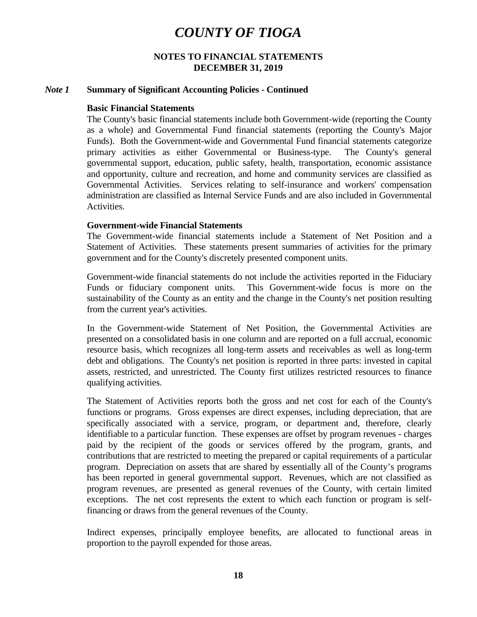### **NOTES TO FINANCIAL STATEMENTS DECEMBER 31, 2019**

## *Note 1* **Summary of Significant Accounting Policies - Continued**

#### **Basic Financial Statements**

The County's basic financial statements include both Government-wide (reporting the County as a whole) and Governmental Fund financial statements (reporting the County's Major Funds). Both the Government-wide and Governmental Fund financial statements categorize primary activities as either Governmental or Business-type. The County's general governmental support, education, public safety, health, transportation, economic assistance and opportunity, culture and recreation, and home and community services are classified as Governmental Activities. Services relating to self-insurance and workers' compensation administration are classified as Internal Service Funds and are also included in Governmental Activities.

#### **Government-wide Financial Statements**

The Government-wide financial statements include a Statement of Net Position and a Statement of Activities. These statements present summaries of activities for the primary government and for the County's discretely presented component units.

Government-wide financial statements do not include the activities reported in the Fiduciary Funds or fiduciary component units. This Government-wide focus is more on the sustainability of the County as an entity and the change in the County's net position resulting from the current year's activities.

In the Government-wide Statement of Net Position, the Governmental Activities are presented on a consolidated basis in one column and are reported on a full accrual, economic resource basis, which recognizes all long-term assets and receivables as well as long-term debt and obligations. The County's net position is reported in three parts: invested in capital assets, restricted, and unrestricted. The County first utilizes restricted resources to finance qualifying activities.

The Statement of Activities reports both the gross and net cost for each of the County's functions or programs. Gross expenses are direct expenses, including depreciation, that are specifically associated with a service, program, or department and, therefore, clearly identifiable to a particular function. These expenses are offset by program revenues - charges paid by the recipient of the goods or services offered by the program, grants, and contributions that are restricted to meeting the prepared or capital requirements of a particular program. Depreciation on assets that are shared by essentially all of the County's programs has been reported in general governmental support. Revenues, which are not classified as program revenues, are presented as general revenues of the County, with certain limited exceptions. The net cost represents the extent to which each function or program is selffinancing or draws from the general revenues of the County.

Indirect expenses, principally employee benefits, are allocated to functional areas in proportion to the payroll expended for those areas.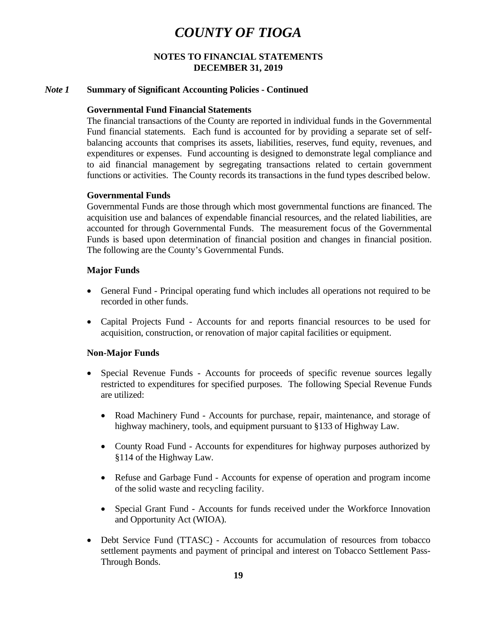## **NOTES TO FINANCIAL STATEMENTS DECEMBER 31, 2019**

## *Note 1* **Summary of Significant Accounting Policies - Continued**

### **Governmental Fund Financial Statements**

The financial transactions of the County are reported in individual funds in the Governmental Fund financial statements. Each fund is accounted for by providing a separate set of selfbalancing accounts that comprises its assets, liabilities, reserves, fund equity, revenues, and expenditures or expenses. Fund accounting is designed to demonstrate legal compliance and to aid financial management by segregating transactions related to certain government functions or activities. The County records its transactions in the fund types described below.

## **Governmental Funds**

Governmental Funds are those through which most governmental functions are financed. The acquisition use and balances of expendable financial resources, and the related liabilities, are accounted for through Governmental Funds. The measurement focus of the Governmental Funds is based upon determination of financial position and changes in financial position. The following are the County's Governmental Funds.

## **Major Funds**

- General Fund Principal operating fund which includes all operations not required to be recorded in other funds.
- Capital Projects Fund Accounts for and reports financial resources to be used for acquisition, construction, or renovation of major capital facilities or equipment.

## **Non-Major Funds**

- Special Revenue Funds Accounts for proceeds of specific revenue sources legally restricted to expenditures for specified purposes. The following Special Revenue Funds are utilized:
	- Road Machinery Fund Accounts for purchase, repair, maintenance, and storage of highway machinery, tools, and equipment pursuant to §133 of Highway Law.
	- County Road Fund Accounts for expenditures for highway purposes authorized by §114 of the Highway Law.
	- Refuse and Garbage Fund Accounts for expense of operation and program income of the solid waste and recycling facility.
	- Special Grant Fund Accounts for funds received under the Workforce Innovation and Opportunity Act (WIOA).
- Debt Service Fund (TTASC) Accounts for accumulation of resources from tobacco settlement payments and payment of principal and interest on Tobacco Settlement Pass-Through Bonds.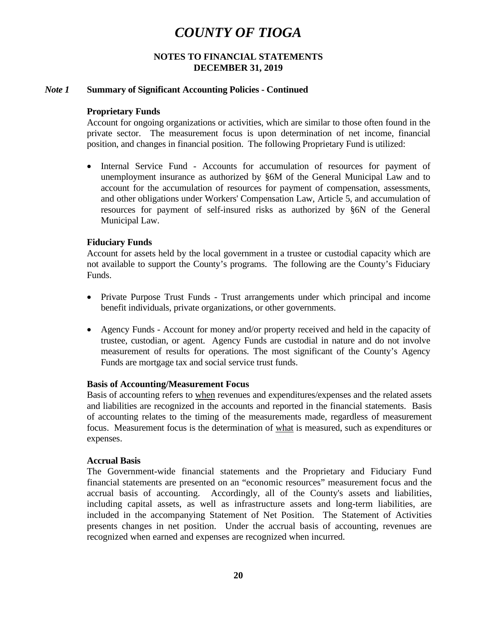### **NOTES TO FINANCIAL STATEMENTS DECEMBER 31, 2019**

## *Note 1* **Summary of Significant Accounting Policies - Continued**

#### **Proprietary Funds**

Account for ongoing organizations or activities, which are similar to those often found in the private sector. The measurement focus is upon determination of net income, financial position, and changes in financial position. The following Proprietary Fund is utilized:

• Internal Service Fund - Accounts for accumulation of resources for payment of unemployment insurance as authorized by §6M of the General Municipal Law and to account for the accumulation of resources for payment of compensation, assessments, and other obligations under Workers' Compensation Law, Article 5, and accumulation of resources for payment of self-insured risks as authorized by §6N of the General Municipal Law.

#### **Fiduciary Funds**

Account for assets held by the local government in a trustee or custodial capacity which are not available to support the County's programs. The following are the County's Fiduciary Funds.

- Private Purpose Trust Funds Trust arrangements under which principal and income benefit individuals, private organizations, or other governments.
- Agency Funds Account for money and/or property received and held in the capacity of trustee, custodian, or agent. Agency Funds are custodial in nature and do not involve measurement of results for operations. The most significant of the County's Agency Funds are mortgage tax and social service trust funds.

#### **Basis of Accounting/Measurement Focus**

Basis of accounting refers to when revenues and expenditures/expenses and the related assets and liabilities are recognized in the accounts and reported in the financial statements. Basis of accounting relates to the timing of the measurements made, regardless of measurement focus. Measurement focus is the determination of what is measured, such as expenditures or expenses.

#### **Accrual Basis**

The Government-wide financial statements and the Proprietary and Fiduciary Fund financial statements are presented on an "economic resources" measurement focus and the accrual basis of accounting. Accordingly, all of the County's assets and liabilities, including capital assets, as well as infrastructure assets and long-term liabilities, are included in the accompanying Statement of Net Position. The Statement of Activities presents changes in net position. Under the accrual basis of accounting, revenues are recognized when earned and expenses are recognized when incurred.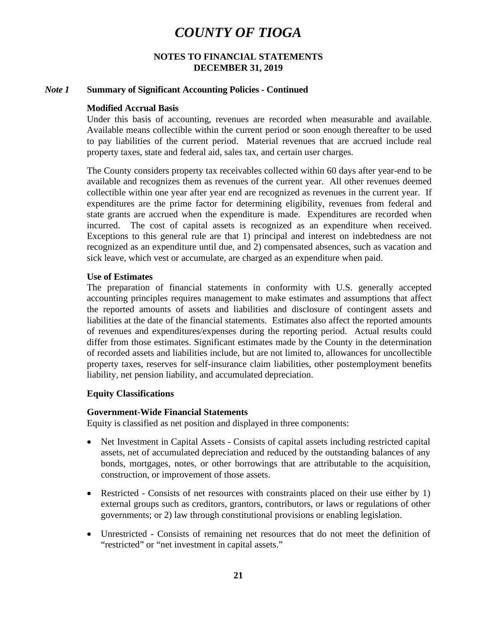# **NOTES TO FINANCIAL STATEMENTS DECEMBER 31, 2019**

### *Note 1* **Summary of Significant Accounting Policies - Continued**

#### **Modified Accrual Basis**

Under this basis of accounting, revenues are recorded when measurable and available. Available means collectible within the current period or soon enough thereafter to be used to pay liabilities of the current period. Material revenues that are accrued include real property taxes, state and federal aid, sales tax, and certain user charges.

The County considers property tax receivables collected within 60 days after year-end to be available and recognizes them as revenues of the current year. All other revenues deemed collectible within one year after year end are recognized as revenues in the current year. If expenditures are the prime factor for determining eligibility, revenues from federal and state grants are accrued when the expenditure is made. Expenditures are recorded when incurred. The cost of capital assets is recognized as an expenditure when received. Exceptions to this general rule are that 1) principal and interest on indebtedness are not recognized as an expenditure until due, and 2) compensated absences, such as vacation and sick leave, which vest or accumulate, are charged as an expenditure when paid.

#### **Use of Estimates**

The preparation of financial statements in conformity with U.S. generally accepted accounting principles requires management to make estimates and assumptions that affect the reported amounts of assets and liabilities and disclosure of contingent assets and liabilities at the date of the financial statements. Estimates also affect the reported amounts of revenues and expenditures/expenses during the reporting period. Actual results could differ from those estimates. Significant estimates made by the County in the determination of recorded assets and liabilities include, but are not limited to, allowances for uncollectible property taxes, reserves for self-insurance claim liabilities, other postemployment benefits liability, net pension liability, and accumulated depreciation.

# **Equity Classifications**

#### **Government-Wide Financial Statements**

Equity is classified as net position and displayed in three components:

- Net Investment in Capital Assets Consists of capital assets including restricted capital assets, net of accumulated depreciation and reduced by the outstanding balances of any bonds, mortgages, notes, or other borrowings that are attributable to the acquisition, construction, or improvement of those assets.
- Restricted Consists of net resources with constraints placed on their use either by 1) external groups such as creditors, grantors, contributors, or laws or regulations of other governments; or 2) law through constitutional provisions or enabling legislation.
- Unrestricted Consists of remaining net resources that do not meet the definition of "restricted" or "net investment in capital assets."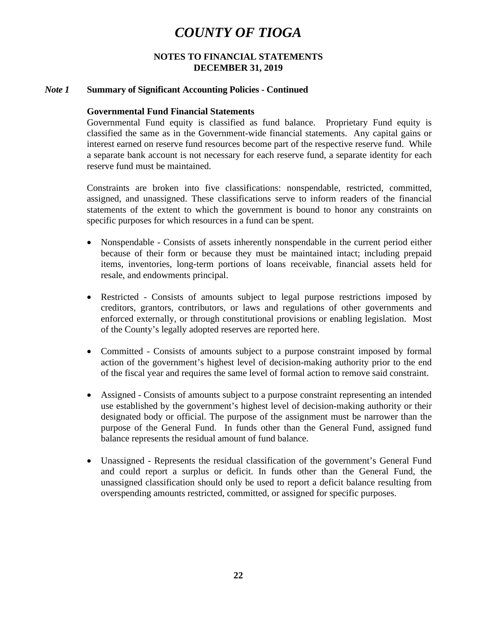### **NOTES TO FINANCIAL STATEMENTS DECEMBER 31, 2019**

# *Note 1* **Summary of Significant Accounting Policies - Continued**

### **Governmental Fund Financial Statements**

Governmental Fund equity is classified as fund balance. Proprietary Fund equity is classified the same as in the Government-wide financial statements. Any capital gains or interest earned on reserve fund resources become part of the respective reserve fund. While a separate bank account is not necessary for each reserve fund, a separate identity for each reserve fund must be maintained.

Constraints are broken into five classifications: nonspendable, restricted, committed, assigned, and unassigned. These classifications serve to inform readers of the financial statements of the extent to which the government is bound to honor any constraints on specific purposes for which resources in a fund can be spent.

- Nonspendable Consists of assets inherently nonspendable in the current period either because of their form or because they must be maintained intact; including prepaid items, inventories, long-term portions of loans receivable, financial assets held for resale, and endowments principal.
- Restricted Consists of amounts subject to legal purpose restrictions imposed by creditors, grantors, contributors, or laws and regulations of other governments and enforced externally, or through constitutional provisions or enabling legislation. Most of the County's legally adopted reserves are reported here.
- Committed Consists of amounts subject to a purpose constraint imposed by formal action of the government's highest level of decision-making authority prior to the end of the fiscal year and requires the same level of formal action to remove said constraint.
- Assigned Consists of amounts subject to a purpose constraint representing an intended use established by the government's highest level of decision-making authority or their designated body or official. The purpose of the assignment must be narrower than the purpose of the General Fund. In funds other than the General Fund, assigned fund balance represents the residual amount of fund balance.
- Unassigned Represents the residual classification of the government's General Fund and could report a surplus or deficit. In funds other than the General Fund, the unassigned classification should only be used to report a deficit balance resulting from overspending amounts restricted, committed, or assigned for specific purposes.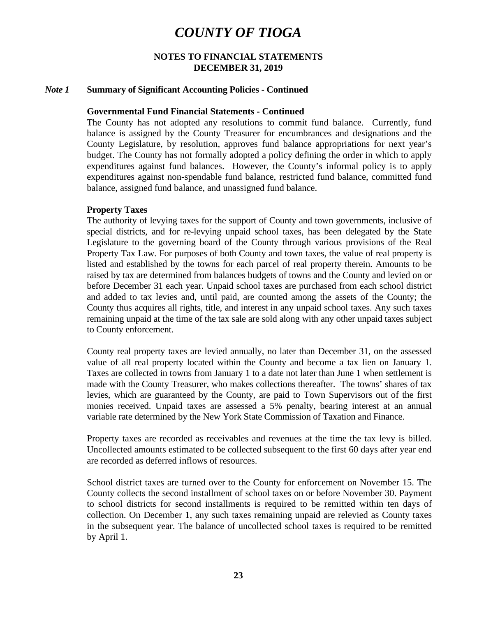### **NOTES TO FINANCIAL STATEMENTS DECEMBER 31, 2019**

# *Note 1* **Summary of Significant Accounting Policies - Continued**

#### **Governmental Fund Financial Statements - Continued**

The County has not adopted any resolutions to commit fund balance. Currently, fund balance is assigned by the County Treasurer for encumbrances and designations and the County Legislature, by resolution, approves fund balance appropriations for next year's budget. The County has not formally adopted a policy defining the order in which to apply expenditures against fund balances. However, the County's informal policy is to apply expenditures against non-spendable fund balance, restricted fund balance, committed fund balance, assigned fund balance, and unassigned fund balance.

#### **Property Taxes**

The authority of levying taxes for the support of County and town governments, inclusive of special districts, and for re-levying unpaid school taxes, has been delegated by the State Legislature to the governing board of the County through various provisions of the Real Property Tax Law. For purposes of both County and town taxes, the value of real property is listed and established by the towns for each parcel of real property therein. Amounts to be raised by tax are determined from balances budgets of towns and the County and levied on or before December 31 each year. Unpaid school taxes are purchased from each school district and added to tax levies and, until paid, are counted among the assets of the County; the County thus acquires all rights, title, and interest in any unpaid school taxes. Any such taxes remaining unpaid at the time of the tax sale are sold along with any other unpaid taxes subject to County enforcement.

County real property taxes are levied annually, no later than December 31, on the assessed value of all real property located within the County and become a tax lien on January 1. Taxes are collected in towns from January 1 to a date not later than June 1 when settlement is made with the County Treasurer, who makes collections thereafter. The towns' shares of tax levies, which are guaranteed by the County, are paid to Town Supervisors out of the first monies received. Unpaid taxes are assessed a 5% penalty, bearing interest at an annual variable rate determined by the New York State Commission of Taxation and Finance.

Property taxes are recorded as receivables and revenues at the time the tax levy is billed. Uncollected amounts estimated to be collected subsequent to the first 60 days after year end are recorded as deferred inflows of resources.

School district taxes are turned over to the County for enforcement on November 15. The County collects the second installment of school taxes on or before November 30. Payment to school districts for second installments is required to be remitted within ten days of collection. On December 1, any such taxes remaining unpaid are relevied as County taxes in the subsequent year. The balance of uncollected school taxes is required to be remitted by April 1.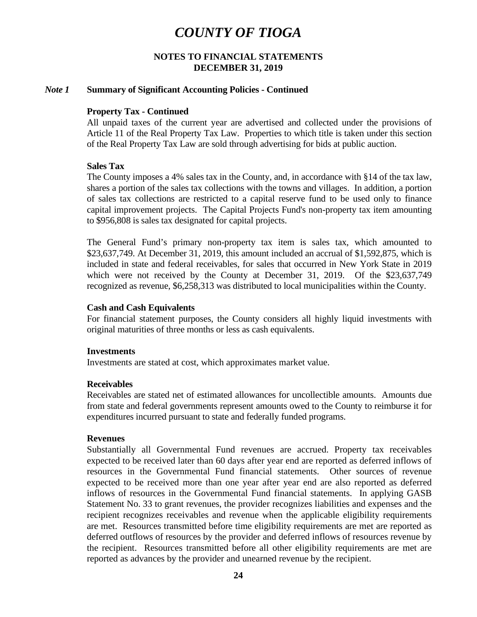### **NOTES TO FINANCIAL STATEMENTS DECEMBER 31, 2019**

# *Note 1* **Summary of Significant Accounting Policies - Continued**

#### **Property Tax - Continued**

All unpaid taxes of the current year are advertised and collected under the provisions of Article 11 of the Real Property Tax Law. Properties to which title is taken under this section of the Real Property Tax Law are sold through advertising for bids at public auction.

#### **Sales Tax**

The County imposes a 4% sales tax in the County, and, in accordance with §14 of the tax law, shares a portion of the sales tax collections with the towns and villages. In addition, a portion of sales tax collections are restricted to a capital reserve fund to be used only to finance capital improvement projects. The Capital Projects Fund's non-property tax item amounting to \$956,808 is sales tax designated for capital projects.

The General Fund's primary non-property tax item is sales tax, which amounted to \$23,637,749. At December 31, 2019, this amount included an accrual of \$1,592,875, which is included in state and federal receivables, for sales that occurred in New York State in 2019 which were not received by the County at December 31, 2019. Of the \$23,637,749 recognized as revenue, \$6,258,313 was distributed to local municipalities within the County.

#### **Cash and Cash Equivalents**

For financial statement purposes, the County considers all highly liquid investments with original maturities of three months or less as cash equivalents.

#### **Investments**

Investments are stated at cost, which approximates market value.

#### **Receivables**

Receivables are stated net of estimated allowances for uncollectible amounts. Amounts due from state and federal governments represent amounts owed to the County to reimburse it for expenditures incurred pursuant to state and federally funded programs.

#### **Revenues**

Substantially all Governmental Fund revenues are accrued. Property tax receivables expected to be received later than 60 days after year end are reported as deferred inflows of resources in the Governmental Fund financial statements. Other sources of revenue expected to be received more than one year after year end are also reported as deferred inflows of resources in the Governmental Fund financial statements. In applying GASB Statement No. 33 to grant revenues, the provider recognizes liabilities and expenses and the recipient recognizes receivables and revenue when the applicable eligibility requirements are met. Resources transmitted before time eligibility requirements are met are reported as deferred outflows of resources by the provider and deferred inflows of resources revenue by the recipient. Resources transmitted before all other eligibility requirements are met are reported as advances by the provider and unearned revenue by the recipient.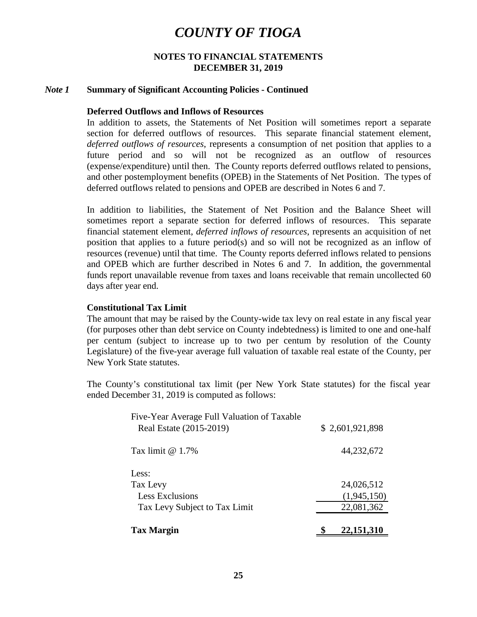### **NOTES TO FINANCIAL STATEMENTS DECEMBER 31, 2019**

### *Note 1* **Summary of Significant Accounting Policies - Continued**

# **Deferred Outflows and Inflows of Resources**

In addition to assets, the Statements of Net Position will sometimes report a separate section for deferred outflows of resources. This separate financial statement element, *deferred outflows of resources*, represents a consumption of net position that applies to a future period and so will not be recognized as an outflow of resources (expense/expenditure) until then. The County reports deferred outflows related to pensions, and other postemployment benefits (OPEB) in the Statements of Net Position. The types of deferred outflows related to pensions and OPEB are described in Notes 6 and 7.

In addition to liabilities, the Statement of Net Position and the Balance Sheet will sometimes report a separate section for deferred inflows of resources. This separate financial statement element, *deferred inflows of resources*, represents an acquisition of net position that applies to a future period(s) and so will not be recognized as an inflow of resources (revenue) until that time. The County reports deferred inflows related to pensions and OPEB which are further described in Notes 6 and 7. In addition, the governmental funds report unavailable revenue from taxes and loans receivable that remain uncollected 60 days after year end.

#### **Constitutional Tax Limit**

The amount that may be raised by the County-wide tax levy on real estate in any fiscal year (for purposes other than debt service on County indebtedness) is limited to one and one-half per centum (subject to increase up to two per centum by resolution of the County Legislature) of the five-year average full valuation of taxable real estate of the County, per New York State statutes.

The County's constitutional tax limit (per New York State statutes) for the fiscal year ended December 31, 2019 is computed as follows:

| <b>Tax Margin</b>                                                      | 22,151,310      |
|------------------------------------------------------------------------|-----------------|
| Tax Levy Subject to Tax Limit                                          | 22,081,362      |
| <b>Less Exclusions</b>                                                 | (1,945,150)     |
| Tax Levy                                                               | 24,026,512      |
| Less:                                                                  |                 |
| Tax limit $@1.7\%$                                                     | 44,232,672      |
| Five-Year Average Full Valuation of Taxable<br>Real Estate (2015-2019) | \$2,601,921,898 |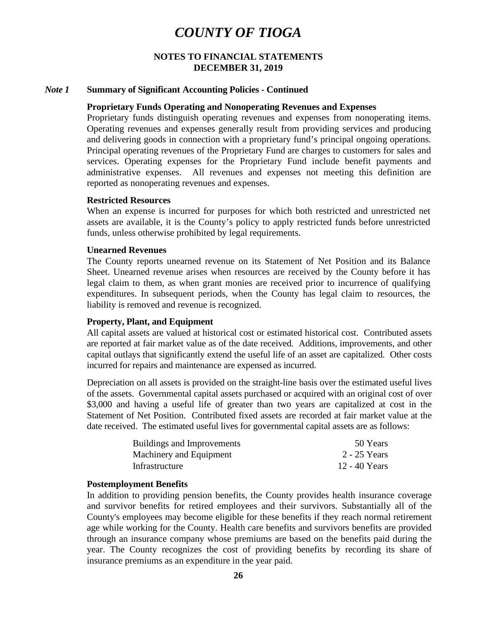### **NOTES TO FINANCIAL STATEMENTS DECEMBER 31, 2019**

### *Note 1* **Summary of Significant Accounting Policies - Continued**

#### **Proprietary Funds Operating and Nonoperating Revenues and Expenses**

Proprietary funds distinguish operating revenues and expenses from nonoperating items. Operating revenues and expenses generally result from providing services and producing and delivering goods in connection with a proprietary fund's principal ongoing operations. Principal operating revenues of the Proprietary Fund are charges to customers for sales and services. Operating expenses for the Proprietary Fund include benefit payments and administrative expenses. All revenues and expenses not meeting this definition are reported as nonoperating revenues and expenses.

#### **Restricted Resources**

When an expense is incurred for purposes for which both restricted and unrestricted net assets are available, it is the County's policy to apply restricted funds before unrestricted funds, unless otherwise prohibited by legal requirements.

#### **Unearned Revenues**

The County reports unearned revenue on its Statement of Net Position and its Balance Sheet. Unearned revenue arises when resources are received by the County before it has legal claim to them, as when grant monies are received prior to incurrence of qualifying expenditures. In subsequent periods, when the County has legal claim to resources, the liability is removed and revenue is recognized.

#### **Property, Plant, and Equipment**

All capital assets are valued at historical cost or estimated historical cost. Contributed assets are reported at fair market value as of the date received. Additions, improvements, and other capital outlays that significantly extend the useful life of an asset are capitalized. Other costs incurred for repairs and maintenance are expensed as incurred.

Depreciation on all assets is provided on the straight-line basis over the estimated useful lives of the assets. Governmental capital assets purchased or acquired with an original cost of over \$3,000 and having a useful life of greater than two years are capitalized at cost in the Statement of Net Position. Contributed fixed assets are recorded at fair market value at the date received. The estimated useful lives for governmental capital assets are as follows:

| Buildings and Improvements | 50 Years      |
|----------------------------|---------------|
| Machinery and Equipment    | 2 - 25 Years  |
| Infrastructure             | 12 - 40 Years |

#### **Postemployment Benefits**

In addition to providing pension benefits, the County provides health insurance coverage and survivor benefits for retired employees and their survivors. Substantially all of the County's employees may become eligible for these benefits if they reach normal retirement age while working for the County. Health care benefits and survivors benefits are provided through an insurance company whose premiums are based on the benefits paid during the year. The County recognizes the cost of providing benefits by recording its share of insurance premiums as an expenditure in the year paid.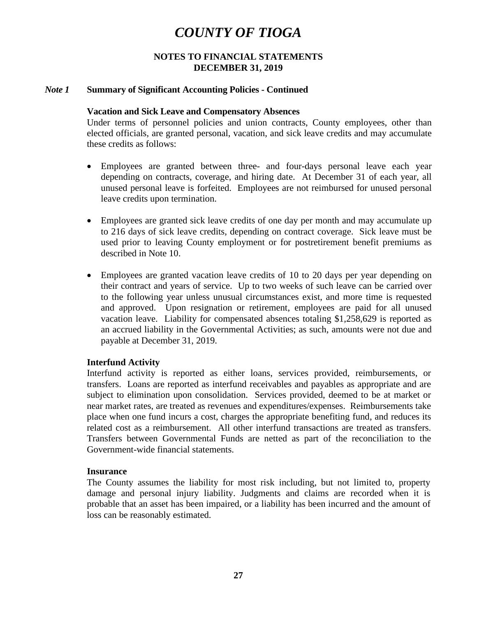### **NOTES TO FINANCIAL STATEMENTS DECEMBER 31, 2019**

# *Note 1* **Summary of Significant Accounting Policies - Continued**

#### **Vacation and Sick Leave and Compensatory Absences**

Under terms of personnel policies and union contracts, County employees, other than elected officials, are granted personal, vacation, and sick leave credits and may accumulate these credits as follows:

- Employees are granted between three- and four-days personal leave each year depending on contracts, coverage, and hiring date. At December 31 of each year, all unused personal leave is forfeited. Employees are not reimbursed for unused personal leave credits upon termination.
- Employees are granted sick leave credits of one day per month and may accumulate up to 216 days of sick leave credits, depending on contract coverage. Sick leave must be used prior to leaving County employment or for postretirement benefit premiums as described in Note 10.
- Employees are granted vacation leave credits of 10 to 20 days per year depending on their contract and years of service. Up to two weeks of such leave can be carried over to the following year unless unusual circumstances exist, and more time is requested and approved. Upon resignation or retirement, employees are paid for all unused vacation leave. Liability for compensated absences totaling \$1,258,629 is reported as an accrued liability in the Governmental Activities; as such, amounts were not due and payable at December 31, 2019.

# **Interfund Activity**

Interfund activity is reported as either loans, services provided, reimbursements, or transfers. Loans are reported as interfund receivables and payables as appropriate and are subject to elimination upon consolidation. Services provided, deemed to be at market or near market rates, are treated as revenues and expenditures/expenses. Reimbursements take place when one fund incurs a cost, charges the appropriate benefiting fund, and reduces its related cost as a reimbursement. All other interfund transactions are treated as transfers. Transfers between Governmental Funds are netted as part of the reconciliation to the Government-wide financial statements.

#### **Insurance**

The County assumes the liability for most risk including, but not limited to, property damage and personal injury liability. Judgments and claims are recorded when it is probable that an asset has been impaired, or a liability has been incurred and the amount of loss can be reasonably estimated.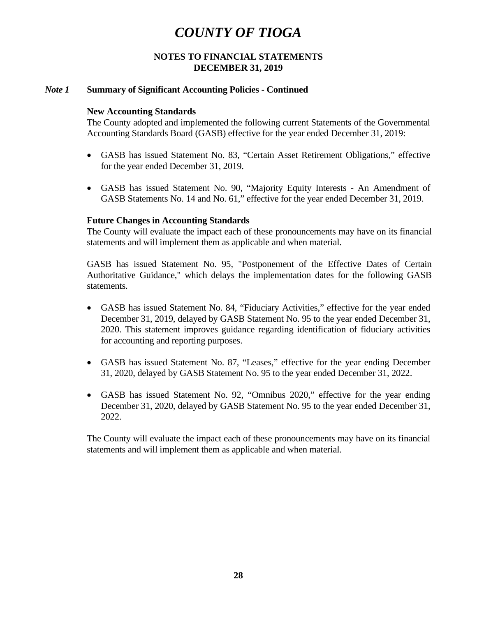### **NOTES TO FINANCIAL STATEMENTS DECEMBER 31, 2019**

# *Note 1* **Summary of Significant Accounting Policies - Continued**

#### **New Accounting Standards**

The County adopted and implemented the following current Statements of the Governmental Accounting Standards Board (GASB) effective for the year ended December 31, 2019:

- GASB has issued Statement No. 83, "Certain Asset Retirement Obligations," effective for the year ended December 31, 2019.
- GASB has issued Statement No. 90, "Majority Equity Interests An Amendment of GASB Statements No. 14 and No. 61," effective for the year ended December 31, 2019.

# **Future Changes in Accounting Standards**

The County will evaluate the impact each of these pronouncements may have on its financial statements and will implement them as applicable and when material.

GASB has issued Statement No. 95, "Postponement of the Effective Dates of Certain Authoritative Guidance," which delays the implementation dates for the following GASB statements.

- GASB has issued Statement No. 84, "Fiduciary Activities," effective for the year ended December 31, 2019, delayed by GASB Statement No. 95 to the year ended December 31, 2020. This statement improves guidance regarding identification of fiduciary activities for accounting and reporting purposes.
- GASB has issued Statement No. 87, "Leases," effective for the year ending December 31, 2020, delayed by GASB Statement No. 95 to the year ended December 31, 2022.
- GASB has issued Statement No. 92, "Omnibus 2020," effective for the year ending December 31, 2020, delayed by GASB Statement No. 95 to the year ended December 31, 2022.

The County will evaluate the impact each of these pronouncements may have on its financial statements and will implement them as applicable and when material.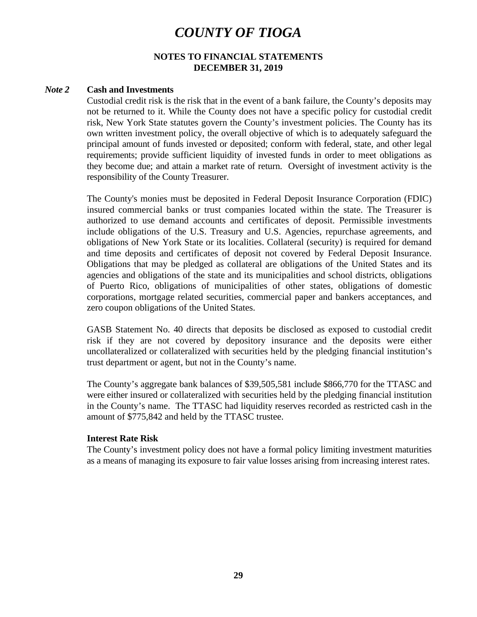# **NOTES TO FINANCIAL STATEMENTS DECEMBER 31, 2019**

### *Note 2* **Cash and Investments**

Custodial credit risk is the risk that in the event of a bank failure, the County's deposits may not be returned to it. While the County does not have a specific policy for custodial credit risk, New York State statutes govern the County's investment policies. The County has its own written investment policy, the overall objective of which is to adequately safeguard the principal amount of funds invested or deposited; conform with federal, state, and other legal requirements; provide sufficient liquidity of invested funds in order to meet obligations as they become due; and attain a market rate of return. Oversight of investment activity is the responsibility of the County Treasurer.

The County's monies must be deposited in Federal Deposit Insurance Corporation (FDIC) insured commercial banks or trust companies located within the state. The Treasurer is authorized to use demand accounts and certificates of deposit. Permissible investments include obligations of the U.S. Treasury and U.S. Agencies, repurchase agreements, and obligations of New York State or its localities. Collateral (security) is required for demand and time deposits and certificates of deposit not covered by Federal Deposit Insurance. Obligations that may be pledged as collateral are obligations of the United States and its agencies and obligations of the state and its municipalities and school districts, obligations of Puerto Rico, obligations of municipalities of other states, obligations of domestic corporations, mortgage related securities, commercial paper and bankers acceptances, and zero coupon obligations of the United States.

GASB Statement No. 40 directs that deposits be disclosed as exposed to custodial credit risk if they are not covered by depository insurance and the deposits were either uncollateralized or collateralized with securities held by the pledging financial institution's trust department or agent, but not in the County's name.

The County's aggregate bank balances of \$39,505,581 include \$866,770 for the TTASC and were either insured or collateralized with securities held by the pledging financial institution in the County's name. The TTASC had liquidity reserves recorded as restricted cash in the amount of \$775,842 and held by the TTASC trustee.

#### **Interest Rate Risk**

The County's investment policy does not have a formal policy limiting investment maturities as a means of managing its exposure to fair value losses arising from increasing interest rates.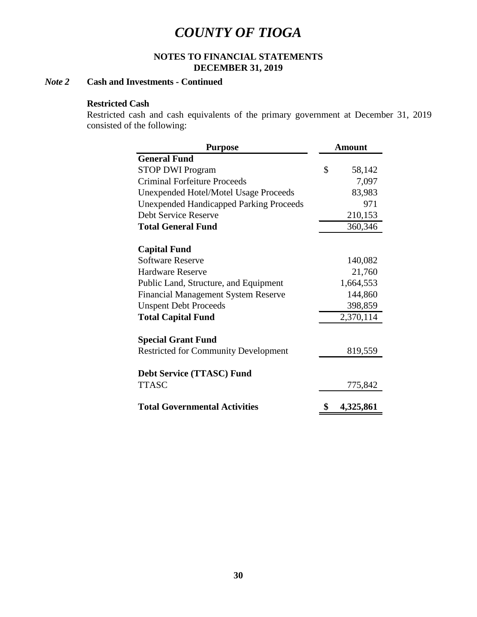# **NOTES TO FINANCIAL STATEMENTS DECEMBER 31, 2019**

# *Note 2* **Cash and Investments - Continued**

# **Restricted Cash**

Restricted cash and cash equivalents of the primary government at December 31, 2019 consisted of the following:

| Amount<br><b>Purpose</b>                       |    |           |
|------------------------------------------------|----|-----------|
| <b>General Fund</b>                            |    |           |
| <b>STOP DWI Program</b>                        | \$ | 58,142    |
| <b>Criminal Forfeiture Proceeds</b>            |    | 7,097     |
| <b>Unexpended Hotel/Motel Usage Proceeds</b>   |    | 83,983    |
| <b>Unexpended Handicapped Parking Proceeds</b> |    | 971       |
| Debt Service Reserve                           |    | 210,153   |
| <b>Total General Fund</b>                      |    | 360,346   |
|                                                |    |           |
| <b>Capital Fund</b>                            |    |           |
| <b>Software Reserve</b>                        |    | 140,082   |
| <b>Hardware Reserve</b>                        |    | 21,760    |
| Public Land, Structure, and Equipment          |    | 1,664,553 |
| <b>Financial Management System Reserve</b>     |    | 144,860   |
| <b>Unspent Debt Proceeds</b>                   |    | 398,859   |
| <b>Total Capital Fund</b>                      |    | 2,370,114 |
|                                                |    |           |
| <b>Special Grant Fund</b>                      |    |           |
| <b>Restricted for Community Development</b>    |    | 819,559   |
|                                                |    |           |
| <b>Debt Service (TTASC) Fund</b>               |    |           |
| <b>TTASC</b>                                   |    | 775,842   |
| <b>Total Governmental Activities</b>           | \$ | 4,325,861 |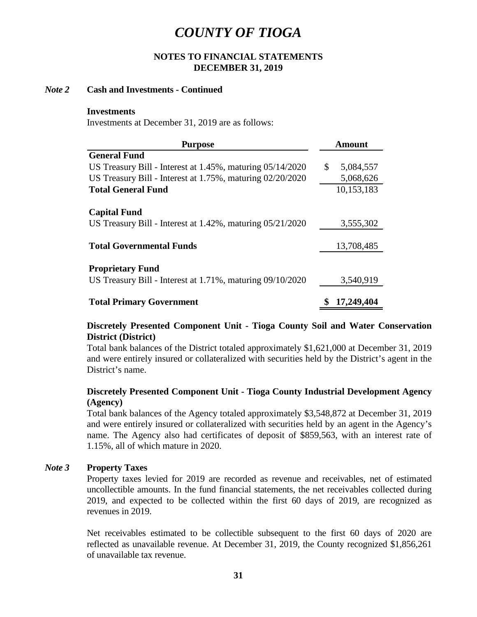### **NOTES TO FINANCIAL STATEMENTS DECEMBER 31, 2019**

### *Note 2* **Cash and Investments - Continued**

#### **Investments**

Investments at December 31, 2019 are as follows:

| <b>Purpose</b>                                            | Amount          |  |  |
|-----------------------------------------------------------|-----------------|--|--|
| <b>General Fund</b>                                       |                 |  |  |
| US Treasury Bill - Interest at 1.45%, maturing 05/14/2020 | \$<br>5,084,557 |  |  |
| US Treasury Bill - Interest at 1.75%, maturing 02/20/2020 | 5,068,626       |  |  |
| <b>Total General Fund</b>                                 | 10,153,183      |  |  |
| <b>Capital Fund</b>                                       |                 |  |  |
| US Treasury Bill - Interest at 1.42%, maturing 05/21/2020 | 3,555,302       |  |  |
| <b>Total Governmental Funds</b>                           | 13,708,485      |  |  |
| <b>Proprietary Fund</b>                                   |                 |  |  |
| US Treasury Bill - Interest at 1.71%, maturing 09/10/2020 | 3,540,919       |  |  |
| <b>Total Primary Government</b>                           | 17,249,404      |  |  |

# **Discretely Presented Component Unit - Tioga County Soil and Water Conservation District (District)**

Total bank balances of the District totaled approximately \$1,621,000 at December 31, 2019 and were entirely insured or collateralized with securities held by the District's agent in the District's name.

# **Discretely Presented Component Unit - Tioga County Industrial Development Agency (Agency)**

Total bank balances of the Agency totaled approximately \$3,548,872 at December 31, 2019 and were entirely insured or collateralized with securities held by an agent in the Agency's name. The Agency also had certificates of deposit of \$859,563, with an interest rate of 1.15%, all of which mature in 2020.

# *Note 3* **Property Taxes**

Property taxes levied for 2019 are recorded as revenue and receivables, net of estimated uncollectible amounts. In the fund financial statements, the net receivables collected during 2019, and expected to be collected within the first 60 days of 2019, are recognized as revenues in 2019.

Net receivables estimated to be collectible subsequent to the first 60 days of 2020 are reflected as unavailable revenue. At December 31, 2019, the County recognized \$1,856,261 of unavailable tax revenue.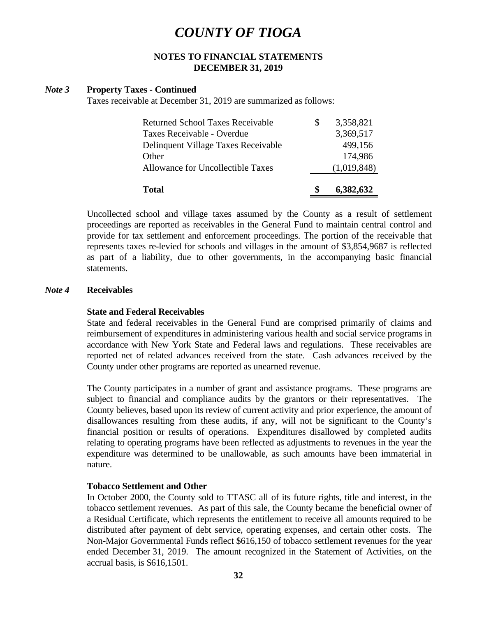### **NOTES TO FINANCIAL STATEMENTS DECEMBER 31, 2019**

#### *Note 3* **Property Taxes - Continued**

Taxes receivable at December 31, 2019 are summarized as follows:

| Total                               |   | 6,382,632   |
|-------------------------------------|---|-------------|
| Allowance for Uncollectible Taxes   |   | (1,019,848) |
| Other                               |   | 174,986     |
| Delinquent Village Taxes Receivable |   | 499,156     |
| Taxes Receivable - Overdue          |   | 3,369,517   |
| Returned School Taxes Receivable    | S | 3,358,821   |

Uncollected school and village taxes assumed by the County as a result of settlement proceedings are reported as receivables in the General Fund to maintain central control and provide for tax settlement and enforcement proceedings. The portion of the receivable that represents taxes re-levied for schools and villages in the amount of \$3,854,9687 is reflected as part of a liability, due to other governments, in the accompanying basic financial statements.

#### *Note 4* **Receivables**

#### **State and Federal Receivables**

State and federal receivables in the General Fund are comprised primarily of claims and reimbursement of expenditures in administering various health and social service programs in accordance with New York State and Federal laws and regulations. These receivables are reported net of related advances received from the state. Cash advances received by the County under other programs are reported as unearned revenue.

The County participates in a number of grant and assistance programs. These programs are subject to financial and compliance audits by the grantors or their representatives. The County believes, based upon its review of current activity and prior experience, the amount of disallowances resulting from these audits, if any, will not be significant to the County's financial position or results of operations. Expenditures disallowed by completed audits relating to operating programs have been reflected as adjustments to revenues in the year the expenditure was determined to be unallowable, as such amounts have been immaterial in nature.

#### **Tobacco Settlement and Other**

In October 2000, the County sold to TTASC all of its future rights, title and interest, in the tobacco settlement revenues. As part of this sale, the County became the beneficial owner of a Residual Certificate, which represents the entitlement to receive all amounts required to be distributed after payment of debt service, operating expenses, and certain other costs. The Non-Major Governmental Funds reflect \$616,150 of tobacco settlement revenues for the year ended December 31, 2019. The amount recognized in the Statement of Activities, on the accrual basis, is \$616,1501.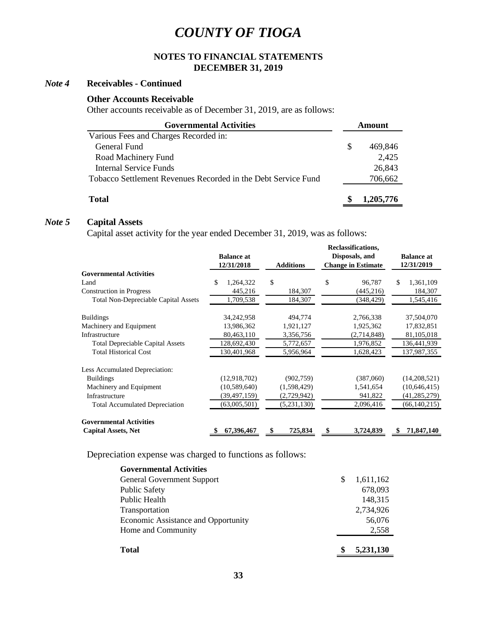# **NOTES TO FINANCIAL STATEMENTS DECEMBER 31, 2019**

# *Note 4* **Receivables - Continued**

#### **Other Accounts Receivable**

Other accounts receivable as of December 31, 2019, are as follows:

| <b>Governmental Activities</b>                                |   | Amount    |
|---------------------------------------------------------------|---|-----------|
| Various Fees and Charges Recorded in:                         |   |           |
| General Fund                                                  | S | 469,846   |
| Road Machinery Fund                                           |   | 2,425     |
| <b>Internal Service Funds</b>                                 |   | 26,843    |
| Tobacco Settlement Revenues Recorded in the Debt Service Fund |   | 706,662   |
| <b>Total</b>                                                  |   | 1,205,776 |
|                                                               |   |           |

# *Note 5* **Capital Assets**

Capital asset activity for the year ended December 31, 2019, was as follows:

|                                             | <b>Balance at</b><br>12/31/2018 | <b>Additions</b> | Reclassifications,<br>Disposals, and<br><b>Change in Estimate</b> | <b>Balance at</b><br>12/31/2019 |
|---------------------------------------------|---------------------------------|------------------|-------------------------------------------------------------------|---------------------------------|
| <b>Governmental Activities</b>              |                                 |                  |                                                                   |                                 |
| Land                                        | \$<br>1,264,322                 | \$               | \$<br>96,787                                                      | \$<br>1,361,109                 |
| <b>Construction in Progress</b>             | 445,216                         | 184,307          | (445, 216)                                                        | 184,307                         |
| <b>Total Non-Depreciable Capital Assets</b> | 1,709,538                       | 184,307          | (348, 429)                                                        | 1,545,416                       |
| <b>Buildings</b>                            | 34,242,958                      | 494,774          | 2,766,338                                                         | 37,504,070                      |
| Machinery and Equipment                     | 13,986,362                      | 1,921,127        | 1,925,362                                                         | 17,832,851                      |
| Infrastructure                              | 80,463,110                      | 3,356,756        | (2,714,848)                                                       | 81,105,018                      |
| <b>Total Depreciable Capital Assets</b>     | 128,692,430                     | 5,772,657        | 1,976,852                                                         | 136,441,939                     |
| <b>Total Historical Cost</b>                | 130,401,968                     | 5,956,964        | 1,628,423                                                         | 137,987,355                     |
| Less Accumulated Depreciation:              |                                 |                  |                                                                   |                                 |
| <b>Buildings</b>                            | (12,918,702)                    | (902, 759)       | (387,060)                                                         | (14,208,521)                    |
| Machinery and Equipment                     | (10, 589, 640)                  | (1,598,429)      | 1,541,654                                                         | (10,646,415)                    |
| Infrastructure                              | (39, 497, 159)                  | (2,729,942)      | 941,822                                                           | (41, 285, 279)                  |
| <b>Total Accumulated Depreciation</b>       | (63,005,501)                    | (5,231,130)      | 2,096,416                                                         | (66, 140, 215)                  |
| <b>Governmental Activities</b>              |                                 |                  |                                                                   |                                 |
| <b>Capital Assets, Net</b>                  | 67,396,467<br>\$                | \$<br>725,834    | \$<br>3,724,839                                                   | 71,847,140<br>\$                |

Depreciation expense was charged to functions as follows:

| <b>Governmental Activities</b>      |   |           |
|-------------------------------------|---|-----------|
| <b>General Government Support</b>   | S | 1,611,162 |
| <b>Public Safety</b>                |   | 678,093   |
| Public Health                       |   | 148,315   |
| Transportation                      |   | 2,734,926 |
| Economic Assistance and Opportunity |   | 56,076    |
| Home and Community                  |   | 2,558     |
|                                     |   |           |
| Total                               |   | 5,231,130 |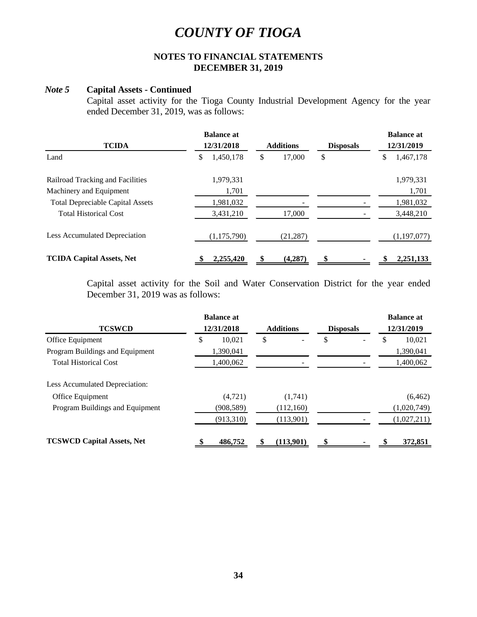# **NOTES TO FINANCIAL STATEMENTS DECEMBER 31, 2019**

# *Note 5* **Capital Assets - Continued**

Capital asset activity for the Tioga County Industrial Development Agency for the year ended December 31, 2019, was as follows:

|                                         | <b>Balance at</b> |                  |                  | <b>Balance at</b> |
|-----------------------------------------|-------------------|------------------|------------------|-------------------|
| <b>TCIDA</b>                            | 12/31/2018        | <b>Additions</b> | <b>Disposals</b> | 12/31/2019        |
| Land                                    | 1,450,178<br>\$   | \$<br>17,000     | \$               | 1,467,178<br>\$   |
| Railroad Tracking and Facilities        | 1,979,331         |                  |                  | 1,979,331         |
| Machinery and Equipment                 | 1,701             |                  |                  | 1,701             |
| <b>Total Depreciable Capital Assets</b> | 1,981,032         |                  |                  | 1,981,032         |
| <b>Total Historical Cost</b>            | 3,431,210         | 17,000           |                  | 3,448,210         |
| Less Accumulated Depreciation           | (1,175,790)       | (21, 287)        |                  | (1,197,077)       |
| <b>TCIDA Capital Assets, Net</b>        | 2,255,420         | (4, 287)         |                  | 2,251,133         |

Capital asset activity for the Soil and Water Conservation District for the year ended December 31, 2019 was as follows:

|                                   | <b>Balance at</b> |                  |                  | <b>Balance at</b> |
|-----------------------------------|-------------------|------------------|------------------|-------------------|
| <b>TCSWCD</b>                     | 12/31/2018        | <b>Additions</b> | <b>Disposals</b> | 12/31/2019        |
| Office Equipment                  | 10,021<br>\$      | \$               | \$               | 10,021<br>S       |
| Program Buildings and Equipment   | 1,390,041         |                  |                  | 1,390,041         |
| <b>Total Historical Cost</b>      | 1,400,062         |                  |                  | 1,400,062         |
| Less Accumulated Depreciation:    |                   |                  |                  |                   |
| Office Equipment                  | (4,721)           | (1,741)          |                  | (6, 462)          |
| Program Buildings and Equipment   | (908, 589)        | (112,160)        |                  | (1,020,749)       |
|                                   | (913, 310)        | (113,901)        |                  | (1,027,211)       |
| <b>TCSWCD Capital Assets, Net</b> | 486,752           | (113,901)<br>\$  |                  | 372,851           |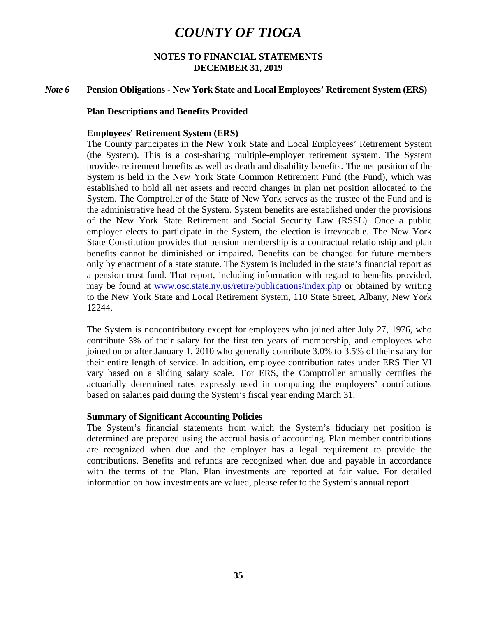### **NOTES TO FINANCIAL STATEMENTS DECEMBER 31, 2019**

#### *Note 6* **Pension Obligations - New York State and Local Employees' Retirement System (ERS)**

#### **Plan Descriptions and Benefits Provided**

#### **Employees' Retirement System (ERS)**

The County participates in the New York State and Local Employees' Retirement System (the System). This is a cost-sharing multiple-employer retirement system. The System provides retirement benefits as well as death and disability benefits. The net position of the System is held in the New York State Common Retirement Fund (the Fund), which was established to hold all net assets and record changes in plan net position allocated to the System. The Comptroller of the State of New York serves as the trustee of the Fund and is the administrative head of the System. System benefits are established under the provisions of the New York State Retirement and Social Security Law (RSSL). Once a public employer elects to participate in the System, the election is irrevocable. The New York State Constitution provides that pension membership is a contractual relationship and plan benefits cannot be diminished or impaired. Benefits can be changed for future members only by enactment of a state statute. The System is included in the state's financial report as a pension trust fund. That report, including information with regard to benefits provided, may be found at [www.osc.state.ny.us/retire/publications/index.php](http://www.osc.state.ny.us/retire/publications/index.php) or obtained by writing to the New York State and Local Retirement System, 110 State Street, Albany, New York 12244.

The System is noncontributory except for employees who joined after July 27, 1976, who contribute 3% of their salary for the first ten years of membership, and employees who joined on or after January 1, 2010 who generally contribute 3.0% to 3.5% of their salary for their entire length of service. In addition, employee contribution rates under ERS Tier VI vary based on a sliding salary scale. For ERS, the Comptroller annually certifies the actuarially determined rates expressly used in computing the employers' contributions based on salaries paid during the System's fiscal year ending March 31.

#### **Summary of Significant Accounting Policies**

The System's financial statements from which the System's fiduciary net position is determined are prepared using the accrual basis of accounting. Plan member contributions are recognized when due and the employer has a legal requirement to provide the contributions. Benefits and refunds are recognized when due and payable in accordance with the terms of the Plan. Plan investments are reported at fair value. For detailed information on how investments are valued, please refer to the System's annual report.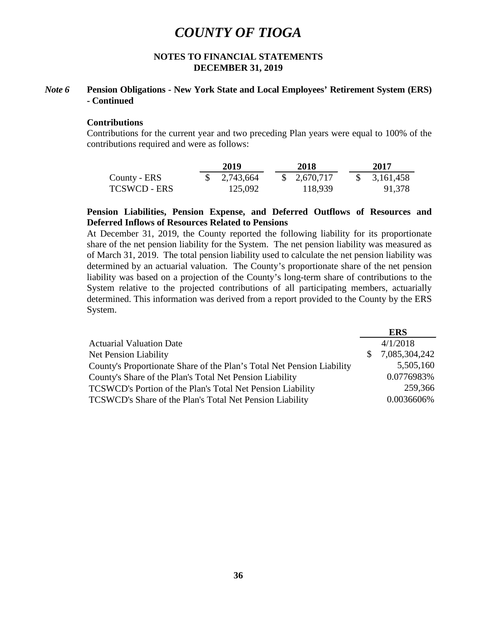#### **NOTES TO FINANCIAL STATEMENTS DECEMBER 31, 2019**

# *Note 6* **Pension Obligations - New York State and Local Employees' Retirement System (ERS) - Continued**

#### **Contributions**

Contributions for the current year and two preceding Plan years were equal to 100% of the contributions required and were as follows:

|                     | 2019                   |  | 2018        |  | 2017        |
|---------------------|------------------------|--|-------------|--|-------------|
| County - ERS        | $\frac{\$}{2,743,664}$ |  | \$2,670,717 |  | \$3,161,458 |
| <b>TCSWCD - ERS</b> | 125,092                |  | 118,939     |  | 91,378      |

#### **Pension Liabilities, Pension Expense, and Deferred Outflows of Resources and Deferred Inflows of Resources Related to Pensions**

At December 31, 2019, the County reported the following liability for its proportionate share of the net pension liability for the System. The net pension liability was measured as of March 31, 2019. The total pension liability used to calculate the net pension liability was determined by an actuarial valuation. The County's proportionate share of the net pension liability was based on a projection of the County's long-term share of contributions to the System relative to the projected contributions of all participating members, actuarially determined. This information was derived from a report provided to the County by the ERS System.

|                                                                        |     | <b>ERS</b>    |
|------------------------------------------------------------------------|-----|---------------|
| <b>Actuarial Valuation Date</b>                                        |     | 4/1/2018      |
| Net Pension Liability                                                  | SS. | 7,085,304,242 |
| County's Proportionate Share of the Plan's Total Net Pension Liability |     | 5,505,160     |
| County's Share of the Plan's Total Net Pension Liability               |     | 0.0776983%    |
| TCSWCD's Portion of the Plan's Total Net Pension Liability             |     | 259,366       |
| TCSWCD's Share of the Plan's Total Net Pension Liability               |     | 0.0036606%    |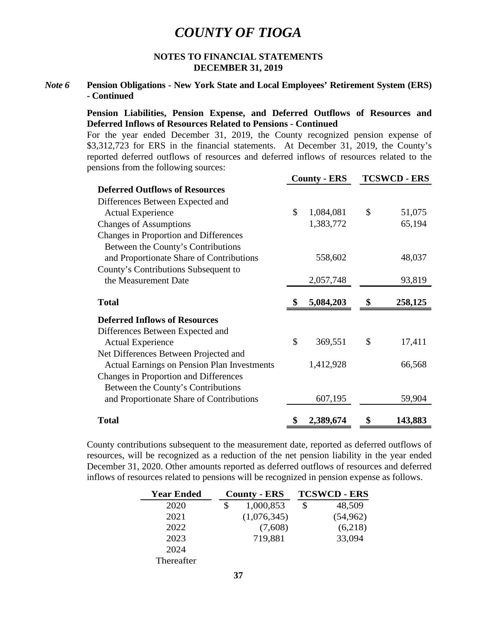#### **NOTES TO FINANCIAL STATEMENTS DECEMBER 31, 2019**

#### *Note 6* **Pension Obligations - New York State and Local Employees' Retirement System (ERS) - Continued**

**Pension Liabilities, Pension Expense, and Deferred Outflows of Resources and Deferred Inflows of Resources Related to Pensions - Continued**

For the year ended December 31, 2019, the County recognized pension expense of \$3,312,723 for ERS in the financial statements. At December 31, 2019, the County's reported deferred outflows of resources and deferred inflows of resources related to the pensions from the following sources:

|                                                    | <b>County - ERS</b> | <b>TCSWCD - ERS</b> |  |
|----------------------------------------------------|---------------------|---------------------|--|
| <b>Deferred Outflows of Resources</b>              |                     |                     |  |
| Differences Between Expected and                   |                     |                     |  |
| <b>Actual Experience</b>                           | \$<br>1,084,081     | \$<br>51,075        |  |
| <b>Changes of Assumptions</b>                      | 1,383,772           | 65,194              |  |
| Changes in Proportion and Differences              |                     |                     |  |
| Between the County's Contributions                 |                     |                     |  |
| and Proportionate Share of Contributions           | 558,602             | 48,037              |  |
| County's Contributions Subsequent to               |                     |                     |  |
| the Measurement Date                               | 2,057,748           | 93,819              |  |
|                                                    |                     |                     |  |
| <b>Total</b>                                       | 5,084,203           | 258,125             |  |
| <b>Deferred Inflows of Resources</b>               |                     |                     |  |
| Differences Between Expected and                   |                     |                     |  |
| <b>Actual Experience</b>                           | \$<br>369,551       | \$<br>17,411        |  |
| Net Differences Between Projected and              |                     |                     |  |
| <b>Actual Earnings on Pension Plan Investments</b> | 1,412,928           | 66,568              |  |
| Changes in Proportion and Differences              |                     |                     |  |
| Between the County's Contributions                 |                     |                     |  |
| and Proportionate Share of Contributions           | 607,195             | 59,904              |  |
| <b>Total</b>                                       | 2,389,674           | 143,883             |  |
|                                                    |                     |                     |  |

County contributions subsequent to the measurement date, reported as deferred outflows of resources, will be recognized as a reduction of the net pension liability in the year ended December 31, 2020. Other amounts reported as deferred outflows of resources and deferred inflows of resources related to pensions will be recognized in pension expense as follows.

| <b>Year Ended</b> | <b>County - ERS</b> | <b>TCSWCD - ERS</b> |
|-------------------|---------------------|---------------------|
| 2020              | 1,000,853           | \$<br>48,509        |
| 2021              | (1,076,345)         | (54, 962)           |
| 2022              | (7,608)             | (6,218)             |
| 2023              | 719,881             | 33,094              |
| 2024              |                     |                     |
| Thereafter        |                     |                     |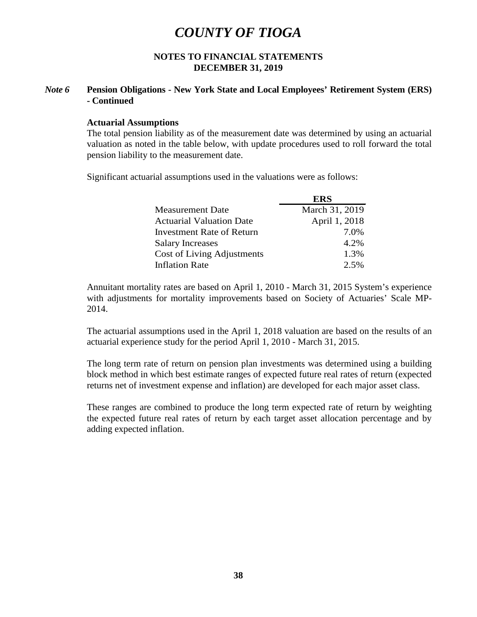### **NOTES TO FINANCIAL STATEMENTS DECEMBER 31, 2019**

# *Note 6* **Pension Obligations - New York State and Local Employees' Retirement System (ERS) - Continued**

#### **Actuarial Assumptions**

The total pension liability as of the measurement date was determined by using an actuarial valuation as noted in the table below, with update procedures used to roll forward the total pension liability to the measurement date.

Significant actuarial assumptions used in the valuations were as follows:

|                                   | ERS            |
|-----------------------------------|----------------|
| <b>Measurement Date</b>           | March 31, 2019 |
| <b>Actuarial Valuation Date</b>   | April 1, 2018  |
| <b>Investment Rate of Return</b>  | 7.0%           |
| <b>Salary Increases</b>           | 4.2%           |
| <b>Cost of Living Adjustments</b> | 1.3%           |
| <b>Inflation Rate</b>             | 2.5%           |

Annuitant mortality rates are based on April 1, 2010 - March 31, 2015 System's experience with adjustments for mortality improvements based on Society of Actuaries' Scale MP-2014.

The actuarial assumptions used in the April 1, 2018 valuation are based on the results of an actuarial experience study for the period April 1, 2010 - March 31, 2015.

The long term rate of return on pension plan investments was determined using a building block method in which best estimate ranges of expected future real rates of return (expected returns net of investment expense and inflation) are developed for each major asset class.

These ranges are combined to produce the long term expected rate of return by weighting the expected future real rates of return by each target asset allocation percentage and by adding expected inflation.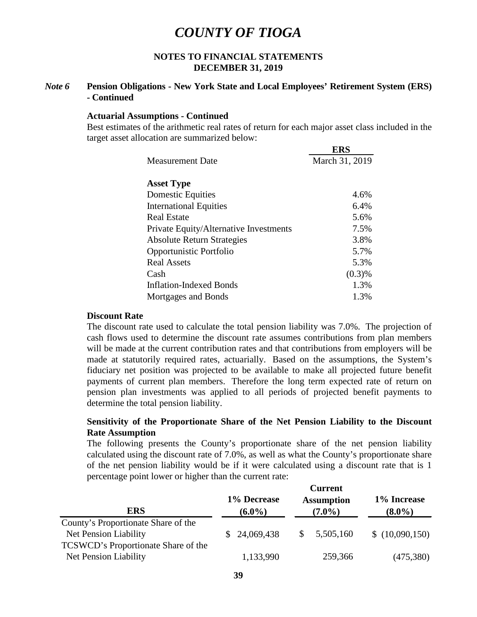#### **NOTES TO FINANCIAL STATEMENTS DECEMBER 31, 2019**

# *Note 6* **Pension Obligations - New York State and Local Employees' Retirement System (ERS) - Continued**

#### **Actuarial Assumptions - Continued**

Best estimates of the arithmetic real rates of return for each major asset class included in the target asset allocation are summarized below:

**ERS**

|                                        | LKƏ            |
|----------------------------------------|----------------|
| <b>Measurement Date</b>                | March 31, 2019 |
| <b>Asset Type</b>                      |                |
| <b>Domestic Equities</b>               | 4.6%           |
| <b>International Equities</b>          | 6.4%           |
| <b>Real Estate</b>                     | 5.6%           |
| Private Equity/Alternative Investments | 7.5%           |
| <b>Absolute Return Strategies</b>      | 3.8%           |
| Opportunistic Portfolio                | 5.7%           |
| <b>Real Assets</b>                     | 5.3%           |
| Cash                                   | (0.3)%         |
| <b>Inflation-Indexed Bonds</b>         | 1.3%           |
| Mortgages and Bonds                    | 1.3%           |

#### **Discount Rate**

The discount rate used to calculate the total pension liability was 7.0%. The projection of cash flows used to determine the discount rate assumes contributions from plan members will be made at the current contribution rates and that contributions from employers will be made at statutorily required rates, actuarially. Based on the assumptions, the System's fiduciary net position was projected to be available to make all projected future benefit payments of current plan members. Therefore the long term expected rate of return on pension plan investments was applied to all periods of projected benefit payments to determine the total pension liability.

### **Sensitivity of the Proportionate Share of the Net Pension Liability to the Discount Rate Assumption**

The following presents the County's proportionate share of the net pension liability calculated using the discount rate of 7.0%, as well as what the County's proportionate share of the net pension liability would be if it were calculated using a discount rate that is 1 percentage point lower or higher than the current rate:

|                                     | <b>Current</b>           |                                |                          |  |
|-------------------------------------|--------------------------|--------------------------------|--------------------------|--|
| <b>ERS</b>                          | 1% Decrease<br>$(6.0\%)$ | <b>Assumption</b><br>$(7.0\%)$ | 1% Increase<br>$(8.0\%)$ |  |
| County's Proportionate Share of the |                          |                                |                          |  |
| Net Pension Liability               | \$24,069,438             | 5,505,160                      | \$(10,090,150)           |  |
| TCSWCD's Proportionate Share of the |                          |                                |                          |  |
| Net Pension Liability               | 1,133,990                | 259,366                        | (475,380)                |  |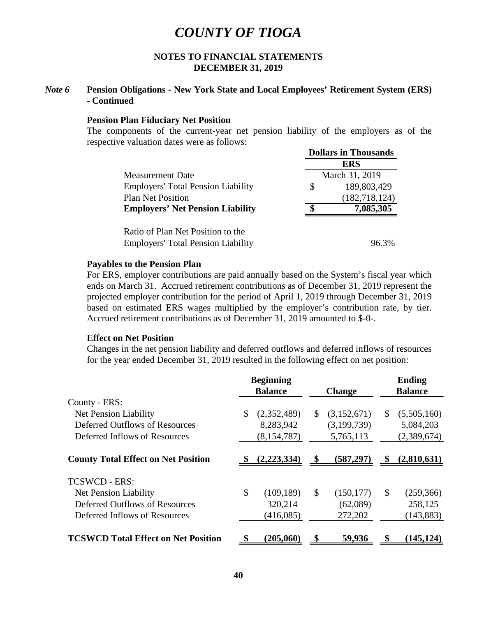### **NOTES TO FINANCIAL STATEMENTS DECEMBER 31, 2019**

# *Note 6* **Pension Obligations - New York State and Local Employees' Retirement System (ERS) - Continued**

#### **Pension Plan Fiduciary Net Position**

The components of the current-year net pension liability of the employers as of the respective valuation dates were as follows:

|                                                                                | <b>Dollars in Thousands</b> |                 |  |
|--------------------------------------------------------------------------------|-----------------------------|-----------------|--|
|                                                                                |                             | ERS             |  |
| <b>Measurement Date</b>                                                        |                             | March 31, 2019  |  |
| <b>Employers' Total Pension Liability</b>                                      | S                           | 189,803,429     |  |
| <b>Plan Net Position</b>                                                       |                             | (182, 718, 124) |  |
| <b>Employers' Net Pension Liability</b>                                        |                             | 7,085,305       |  |
| Ratio of Plan Net Position to the<br><b>Employers' Total Pension Liability</b> |                             | 96.3%           |  |

#### **Payables to the Pension Plan**

For ERS, employer contributions are paid annually based on the System's fiscal year which ends on March 31. Accrued retirement contributions as of December 31, 2019 represent the projected employer contribution for the period of April 1, 2019 through December 31, 2019 based on estimated ERS wages multiplied by the employer's contribution rate, by tier. Accrued retirement contributions as of December 31, 2019 amounted to \$-0-.

#### **Effect on Net Position**

Changes in the net pension liability and deferred outflows and deferred inflows of resources for the year ended December 31, 2019 resulted in the following effect on net position:

|                                            | <b>Beginning</b><br><b>Balance</b> |               | <b>Change</b> |             | <b>Ending</b><br><b>Balance</b> |             |
|--------------------------------------------|------------------------------------|---------------|---------------|-------------|---------------------------------|-------------|
| County - ERS:                              |                                    |               |               |             |                                 |             |
| Net Pension Liability                      | \$                                 | (2,352,489)   | \$            | (3,152,671) | <sup>\$</sup>                   | (5,505,160) |
| Deferred Outflows of Resources             |                                    | 8,283,942     |               | (3,199,739) |                                 | 5,084,203   |
| Deferred Inflows of Resources              |                                    | (8, 154, 787) |               | 5,765,113   |                                 | (2,389,674) |
| <b>County Total Effect on Net Position</b> |                                    | (2,223,334)   | \$            | (587, 297)  | S                               | (2,810,631) |
| <b>TCSWCD - ERS:</b>                       |                                    |               |               |             |                                 |             |
| Net Pension Liability                      | \$                                 | (109, 189)    | $\mathbb{S}$  | (150, 177)  | \$                              | (259, 366)  |
| <b>Deferred Outflows of Resources</b>      |                                    | 320,214       |               | (62,089)    |                                 | 258,125     |
| Deferred Inflows of Resources              |                                    | (416,085)     |               | 272,202     |                                 | (143, 883)  |
| <b>TCSWCD Total Effect on Net Position</b> |                                    | (205,060)     | \$            | 59,936      | S                               | (145, 124)  |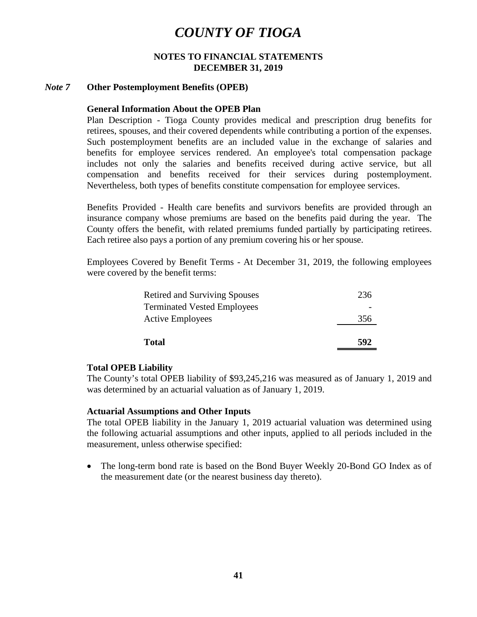### **NOTES TO FINANCIAL STATEMENTS DECEMBER 31, 2019**

# *Note 7* **Other Postemployment Benefits (OPEB)**

### **General Information About the OPEB Plan**

Plan Description - Tioga County provides medical and prescription drug benefits for retirees, spouses, and their covered dependents while contributing a portion of the expenses. Such postemployment benefits are an included value in the exchange of salaries and benefits for employee services rendered. An employee's total compensation package includes not only the salaries and benefits received during active service, but all compensation and benefits received for their services during postemployment. Nevertheless, both types of benefits constitute compensation for employee services.

Benefits Provided - Health care benefits and survivors benefits are provided through an insurance company whose premiums are based on the benefits paid during the year. The County offers the benefit, with related premiums funded partially by participating retirees. Each retiree also pays a portion of any premium covering his or her spouse.

Employees Covered by Benefit Terms - At December 31, 2019, the following employees were covered by the benefit terms:

| <b>Total</b>                         | 592 |
|--------------------------------------|-----|
|                                      |     |
| <b>Active Employees</b>              | 356 |
| <b>Terminated Vested Employees</b>   |     |
| <b>Retired and Surviving Spouses</b> | 236 |

# **Total OPEB Liability**

The County's total OPEB liability of \$93,245,216 was measured as of January 1, 2019 and was determined by an actuarial valuation as of January 1, 2019.

# **Actuarial Assumptions and Other Inputs**

The total OPEB liability in the January 1, 2019 actuarial valuation was determined using the following actuarial assumptions and other inputs, applied to all periods included in the measurement, unless otherwise specified:

• The long-term bond rate is based on the Bond Buyer Weekly 20-Bond GO Index as of the measurement date (or the nearest business day thereto).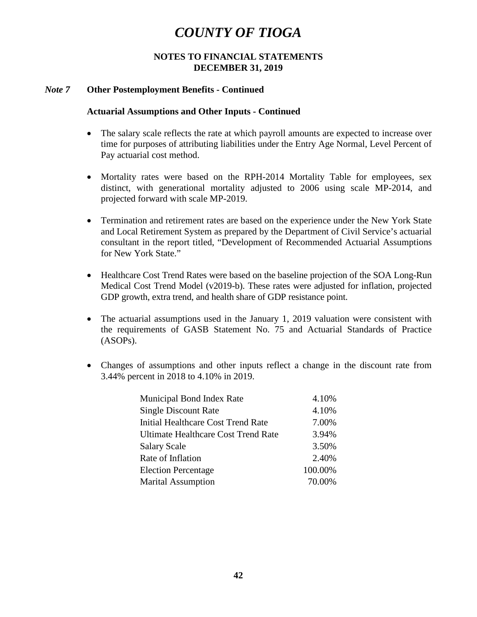### **NOTES TO FINANCIAL STATEMENTS DECEMBER 31, 2019**

# *Note 7* **Other Postemployment Benefits - Continued**

### **Actuarial Assumptions and Other Inputs - Continued**

- The salary scale reflects the rate at which payroll amounts are expected to increase over time for purposes of attributing liabilities under the Entry Age Normal, Level Percent of Pay actuarial cost method.
- Mortality rates were based on the RPH-2014 Mortality Table for employees, sex distinct, with generational mortality adjusted to 2006 using scale MP-2014, and projected forward with scale MP-2019.
- Termination and retirement rates are based on the experience under the New York State and Local Retirement System as prepared by the Department of Civil Service's actuarial consultant in the report titled, "Development of Recommended Actuarial Assumptions for New York State."
- Healthcare Cost Trend Rates were based on the baseline projection of the SOA Long-Run Medical Cost Trend Model (v2019-b). These rates were adjusted for inflation, projected GDP growth, extra trend, and health share of GDP resistance point.
- The actuarial assumptions used in the January 1, 2019 valuation were consistent with the requirements of GASB Statement No. 75 and Actuarial Standards of Practice (ASOPs).
- Changes of assumptions and other inputs reflect a change in the discount rate from 3.44% percent in 2018 to 4.10% in 2019.

| <b>Municipal Bond Index Rate</b>           | 4.10%   |
|--------------------------------------------|---------|
| <b>Single Discount Rate</b>                | 4.10%   |
| Initial Healthcare Cost Trend Rate         | 7.00%   |
| <b>Ultimate Healthcare Cost Trend Rate</b> | 3.94%   |
| <b>Salary Scale</b>                        | 3.50%   |
| Rate of Inflation                          | 2.40%   |
| <b>Election Percentage</b>                 | 100.00% |
| <b>Marital Assumption</b>                  | 70.00%  |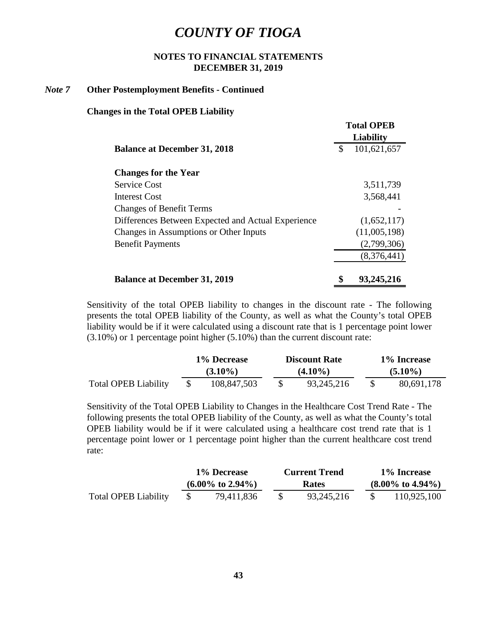#### **NOTES TO FINANCIAL STATEMENTS DECEMBER 31, 2019**

# *Note 7* **Other Postemployment Benefits - Continued**

#### **Changes in the Total OPEB Liability**

|                                                    | <b>Total OPEB</b> |
|----------------------------------------------------|-------------------|
|                                                    | Liability         |
| <b>Balance at December 31, 2018</b>                | \$<br>101,621,657 |
| <b>Changes for the Year</b>                        |                   |
| <b>Service Cost</b>                                | 3,511,739         |
| Interest Cost                                      | 3,568,441         |
| <b>Changes of Benefit Terms</b>                    |                   |
| Differences Between Expected and Actual Experience | (1,652,117)       |
| Changes in Assumptions or Other Inputs             | (11,005,198)      |
| <b>Benefit Payments</b>                            | (2,799,306)       |
|                                                    | (8,376,441)       |
| <b>Balance at December 31, 2019</b>                | \$<br>93,245,216  |

Sensitivity of the total OPEB liability to changes in the discount rate - The following presents the total OPEB liability of the County, as well as what the County's total OPEB liability would be if it were calculated using a discount rate that is 1 percentage point lower (3.10%) or 1 percentage point higher (5.10%) than the current discount rate:

|                             | 1% Decrease | <b>Discount Rate</b> | 1% Increase |
|-----------------------------|-------------|----------------------|-------------|
|                             | $(3.10\%)$  | $(4.10\%)$           | $(5.10\%)$  |
| <b>Total OPEB Liability</b> | 108,847,503 | 93,245,216           | 80,691,178  |

Sensitivity of the Total OPEB Liability to Changes in the Healthcare Cost Trend Rate - The following presents the total OPEB liability of the County, as well as what the County's total OPEB liability would be if it were calculated using a healthcare cost trend rate that is 1 percentage point lower or 1 percentage point higher than the current healthcare cost trend rate:

|                             | 1% Decrease<br><b>Current Trend</b> |              |            | 1% Increase                   |             |
|-----------------------------|-------------------------------------|--------------|------------|-------------------------------|-------------|
|                             | $(6.00\% \text{ to } 2.94\%)$       | <b>Rates</b> |            | $(8.00\% \text{ to } 4.94\%)$ |             |
| <b>Total OPEB Liability</b> | 79,411,836                          |              | 93,245,216 |                               | 110,925,100 |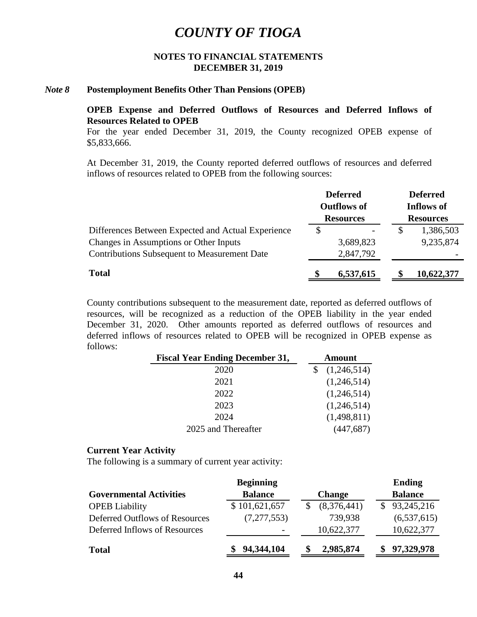#### **NOTES TO FINANCIAL STATEMENTS DECEMBER 31, 2019**

#### *Note 8* **Postemployment Benefits Other Than Pensions (OPEB)**

**OPEB Expense and Deferred Outflows of Resources and Deferred Inflows of Resources Related to OPEB**

For the year ended December 31, 2019, the County recognized OPEB expense of \$5,833,666.

At December 31, 2019, the County reported deferred outflows of resources and deferred inflows of resources related to OPEB from the following sources:

|                                                    |   | <b>Deferred</b><br><b>Outflows of</b><br><b>Resources</b> | <b>Deferred</b><br><b>Inflows of</b><br><b>Resources</b> |            |  |
|----------------------------------------------------|---|-----------------------------------------------------------|----------------------------------------------------------|------------|--|
| Differences Between Expected and Actual Experience | S |                                                           | \$                                                       | 1,386,503  |  |
| Changes in Assumptions or Other Inputs             |   | 3,689,823                                                 |                                                          | 9,235,874  |  |
| Contributions Subsequent to Measurement Date       |   | 2,847,792                                                 |                                                          |            |  |
| <b>Total</b>                                       |   | 6,537,615                                                 |                                                          | 10,622,377 |  |

County contributions subsequent to the measurement date, reported as deferred outflows of resources, will be recognized as a reduction of the OPEB liability in the year ended December 31, 2020. Other amounts reported as deferred outflows of resources and deferred inflows of resources related to OPEB will be recognized in OPEB expense as follows:

| <b>Fiscal Year Ending December 31,</b> | <b>Amount</b> |
|----------------------------------------|---------------|
| 2020                                   | (1,246,514)   |
| 2021                                   | (1,246,514)   |
| 2022                                   | (1,246,514)   |
| 2023                                   | (1,246,514)   |
| 2024                                   | (1,498,811)   |
| 2025 and Thereafter                    | (447, 687)    |

#### **Current Year Activity**

The following is a summary of current year activity:

|                                | <b>Beginning</b> |               | <b>Ending</b>  |
|--------------------------------|------------------|---------------|----------------|
| <b>Governmental Activities</b> | <b>Balance</b>   | <b>Change</b> | <b>Balance</b> |
| <b>OPEB</b> Liability          | \$101,621,657    | (8,376,441)   | 93,245,216     |
| Deferred Outflows of Resources | (7,277,553)      | 739,938       | (6,537,615)    |
| Deferred Inflows of Resources  |                  | 10,622,377    | 10,622,377     |
| <b>Total</b>                   | 94,344,104       | 2,985,874     | 97,329,978     |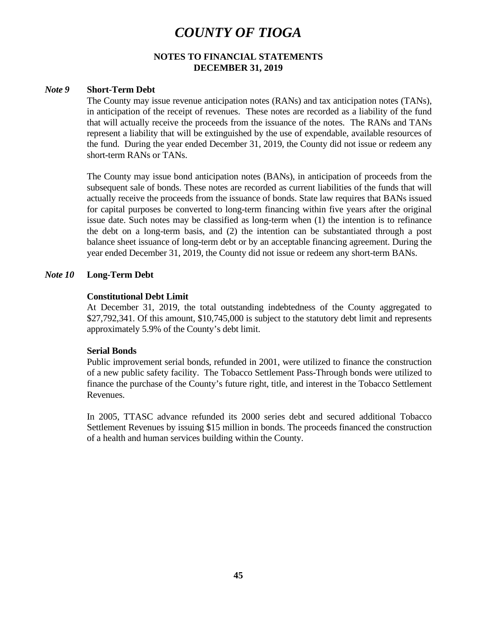# **NOTES TO FINANCIAL STATEMENTS DECEMBER 31, 2019**

# *Note 9* **Short-Term Debt**

The County may issue revenue anticipation notes (RANs) and tax anticipation notes (TANs), in anticipation of the receipt of revenues. These notes are recorded as a liability of the fund that will actually receive the proceeds from the issuance of the notes. The RANs and TANs represent a liability that will be extinguished by the use of expendable, available resources of the fund. During the year ended December 31, 2019, the County did not issue or redeem any short-term RANs or TANs.

The County may issue bond anticipation notes (BANs), in anticipation of proceeds from the subsequent sale of bonds. These notes are recorded as current liabilities of the funds that will actually receive the proceeds from the issuance of bonds. State law requires that BANs issued for capital purposes be converted to long-term financing within five years after the original issue date. Such notes may be classified as long-term when (1) the intention is to refinance the debt on a long-term basis, and (2) the intention can be substantiated through a post balance sheet issuance of long**-**term debt or by an acceptable financing agreement. During the year ended December 31, 2019, the County did not issue or redeem any short-term BANs.

#### *Note 10* **Long-Term Debt**

#### **Constitutional Debt Limit**

At December 31, 2019, the total outstanding indebtedness of the County aggregated to \$27,792,341. Of this amount, \$10,745,000 is subject to the statutory debt limit and represents approximately 5.9% of the County's debt limit.

#### **Serial Bonds**

Public improvement serial bonds, refunded in 2001, were utilized to finance the construction of a new public safety facility. The Tobacco Settlement Pass-Through bonds were utilized to finance the purchase of the County's future right, title, and interest in the Tobacco Settlement Revenues.

In 2005, TTASC advance refunded its 2000 series debt and secured additional Tobacco Settlement Revenues by issuing \$15 million in bonds. The proceeds financed the construction of a health and human services building within the County.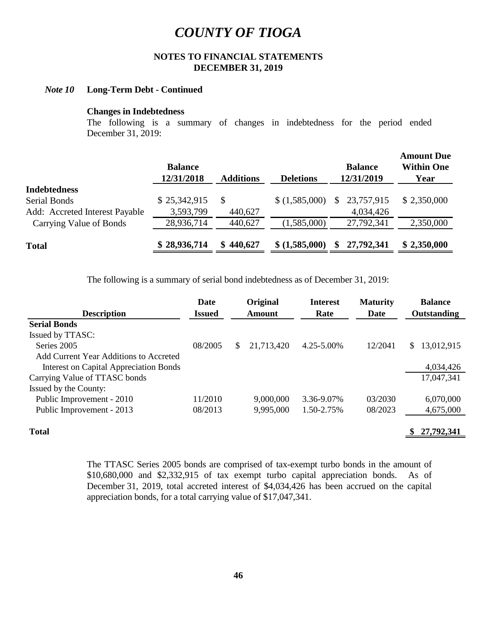### **NOTES TO FINANCIAL STATEMENTS DECEMBER 31, 2019**

#### *Note 10* **Long-Term Debt - Continued**

#### **Changes in Indebtedness**

The following is a summary of changes in indebtedness for the period ended December 31, 2019:

|                                | <b>Balance</b><br>12/31/2018 | <b>Additions</b> | <b>Deletions</b> | <b>Balance</b><br>12/31/2019 | <b>Amount Due</b><br><b>Within One</b><br>Year |
|--------------------------------|------------------------------|------------------|------------------|------------------------------|------------------------------------------------|
| <b>Indebtedness</b>            |                              |                  |                  |                              |                                                |
| Serial Bonds                   | \$25,342,915                 | -S               | \$(1,585,000)    | 23,757,915<br>\$             | \$2,350,000                                    |
| Add: Accreted Interest Payable | 3,593,799                    | 440,627          |                  | 4,034,426                    |                                                |
| Carrying Value of Bonds        | 28,936,714                   | 440,627          | (1,585,000)      | 27,792,341                   | 2,350,000                                      |
| <b>Total</b>                   | \$28,936,714                 | \$440,627        | \$ (1,585,000)   | 27,792,341<br>S              | \$2,350,000                                    |

The following is a summary of serial bond indebtedness as of December 31, 2019:

| <b>Description</b>                     | Date<br><b>Issued</b> |               | Original<br><b>Amount</b> | <b>Interest</b><br>Rate | <b>Maturity</b><br>Date | <b>Balance</b><br>Outstanding |
|----------------------------------------|-----------------------|---------------|---------------------------|-------------------------|-------------------------|-------------------------------|
| <b>Serial Bonds</b>                    |                       |               |                           |                         |                         |                               |
| Issued by TTASC:                       |                       |               |                           |                         |                         |                               |
| Series 2005                            | 08/2005               | <sup>\$</sup> | 21,713,420                | 4.25-5.00%              | 12/2041                 | 13,012,915<br>S               |
| Add Current Year Additions to Accreted |                       |               |                           |                         |                         |                               |
| Interest on Capital Appreciation Bonds |                       |               |                           |                         |                         | 4,034,426                     |
| Carrying Value of TTASC bonds          |                       |               |                           |                         |                         | 17,047,341                    |
| Issued by the County:                  |                       |               |                           |                         |                         |                               |
| Public Improvement - 2010              | 11/2010               |               | 9,000,000                 | 3.36-9.07%              | 03/2030                 | 6,070,000                     |
| Public Improvement - 2013              | 08/2013               |               | 9,995,000                 | 1.50-2.75%              | 08/2023                 | 4,675,000                     |
| <b>Total</b>                           |                       |               |                           |                         |                         | 27,792,341<br>ж               |

The TTASC Series 2005 bonds are comprised of tax-exempt turbo bonds in the amount of \$10,680,000 and \$2,332,915 of tax exempt turbo capital appreciation bonds. As of December 31, 2019, total accreted interest of \$4,034,426 has been accrued on the capital appreciation bonds, for a total carrying value of \$17,047,341.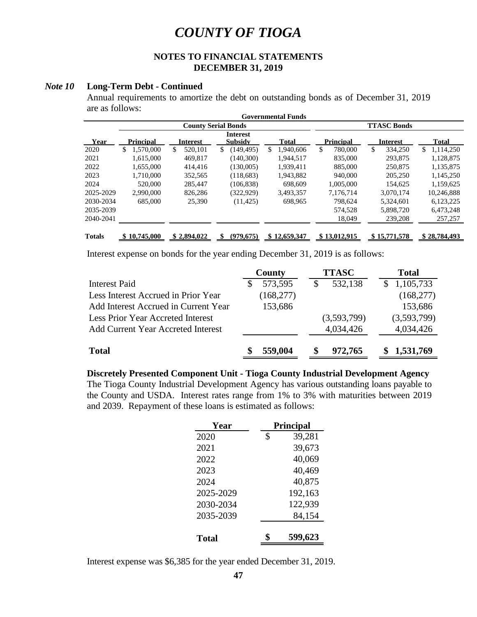### **NOTES TO FINANCIAL STATEMENTS DECEMBER 31, 2019**

### *Note 10* **Long-Term Debt - Continued**

Annual requirements to amortize the debt on outstanding bonds as of December 31, 2019 are as follows: **Governmental Funds**

|               | Governmental Funds |                 |                                   |                |                  |                    |                 |  |  |
|---------------|--------------------|-----------------|-----------------------------------|----------------|------------------|--------------------|-----------------|--|--|
|               |                    |                 | <b>County Serial Bonds</b>        |                |                  | <b>TTASC Bonds</b> |                 |  |  |
| Year          | Principal          | <b>Interest</b> | <b>Interest</b><br><b>Subsidy</b> | Total          | <b>Principal</b> | <b>Interest</b>    | <b>Total</b>    |  |  |
| 2020          | 1.570.000<br>\$.   | 520.101<br>\$.  | (149.495)<br>S.                   | 1.940.606<br>S | \$<br>780,000    | \$<br>334,250      | 1,114,250<br>\$ |  |  |
| 2021          | 1,615,000          | 469,817         | (140,300)                         | 1.944.517      | 835,000          | 293,875            | 1,128,875       |  |  |
| 2022          | 1.655.000          | 414,416         | (130.005)                         | 1.939.411      | 885,000          | 250,875            | 1,135,875       |  |  |
| 2023          | 1.710.000          | 352,565         | (118.683)                         | 1.943.882      | 940,000          | 205,250            | 1,145,250       |  |  |
| 2024          | 520,000            | 285,447         | (106, 838)                        | 698,609        | 1.005.000        | 154,625            | 1,159,625       |  |  |
| 2025-2029     | 2.990,000          | 826,286         | (322.929)                         | 3,493,357      | 7.176.714        | 3.070.174          | 10,246,888      |  |  |
| 2030-2034     | 685,000            | 25,390          | (11, 425)                         | 698,965        | 798.624          | 5.324,601          | 6,123,225       |  |  |
| 2035-2039     |                    |                 |                                   |                | 574,528          | 5.898.720          | 6,473,248       |  |  |
| 2040-2041     |                    |                 |                                   |                | 18,049           | 239,208            | 257,257         |  |  |
| <b>Totals</b> | \$10,745,000       | \$2.894,022     | (979.675)                         | \$12,659,347   | \$13,012,915     | \$15,771,578       | \$28,784,493    |  |  |

Interest expense on bonds for the year ending December 31, 2019 is as follows:

|                                      | <b>County</b> |            | TTASC |             | <b>Total</b> |
|--------------------------------------|---------------|------------|-------|-------------|--------------|
| <b>Interest Paid</b>                 |               | 573,595    |       | 532,138     | 1,105,733    |
| Less Interest Accrued in Prior Year  |               | (168, 277) |       |             | (168, 277)   |
| Add Interest Accrued in Current Year |               | 153,686    |       |             | 153,686      |
| Less Prior Year Accreted Interest    |               |            |       | (3,593,799) | (3,593,799)  |
| Add Current Year Accreted Interest   |               |            |       | 4,034,426   | 4,034,426    |
| <b>Total</b>                         |               | 559,004    |       | 972,765     | 1,531,769    |

**Discretely Presented Component Unit - Tioga County Industrial Development Agency** The Tioga County Industrial Development Agency has various outstanding loans payable to the County and USDA. Interest rates range from 1% to 3% with maturities between 2019 and 2039. Repayment of these loans is estimated as follows:

| Year      | <b>Principal</b> |  |  |  |  |
|-----------|------------------|--|--|--|--|
| 2020      | \$<br>39,281     |  |  |  |  |
| 2021      | 39,673           |  |  |  |  |
| 2022      | 40,069           |  |  |  |  |
| 2023      | 40,469           |  |  |  |  |
| 2024      | 40,875           |  |  |  |  |
| 2025-2029 | 192,163          |  |  |  |  |
| 2030-2034 | 122,939          |  |  |  |  |
| 2035-2039 | 84,154           |  |  |  |  |
| Total     | 599,623          |  |  |  |  |

Interest expense was \$6,385 for the year ended December 31, 2019.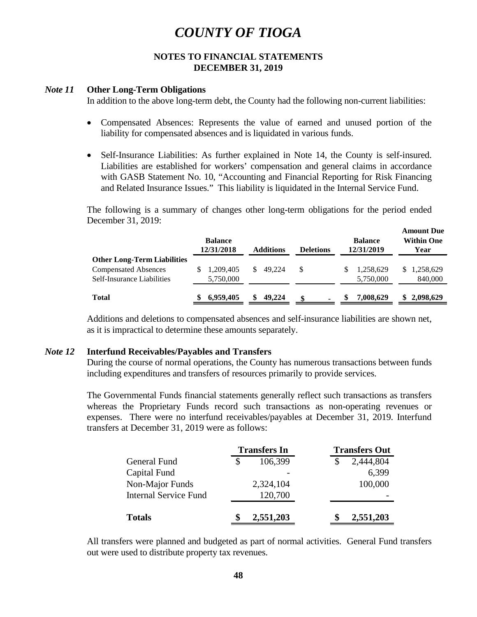### **NOTES TO FINANCIAL STATEMENTS DECEMBER 31, 2019**

#### *Note 11* **Other Long-Term Obligations**

In addition to the above long-term debt, the County had the following non-current liabilities:

- Compensated Absences: Represents the value of earned and unused portion of the liability for compensated absences and is liquidated in various funds.
- Self-Insurance Liabilities: As further explained in Note 14, the County is self-insured. Liabilities are established for workers' compensation and general claims in accordance with GASB Statement No. 10, "Accounting and Financial Reporting for Risk Financing and Related Insurance Issues." This liability is liquidated in the Internal Service Fund.

The following is a summary of changes other long-term obligations for the period ended December 31, 2019:

|                                                                                                 | <b>Balance</b><br>12/31/2018 | <b>Additions</b> | <b>Deletions</b> | <b>Balance</b><br>12/31/2019 | ашише сис<br><b>Within One</b><br>Year |
|-------------------------------------------------------------------------------------------------|------------------------------|------------------|------------------|------------------------------|----------------------------------------|
| <b>Other Long-Term Liabilities</b><br><b>Compensated Absences</b><br>Self-Insurance Liabilities | 1.209.405<br>5,750,000       | 49.224           | \$               | 1.258.629<br>5,750,000       | \$1,258,629<br>840,000                 |
| <b>Total</b>                                                                                    | 6,959,405                    | 49,224           | ¢                | 7.008.629                    | 2,098,629                              |

**Amount Due**

Additions and deletions to compensated absences and self-insurance liabilities are shown net, as it is impractical to determine these amounts separately.

# *Note 12* **Interfund Receivables/Payables and Transfers**

During the course of normal operations, the County has numerous transactions between funds including expenditures and transfers of resources primarily to provide services.

The Governmental Funds financial statements generally reflect such transactions as transfers whereas the Proprietary Funds record such transactions as non-operating revenues or expenses. There were no interfund receivables/payables at December 31, 2019. Interfund transfers at December 31, 2019 were as follows:

|                              | <b>Transfers In</b> | <b>Transfers Out</b> |
|------------------------------|---------------------|----------------------|
| General Fund                 | 106,399             | 2,444,804            |
| Capital Fund                 |                     | 6,399                |
| Non-Major Funds              | 2,324,104           | 100,000              |
| <b>Internal Service Fund</b> | 120,700             |                      |
| <b>Totals</b>                | 2,551,203           | 2,551,203<br>S       |

All transfers were planned and budgeted as part of normal activities. General Fund transfers out were used to distribute property tax revenues.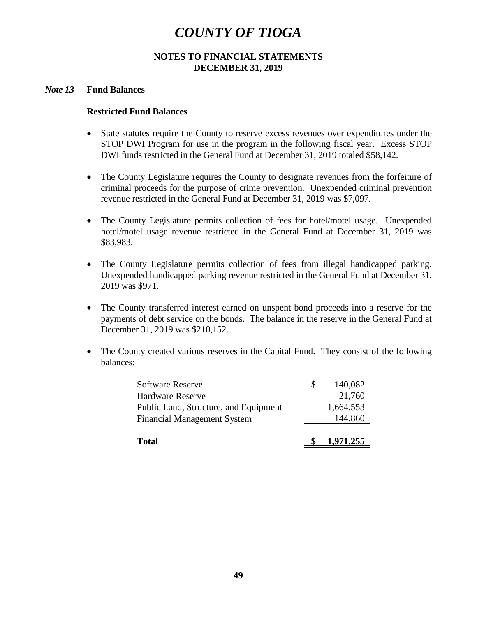# **NOTES TO FINANCIAL STATEMENTS DECEMBER 31, 2019**

# *Note 13* **Fund Balances**

# **Restricted Fund Balances**

- State statutes require the County to reserve excess revenues over expenditures under the STOP DWI Program for use in the program in the following fiscal year. Excess STOP DWI funds restricted in the General Fund at December 31, 2019 totaled \$58,142.
- The County Legislature requires the County to designate revenues from the forfeiture of criminal proceeds for the purpose of crime prevention. Unexpended criminal prevention revenue restricted in the General Fund at December 31, 2019 was \$7,097.
- The County Legislature permits collection of fees for hotel/motel usage. Unexpended hotel/motel usage revenue restricted in the General Fund at December 31, 2019 was \$83,983.
- The County Legislature permits collection of fees from illegal handicapped parking. Unexpended handicapped parking revenue restricted in the General Fund at December 31, 2019 was \$971.
- The County transferred interest earned on unspent bond proceeds into a reserve for the payments of debt service on the bonds. The balance in the reserve in the General Fund at December 31, 2019 was \$210,152.
- The County created various reserves in the Capital Fund. They consist of the following balances:

| <b>Total</b>                          | 1,971,255 |
|---------------------------------------|-----------|
| <b>Financial Management System</b>    | 144,860   |
| Public Land, Structure, and Equipment | 1,664,553 |
| <b>Hardware Reserve</b>               | 21,760    |
| <b>Software Reserve</b>               | 140,082   |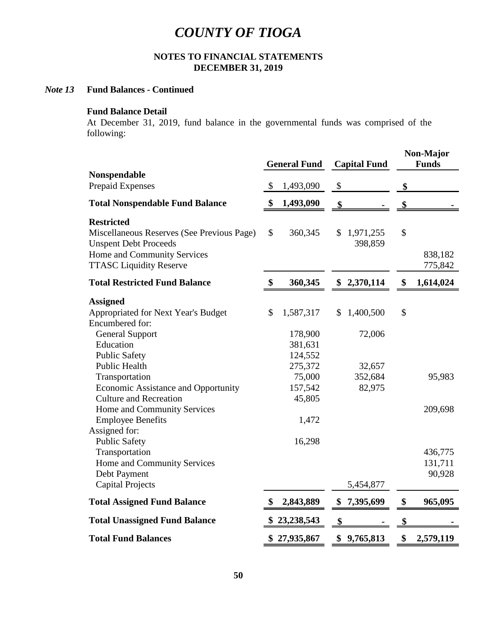# **NOTES TO FINANCIAL STATEMENTS DECEMBER 31, 2019**

# *Note 13* **Fund Balances - Continued**

#### **Fund Balance Detail**

At December 31, 2019, fund balance in the governmental funds was comprised of the following:

|                                                                                                                                                                  | <b>General Fund</b>           |                           | <b>Capital Fund</b>         | Non-Major<br><b>Funds</b>    |
|------------------------------------------------------------------------------------------------------------------------------------------------------------------|-------------------------------|---------------------------|-----------------------------|------------------------------|
| Nonspendable<br><b>Prepaid Expenses</b>                                                                                                                          | \$<br>1,493,090               | \$                        |                             | \$                           |
| <b>Total Nonspendable Fund Balance</b>                                                                                                                           | \$<br>1,493,090               | $\boldsymbol{\$}$         |                             | \$                           |
| <b>Restricted</b><br>Miscellaneous Reserves (See Previous Page)<br><b>Unspent Debt Proceeds</b><br>Home and Community Services<br><b>TTASC Liquidity Reserve</b> | \$<br>360,345                 | $\mathbb{S}$              | 1,971,255<br>398,859        | \$<br>838,182<br>775,842     |
| <b>Total Restricted Fund Balance</b>                                                                                                                             | \$<br>360,345                 |                           | \$2,370,114                 | \$<br>1,614,024              |
| <b>Assigned</b><br>Appropriated for Next Year's Budget<br>Encumbered for:                                                                                        | \$<br>1,587,317               | \$                        | 1,400,500                   | \$                           |
| <b>General Support</b><br>Education<br><b>Public Safety</b>                                                                                                      | 178,900<br>381,631<br>124,552 |                           | 72,006                      |                              |
| <b>Public Health</b><br>Transportation<br>Economic Assistance and Opportunity                                                                                    | 275,372<br>75,000<br>157,542  |                           | 32,657<br>352,684<br>82,975 | 95,983                       |
| <b>Culture and Recreation</b><br>Home and Community Services<br><b>Employee Benefits</b><br>Assigned for:                                                        | 45,805<br>1,472               |                           |                             | 209,698                      |
| <b>Public Safety</b><br>Transportation<br>Home and Community Services<br>Debt Payment<br><b>Capital Projects</b>                                                 | 16,298                        |                           | 5,454,877                   | 436,775<br>131,711<br>90,928 |
| <b>Total Assigned Fund Balance</b>                                                                                                                               | 2,843,889                     | \$                        | 7,395,699                   | \$<br>965,095                |
| <b>Total Unassigned Fund Balance</b>                                                                                                                             | 23, 238, 543                  | $\boldsymbol{\mathsf{S}}$ |                             |                              |
| <b>Total Fund Balances</b>                                                                                                                                       | \$27,935,867                  |                           | \$9,765,813                 | \$<br>2,579,119              |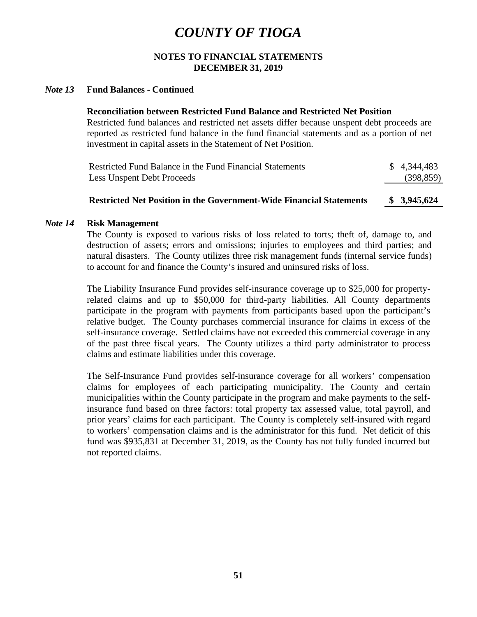# **NOTES TO FINANCIAL STATEMENTS DECEMBER 31, 2019**

# *Note 13* **Fund Balances - Continued**

### **Reconciliation between Restricted Fund Balance and Restricted Net Position**

Restricted fund balances and restricted net assets differ because unspent debt proceeds are reported as restricted fund balance in the fund financial statements and as a portion of net investment in capital assets in the Statement of Net Position.

| Restricted Fund Balance in the Fund Financial Statements | \$4,344,483 |
|----------------------------------------------------------|-------------|
| <b>Less Unspent Debt Proceeds</b>                        | (398, 859)  |
|                                                          |             |

# **Restricted Net Position in the Government-Wide Financial Statements \$ 3,945,624**

# *Note 14* **Risk Management**

The County is exposed to various risks of loss related to torts; theft of, damage to, and destruction of assets; errors and omissions; injuries to employees and third parties; and natural disasters. The County utilizes three risk management funds (internal service funds) to account for and finance the County's insured and uninsured risks of loss.

The Liability Insurance Fund provides self-insurance coverage up to \$25,000 for propertyrelated claims and up to \$50,000 for third-party liabilities. All County departments participate in the program with payments from participants based upon the participant's relative budget. The County purchases commercial insurance for claims in excess of the self-insurance coverage. Settled claims have not exceeded this commercial coverage in any of the past three fiscal years. The County utilizes a third party administrator to process claims and estimate liabilities under this coverage.

The Self-Insurance Fund provides self-insurance coverage for all workers' compensation claims for employees of each participating municipality. The County and certain municipalities within the County participate in the program and make payments to the selfinsurance fund based on three factors: total property tax assessed value, total payroll, and prior years' claims for each participant. The County is completely self-insured with regard to workers' compensation claims and is the administrator for this fund. Net deficit of this fund was \$935,831 at December 31, 2019, as the County has not fully funded incurred but not reported claims.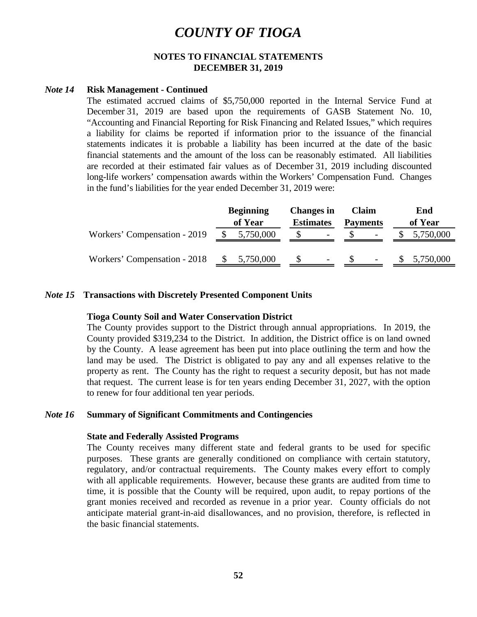### **NOTES TO FINANCIAL STATEMENTS DECEMBER 31, 2019**

#### *Note 14* **Risk Management - Continued**

The estimated accrued claims of \$5,750,000 reported in the Internal Service Fund at December 31, 2019 are based upon the requirements of GASB Statement No. 10, "Accounting and Financial Reporting for Risk Financing and Related Issues," which requires a liability for claims be reported if information prior to the issuance of the financial statements indicates it is probable a liability has been incurred at the date of the basic financial statements and the amount of the loss can be reasonably estimated. All liabilities are recorded at their estimated fair values as of December 31, 2019 including discounted long-life workers' compensation awards within the Workers' Compensation Fund. Changes in the fund's liabilities for the year ended December 31, 2019 were:

|                              | <b>Beginning</b> |           |                  | <b>Changes in</b>        | <b>Claim</b>    |                          | End     |           |  |
|------------------------------|------------------|-----------|------------------|--------------------------|-----------------|--------------------------|---------|-----------|--|
|                              | of Year          |           | <b>Estimates</b> |                          | <b>Payments</b> |                          | of Year |           |  |
| Workers' Compensation - 2019 |                  | 5,750,000 |                  | $\overline{\phantom{a}}$ |                 | $\overline{\phantom{a}}$ |         | 5,750,000 |  |
| Workers' Compensation - 2018 |                  | 5,750,000 |                  | $-$                      |                 | $\overline{\phantom{a}}$ |         | 5,750,000 |  |

#### *Note 15* **Transactions with Discretely Presented Component Units**

#### **Tioga County Soil and Water Conservation District**

The County provides support to the District through annual appropriations. In 2019, the County provided \$319,234 to the District. In addition, the District office is on land owned by the County. A lease agreement has been put into place outlining the term and how the land may be used. The District is obligated to pay any and all expenses relative to the property as rent. The County has the right to request a security deposit, but has not made that request. The current lease is for ten years ending December 31, 2027, with the option to renew for four additional ten year periods.

#### *Note 16* **Summary of Significant Commitments and Contingencies**

#### **State and Federally Assisted Programs**

The County receives many different state and federal grants to be used for specific purposes. These grants are generally conditioned on compliance with certain statutory, regulatory, and/or contractual requirements. The County makes every effort to comply with all applicable requirements. However, because these grants are audited from time to time, it is possible that the County will be required, upon audit, to repay portions of the grant monies received and recorded as revenue in a prior year. County officials do not anticipate material grant-in-aid disallowances, and no provision, therefore, is reflected in the basic financial statements.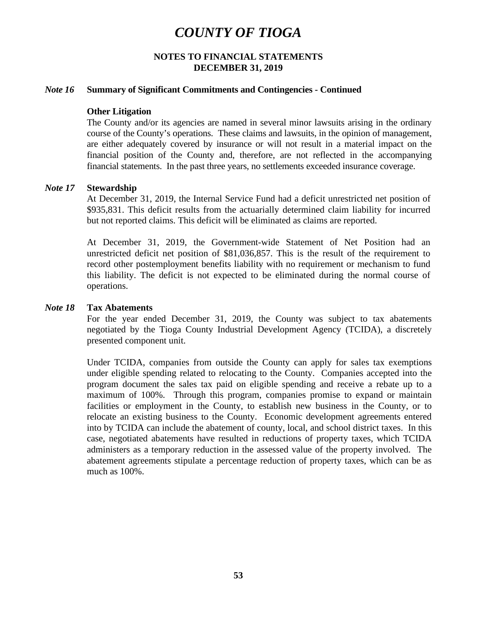### **NOTES TO FINANCIAL STATEMENTS DECEMBER 31, 2019**

#### *Note 16* **Summary of Significant Commitments and Contingencies - Continued**

#### **Other Litigation**

The County and/or its agencies are named in several minor lawsuits arising in the ordinary course of the County's operations. These claims and lawsuits, in the opinion of management, are either adequately covered by insurance or will not result in a material impact on the financial position of the County and, therefore, are not reflected in the accompanying financial statements. In the past three years, no settlements exceeded insurance coverage.

#### *Note 17* **Stewardship**

At December 31, 2019, the Internal Service Fund had a deficit unrestricted net position of \$935,831. This deficit results from the actuarially determined claim liability for incurred but not reported claims. This deficit will be eliminated as claims are reported.

At December 31, 2019, the Government-wide Statement of Net Position had an unrestricted deficit net position of \$81,036,857. This is the result of the requirement to record other postemployment benefits liability with no requirement or mechanism to fund this liability. The deficit is not expected to be eliminated during the normal course of operations.

#### *Note 18* **Tax Abatements**

For the year ended December 31, 2019, the County was subject to tax abatements negotiated by the Tioga County Industrial Development Agency (TCIDA), a discretely presented component unit.

Under TCIDA, companies from outside the County can apply for sales tax exemptions under eligible spending related to relocating to the County. Companies accepted into the program document the sales tax paid on eligible spending and receive a rebate up to a maximum of 100%. Through this program, companies promise to expand or maintain facilities or employment in the County, to establish new business in the County, or to relocate an existing business to the County. Economic development agreements entered into by TCIDA can include the abatement of county, local, and school district taxes. In this case, negotiated abatements have resulted in reductions of property taxes, which TCIDA administers as a temporary reduction in the assessed value of the property involved. The abatement agreements stipulate a percentage reduction of property taxes, which can be as much as 100%.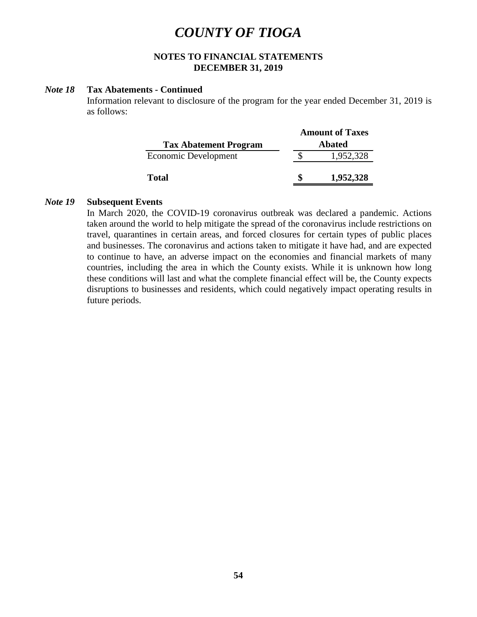### **NOTES TO FINANCIAL STATEMENTS DECEMBER 31, 2019**

#### *Note 18* **Tax Abatements - Continued**

Information relevant to disclosure of the program for the year ended December 31, 2019 is as follows:

|                              | <b>Amount of Taxes</b> |  |  |  |
|------------------------------|------------------------|--|--|--|
| <b>Tax Abatement Program</b> | <b>Abated</b>          |  |  |  |
| Economic Development         | 1,952,328              |  |  |  |
| Total                        | 1,952,328              |  |  |  |

# *Note 19* **Subsequent Events**

In March 2020, the COVID-19 coronavirus outbreak was declared a pandemic. Actions taken around the world to help mitigate the spread of the coronavirus include restrictions on travel, quarantines in certain areas, and forced closures for certain types of public places and businesses. The coronavirus and actions taken to mitigate it have had, and are expected to continue to have, an adverse impact on the economies and financial markets of many countries, including the area in which the County exists. While it is unknown how long these conditions will last and what the complete financial effect will be, the County expects disruptions to businesses and residents, which could negatively impact operating results in future periods.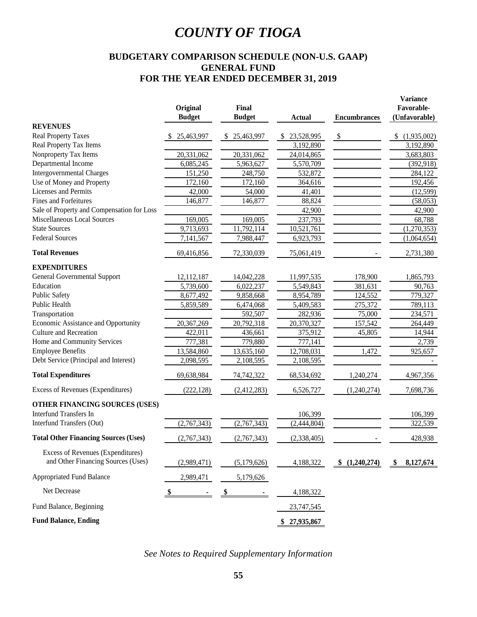# **BUDGETARY COMPARISON SCHEDULE (NON-U.S. GAAP) GENERAL FUND FOR THE YEAR ENDED DECEMBER 31, 2019**

|                                                                         | Original<br><b>Budget</b> | Final<br><b>Budget</b> | <b>Actual</b>               | <b>Encumbrances</b>       | <b>Variance</b><br>Favorable-<br>(Unfavorable) |
|-------------------------------------------------------------------------|---------------------------|------------------------|-----------------------------|---------------------------|------------------------------------------------|
| <b>REVENUES</b>                                                         |                           |                        |                             |                           |                                                |
| <b>Real Property Taxes</b>                                              | 25,463,997<br>\$          | \$25,463,997           | 23,528,995<br><sup>\$</sup> | $\boldsymbol{\mathsf{S}}$ | \$<br>(1,935,002)                              |
| Real Property Tax Items                                                 |                           |                        | 3,192,890                   |                           | 3,192,890                                      |
| Nonproperty Tax Items                                                   | 20,331,062                | 20,331,062             | 24,014,865                  |                           | 3,683,803                                      |
| Departmental Income                                                     | 6,085,245                 | 5,963,627              | 5,570,709                   |                           | (392, 918)                                     |
| <b>Intergovernmental Charges</b>                                        | 151,250                   | 248,750                | 532,872                     |                           | 284,122                                        |
| Use of Money and Property                                               | 172,160                   | 172,160                | 364,616                     |                           | 192,456                                        |
| Licenses and Permits                                                    | 42,000                    | 54,000                 | 41,401                      |                           | (12, 599)                                      |
| Fines and Forfeitures                                                   | 146,877                   | 146,877                | 88,824                      |                           | (58,053)                                       |
| Sale of Property and Compensation for Loss                              |                           |                        | 42,900                      |                           | 42,900                                         |
| Miscellaneous Local Sources                                             | 169,005                   | 169,005                | 237,793                     |                           | 68,788                                         |
| <b>State Sources</b>                                                    | 9,713,693                 | 11,792,114             | 10,521,761                  |                           | (1,270,353)                                    |
| <b>Federal Sources</b>                                                  | 7,141,567                 | 7,988,447              | 6,923,793                   |                           | (1,064,654)                                    |
| <b>Total Revenues</b>                                                   | 69,416,856                | 72,330,039             | 75,061,419                  |                           | 2,731,380                                      |
| <b>EXPENDITURES</b>                                                     |                           |                        |                             |                           |                                                |
| General Governmental Support                                            | 12,112,187                | 14,042,228             | 11,997,535                  | 178,900                   | 1,865,793                                      |
| Education                                                               | 5,739,600                 | 6,022,237              | 5,549,843                   | 381,631                   | 90,763                                         |
| <b>Public Safety</b>                                                    | 8,677,492                 | 9,858,668              | 8,954,789                   | 124,552                   | 779,327                                        |
| Public Health                                                           | 5,859,589                 | 6,474,068              | 5,409,583                   | 275,372                   | 789,113                                        |
| Transportation                                                          |                           | 592,507                | 282,936                     | 75,000                    | 234,571                                        |
| Economic Assistance and Opportunity                                     | 20,367,269                | 20,792,318             | 20,370,327                  | 157,542                   | 264,449                                        |
| <b>Culture and Recreation</b>                                           | 422,011                   | 436,661                | 375,912                     | 45,805                    | 14,944                                         |
| Home and Community Services                                             | 777,381                   | 779,880                | 777,141                     |                           | 2,739                                          |
| <b>Employee Benefits</b>                                                | 13,584,860                | 13,635,160             | 12,708,031                  | 1,472                     | 925,657                                        |
| Debt Service (Principal and Interest)                                   | 2,098,595                 | 2,108,595              | 2,108,595                   |                           |                                                |
| <b>Total Expenditures</b>                                               | 69,638,984                | 74,742,322             | 68,534,692                  | 1,240,274                 | 4,967,356                                      |
| Excess of Revenues (Expenditures)                                       | (222, 128)                | (2,412,283)            | 6,526,727                   | (1,240,274)               | 7,698,736                                      |
| OTHER FINANCING SOURCES (USES)                                          |                           |                        |                             |                           |                                                |
| Interfund Transfers In                                                  |                           |                        | 106,399                     |                           | 106,399                                        |
| Interfund Transfers (Out)                                               | (2,767,343)               | (2,767,343)            | $\overline{(2,}444,804)$    |                           | 322,539                                        |
| <b>Total Other Financing Sources (Uses)</b>                             | (2,767,343)               | (2,767,343)            | (2,338,405)                 |                           | 428,938                                        |
| Excess of Revenues (Expenditures)<br>and Other Financing Sources (Uses) | (2,989,471)               | (5,179,626)            | 4,188,322                   | \$(1,240,274)             | 8,127,674                                      |
| <b>Appropriated Fund Balance</b>                                        | 2,989,471                 | 5,179,626              |                             |                           |                                                |
| Net Decrease                                                            |                           |                        | 4,188,322                   |                           |                                                |
| Fund Balance, Beginning                                                 |                           |                        | 23,747,545                  |                           |                                                |
| <b>Fund Balance, Ending</b>                                             |                           |                        | 27,935,867                  |                           |                                                |

*See Notes to Required Supplementary Information*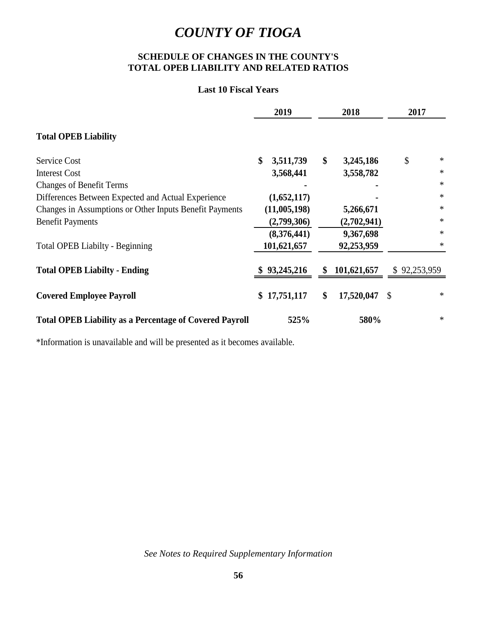# **SCHEDULE OF CHANGES IN THE COUNTY'S TOTAL OPEB LIABILITY AND RELATED RATIOS**

# **Last 10 Fiscal Years**

|                                                                | 2019             | 2018 |             | 2017 |              |
|----------------------------------------------------------------|------------------|------|-------------|------|--------------|
| <b>Total OPEB Liability</b>                                    |                  |      |             |      |              |
| <b>Service Cost</b>                                            | \$<br>3,511,739  | \$   | 3,245,186   |      | \$<br>$\ast$ |
| <b>Interest Cost</b>                                           | 3,568,441        |      | 3,558,782   |      | $\ast$       |
| <b>Changes of Benefit Terms</b>                                |                  |      |             |      | $\ast$       |
| Differences Between Expected and Actual Experience             | (1,652,117)      |      |             |      | $\ast$       |
| Changes in Assumptions or Other Inputs Benefit Payments        | (11,005,198)     |      | 5,266,671   |      | $\ast$       |
| <b>Benefit Payments</b>                                        | (2,799,306)      |      | (2,702,941) |      | $\ast$       |
|                                                                | (8,376,441)      |      | 9,367,698   |      | $\ast$       |
| <b>Total OPEB Liabilty - Beginning</b>                         | 101,621,657      |      | 92,253,959  |      | $\ast$       |
| <b>Total OPEB Liabilty - Ending</b>                            | 93,245,216       | \$   | 101,621,657 |      | \$92,253,959 |
| <b>Covered Employee Payroll</b>                                | 17,751,117<br>\$ | \$   | 17,520,047  | \$   | $\ast$       |
| <b>Total OPEB Liability as a Percentage of Covered Payroll</b> | 525%             |      | 580%        |      | $\ast$       |

\*Information is unavailable and will be presented as it becomes available.

*See Notes to Required Supplementary Information*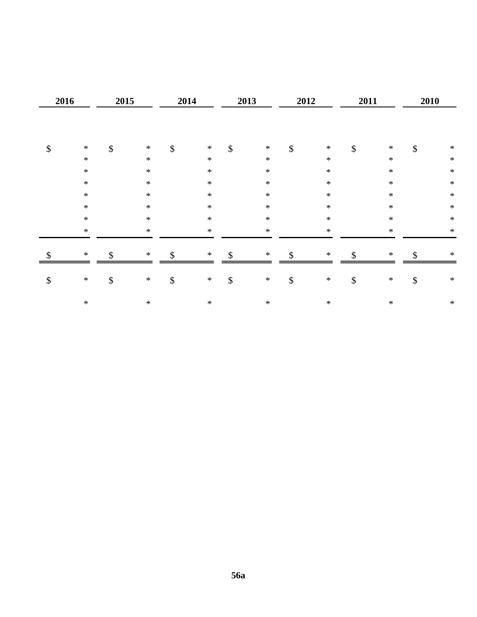| 2016              |        | 2015 |        | 2014                      |        | 2013                       |        | 2012                      |        | 2011          |        | 2010                       |        |
|-------------------|--------|------|--------|---------------------------|--------|----------------------------|--------|---------------------------|--------|---------------|--------|----------------------------|--------|
|                   |        |      |        |                           |        |                            |        |                           |        |               |        |                            |        |
| $\$\,$            | $\ast$ | \$   | $\ast$ | $\$\,$                    | $\ast$ | $\boldsymbol{\mathsf{S}}$  | $\ast$ | $\boldsymbol{\mathsf{S}}$ | $\ast$ | $\mathbb{S}$  | $\ast$ | $\$\,$                     | $\ast$ |
|                   | $\ast$ |      | $\ast$ |                           | $\ast$ |                            | $\ast$ |                           | $\ast$ |               | $\ast$ |                            | $\ast$ |
|                   | $\ast$ |      | $\ast$ |                           | $\ast$ |                            | $\ast$ |                           | $\ast$ |               | $\ast$ |                            | $\ast$ |
|                   | $\ast$ |      | $\ast$ |                           | $\ast$ |                            | $\ast$ |                           | $\ast$ |               | $\ast$ |                            | $\ast$ |
|                   | $\ast$ |      | $\ast$ |                           | $\ast$ |                            | $\ast$ |                           | $\ast$ |               | $\ast$ |                            | $\ast$ |
|                   | $\ast$ |      | $\ast$ |                           | $\ast$ |                            | $\ast$ |                           | $\ast$ |               | $\ast$ |                            | $\ast$ |
|                   | $\ast$ |      | $\ast$ |                           | $\ast$ |                            | $\ast$ |                           | $\ast$ |               | $\ast$ |                            | $\ast$ |
|                   | $\ast$ |      | $\ast$ |                           | $\ast$ |                            | $\ast$ |                           | $\ast$ |               | $\ast$ |                            | $\ast$ |
|                   |        |      |        |                           |        |                            |        |                           |        |               |        |                            |        |
| $\mathcal{S}$     | $\ast$ | \$   | $\ast$ | $\mathbf{\hat{S}}$        | $\ast$ | $\mathcal{S}$              | $\ast$ | $\mathcal{S}$             | $\ast$ | $\mathcal{S}$ | $\ast$ | $\mathcal{S}$              | $\ast$ |
| $\boldsymbol{\$}$ | $\ast$ | \$   | $\ast$ | $\boldsymbol{\mathsf{S}}$ | $\ast$ | $\boldsymbol{\mathsf{\$}}$ | $\ast$ | $\boldsymbol{\mathsf{S}}$ | $\ast$ | \$            | $\ast$ | $\boldsymbol{\mathsf{\$}}$ | $\ast$ |
|                   | $\ast$ |      | $\ast$ |                           | $\ast$ |                            | $\ast$ |                           | $\ast$ |               | $\ast$ |                            | $\ast$ |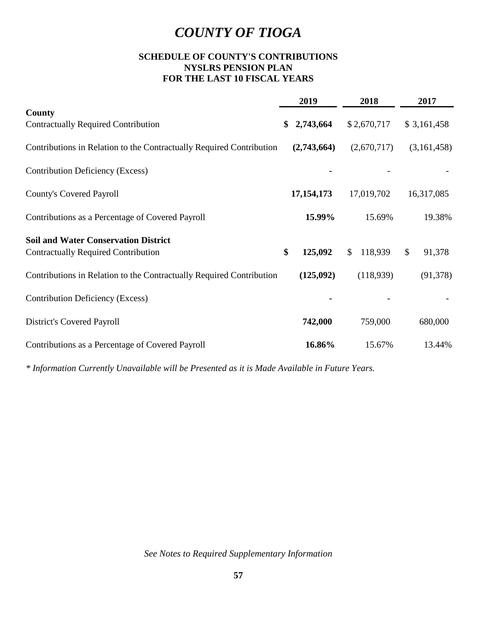## **SCHEDULE OF COUNTY'S CONTRIBUTIONS NYSLRS PENSION PLAN FOR THE LAST 10 FISCAL YEARS**

|                                                                                           | 2019            |              | 2018        |              | 2017        |
|-------------------------------------------------------------------------------------------|-----------------|--------------|-------------|--------------|-------------|
| County<br><b>Contractually Required Contribution</b>                                      | \$<br>2,743,664 |              | \$2,670,717 |              | \$3,161,458 |
| Contributions in Relation to the Contractually Required Contribution                      | (2,743,664)     |              | (2,670,717) |              | (3,161,458) |
| <b>Contribution Deficiency (Excess)</b>                                                   |                 |              |             |              |             |
| <b>County's Covered Payroll</b>                                                           | 17, 154, 173    |              | 17,019,702  |              | 16,317,085  |
| Contributions as a Percentage of Covered Payroll                                          | 15.99%          |              | 15.69%      |              | 19.38%      |
| <b>Soil and Water Conservation District</b><br><b>Contractually Required Contribution</b> | \$<br>125,092   | $\mathbb{S}$ | 118,939     | $\mathbb{S}$ | 91,378      |
| Contributions in Relation to the Contractually Required Contribution                      | (125,092)       |              | (118,939)   |              | (91, 378)   |
| <b>Contribution Deficiency (Excess)</b>                                                   |                 |              |             |              |             |
| District's Covered Payroll                                                                | 742,000         |              | 759,000     |              | 680,000     |
| Contributions as a Percentage of Covered Payroll                                          | 16.86%          |              | 15.67%      |              | 13.44%      |

*\* Information Currently Unavailable will be Presented as it is Made Available in Future Years.*

*See Notes to Required Supplementary Information*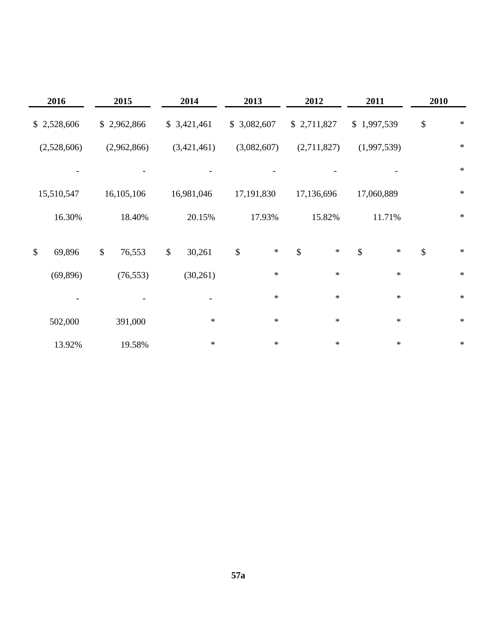|                           | 2016        |        | 2015        |               | 2014        |                           | 2013        |             | 2012        |             | 2011        | 2010              |        |
|---------------------------|-------------|--------|-------------|---------------|-------------|---------------------------|-------------|-------------|-------------|-------------|-------------|-------------------|--------|
|                           | \$2,528,606 |        | \$2,962,866 |               | \$3,421,461 |                           | \$3,082,607 | \$2,711,827 |             | \$1,997,539 |             | $\boldsymbol{\$}$ | $\ast$ |
|                           | (2,528,606) |        | (2,962,866) |               | (3,421,461) |                           | (3,082,607) |             | (2,711,827) |             | (1,997,539) |                   | $\ast$ |
|                           |             |        |             |               |             |                           |             |             |             |             |             |                   | $\ast$ |
|                           | 15,510,547  |        | 16,105,106  |               | 16,981,046  |                           | 17,191,830  |             | 17,136,696  |             | 17,060,889  |                   | $\ast$ |
|                           | 16.30%      |        | 18.40%      |               | 20.15%      |                           | 17.93%      |             | 15.82%      |             | 11.71%      |                   | $\ast$ |
|                           |             |        |             |               |             |                           |             |             |             |             |             |                   |        |
| $\boldsymbol{\mathsf{S}}$ | 69,896      | $\$\,$ | 76,553      | $\mathcal{S}$ | 30,261      | $\boldsymbol{\mathsf{S}}$ | $\ast$      | \$          | $\ast$      | \$          | $\ast$      | $\mathcal{S}$     | $\ast$ |
|                           | (69, 896)   |        | (76, 553)   |               | (30,261)    |                           | $\ast$      |             | $\ast$      |             | $\ast$      |                   | $\ast$ |
|                           |             |        |             |               |             |                           | $\ast$      |             | $\ast$      |             | $\ast$      |                   | $\ast$ |
|                           | 502,000     |        | 391,000     |               | $\ast$      |                           | $\ast$      |             | $\ast$      |             | $\ast$      |                   | $\ast$ |
|                           | 13.92%      |        | 19.58%      |               | $\ast$      |                           | $\ast$      |             | $\ast$      |             | $\ast$      |                   | $\ast$ |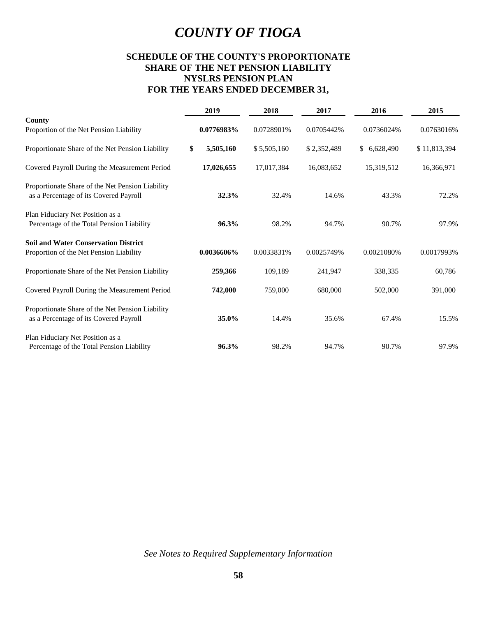## **SCHEDULE OF THE COUNTY'S PROPORTIONATE SHARE OF THE NET PENSION LIABILITY NYSLRS PENSION PLAN FOR THE YEARS ENDED DECEMBER 31,**

|                                                                                            | 2019            | 2018        | 2017        | 2016        | 2015         |
|--------------------------------------------------------------------------------------------|-----------------|-------------|-------------|-------------|--------------|
| County<br>Proportion of the Net Pension Liability                                          | 0.0776983%      | 0.0728901%  | 0.0705442%  | 0.0736024%  | 0.0763016%   |
| Proportionate Share of the Net Pension Liability                                           | \$<br>5,505,160 | \$5,505,160 | \$2,352,489 | \$6,628,490 | \$11,813,394 |
| Covered Payroll During the Measurement Period                                              | 17,026,655      | 17,017,384  | 16,083,652  | 15,319,512  | 16,366,971   |
| Proportionate Share of the Net Pension Liability<br>as a Percentage of its Covered Payroll | 32.3%           | 32.4%       | 14.6%       | 43.3%       | 72.2%        |
| Plan Fiduciary Net Position as a<br>Percentage of the Total Pension Liability              | 96.3%           | 98.2%       | 94.7%       | 90.7%       | 97.9%        |
| <b>Soil and Water Conservation District</b><br>Proportion of the Net Pension Liability     | 0.0036606%      | 0.0033831%  | 0.0025749%  | 0.0021080%  | 0.0017993%   |
| Proportionate Share of the Net Pension Liability                                           | 259,366         | 109,189     | 241,947     | 338,335     | 60,786       |
| Covered Payroll During the Measurement Period                                              | 742,000         | 759,000     | 680,000     | 502,000     | 391,000      |
| Proportionate Share of the Net Pension Liability<br>as a Percentage of its Covered Payroll | 35.0%           | 14.4%       | 35.6%       | 67.4%       | 15.5%        |
| Plan Fiduciary Net Position as a<br>Percentage of the Total Pension Liability              | 96.3%           | 98.2%       | 94.7%       | 90.7%       | 97.9%        |

*See Notes to Required Supplementary Information*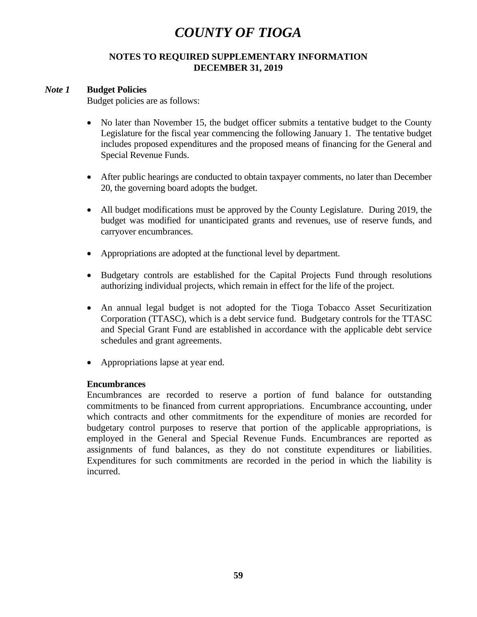### **NOTES TO REQUIRED SUPPLEMENTARY INFORMATION DECEMBER 31, 2019**

## *Note 1* **Budget Policies**

Budget policies are as follows:

- No later than November 15, the budget officer submits a tentative budget to the County Legislature for the fiscal year commencing the following January 1. The tentative budget includes proposed expenditures and the proposed means of financing for the General and Special Revenue Funds.
- After public hearings are conducted to obtain taxpayer comments, no later than December 20, the governing board adopts the budget.
- All budget modifications must be approved by the County Legislature. During 2019, the budget was modified for unanticipated grants and revenues, use of reserve funds, and carryover encumbrances.
- Appropriations are adopted at the functional level by department.
- Budgetary controls are established for the Capital Projects Fund through resolutions authorizing individual projects, which remain in effect for the life of the project.
- An annual legal budget is not adopted for the Tioga Tobacco Asset Securitization Corporation (TTASC), which is a debt service fund. Budgetary controls for the TTASC and Special Grant Fund are established in accordance with the applicable debt service schedules and grant agreements.
- Appropriations lapse at year end.

### **Encumbrances**

Encumbrances are recorded to reserve a portion of fund balance for outstanding commitments to be financed from current appropriations. Encumbrance accounting, under which contracts and other commitments for the expenditure of monies are recorded for budgetary control purposes to reserve that portion of the applicable appropriations, is employed in the General and Special Revenue Funds. Encumbrances are reported as assignments of fund balances, as they do not constitute expenditures or liabilities. Expenditures for such commitments are recorded in the period in which the liability is incurred.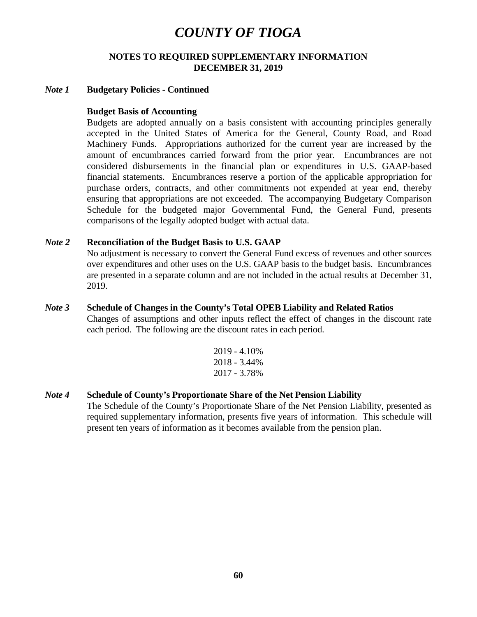#### **NOTES TO REQUIRED SUPPLEMENTARY INFORMATION DECEMBER 31, 2019**

### *Note 1* **Budgetary Policies - Continued**

#### **Budget Basis of Accounting**

Budgets are adopted annually on a basis consistent with accounting principles generally accepted in the United States of America for the General, County Road, and Road Machinery Funds. Appropriations authorized for the current year are increased by the amount of encumbrances carried forward from the prior year. Encumbrances are not considered disbursements in the financial plan or expenditures in U.S. GAAP-based financial statements. Encumbrances reserve a portion of the applicable appropriation for purchase orders, contracts, and other commitments not expended at year end, thereby ensuring that appropriations are not exceeded. The accompanying Budgetary Comparison Schedule for the budgeted major Governmental Fund, the General Fund, presents comparisons of the legally adopted budget with actual data.

### *Note 2* **Reconciliation of the Budget Basis to U.S. GAAP**

No adjustment is necessary to convert the General Fund excess of revenues and other sources over expenditures and other uses on the U.S. GAAP basis to the budget basis. Encumbrances are presented in a separate column and are not included in the actual results at December 31, 2019.

## *Note 3* **Schedule of Changes in the County's Total OPEB Liability and Related Ratios**

Changes of assumptions and other inputs reflect the effect of changes in the discount rate each period. The following are the discount rates in each period.

| $2019 - 4.10\%$ |
|-----------------|
| $2018 - 3.44\%$ |
| 2017 - 3.78%    |

### *Note 4* **Schedule of County's Proportionate Share of the Net Pension Liability**

The Schedule of the County's Proportionate Share of the Net Pension Liability, presented as required supplementary information, presents five years of information. This schedule will present ten years of information as it becomes available from the pension plan.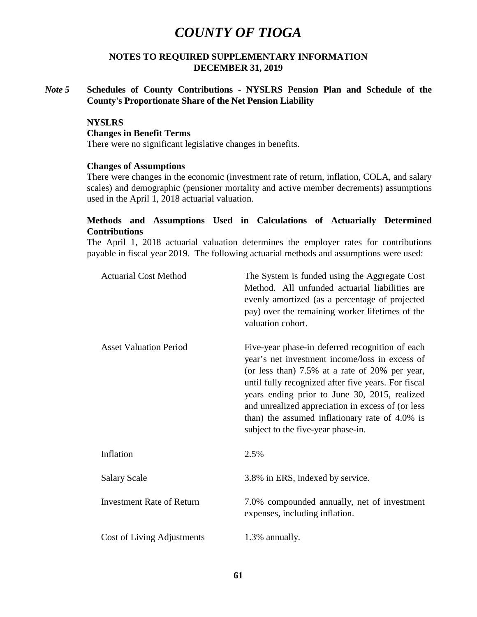#### **NOTES TO REQUIRED SUPPLEMENTARY INFORMATION DECEMBER 31, 2019**

*Note 5* **Schedules of County Contributions - NYSLRS Pension Plan and Schedule of the County's Proportionate Share of the Net Pension Liability** 

#### **NYSLRS**

#### **Changes in Benefit Terms**

There were no significant legislative changes in benefits.

#### **Changes of Assumptions**

There were changes in the economic (investment rate of return, inflation, COLA, and salary scales) and demographic (pensioner mortality and active member decrements) assumptions used in the April 1, 2018 actuarial valuation.

### **Methods and Assumptions Used in Calculations of Actuarially Determined Contributions**

The April 1, 2018 actuarial valuation determines the employer rates for contributions payable in fiscal year 2019. The following actuarial methods and assumptions were used:

| <b>Actuarial Cost Method</b>     | The System is funded using the Aggregate Cost<br>Method. All unfunded actuarial liabilities are<br>evenly amortized (as a percentage of projected<br>pay) over the remaining worker lifetimes of the<br>valuation cohort.                                                                                                                                                                                |
|----------------------------------|----------------------------------------------------------------------------------------------------------------------------------------------------------------------------------------------------------------------------------------------------------------------------------------------------------------------------------------------------------------------------------------------------------|
| <b>Asset Valuation Period</b>    | Five-year phase-in deferred recognition of each<br>year's net investment income/loss in excess of<br>(or less than) 7.5% at a rate of 20% per year,<br>until fully recognized after five years. For fiscal<br>years ending prior to June 30, 2015, realized<br>and unrealized appreciation in excess of (or less<br>than) the assumed inflationary rate of 4.0% is<br>subject to the five-year phase-in. |
| Inflation                        | 2.5%                                                                                                                                                                                                                                                                                                                                                                                                     |
| <b>Salary Scale</b>              | 3.8% in ERS, indexed by service.                                                                                                                                                                                                                                                                                                                                                                         |
| <b>Investment Rate of Return</b> | 7.0% compounded annually, net of investment<br>expenses, including inflation.                                                                                                                                                                                                                                                                                                                            |
| Cost of Living Adjustments       | 1.3% annually.                                                                                                                                                                                                                                                                                                                                                                                           |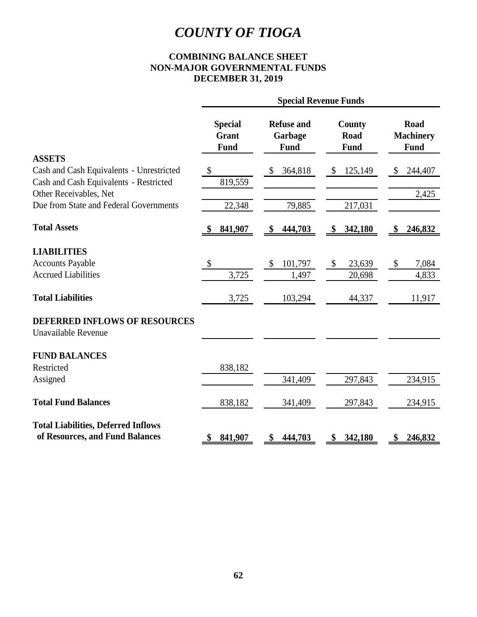## **COMBINING BALANCE SHEET NON-MAJOR GOVERNMENTAL FUNDS DECEMBER 31, 2019**

|                                                                                    | <b>Special Revenue Funds</b>           |                                             |                                      |                                         |  |  |  |
|------------------------------------------------------------------------------------|----------------------------------------|---------------------------------------------|--------------------------------------|-----------------------------------------|--|--|--|
|                                                                                    | <b>Special</b><br>Grant<br><b>Fund</b> | <b>Refuse and</b><br>Garbage<br><b>Fund</b> | County<br>Road<br>Fund               | Road<br><b>Machinery</b><br><b>Fund</b> |  |  |  |
| <b>ASSETS</b>                                                                      |                                        |                                             |                                      |                                         |  |  |  |
| Cash and Cash Equivalents - Unrestricted<br>Cash and Cash Equivalents - Restricted | $\boldsymbol{\mathsf{S}}$<br>819,559   | 364,818                                     | 125,149<br>$\boldsymbol{\mathsf{S}}$ | 244,407<br>S                            |  |  |  |
| Other Receivables, Net                                                             |                                        |                                             |                                      | 2,425                                   |  |  |  |
| Due from State and Federal Governments                                             | 22,348                                 | 79,885                                      | 217,031                              |                                         |  |  |  |
| <b>Total Assets</b>                                                                | 841,907<br>S                           | 444,703<br>\$                               | \$<br>342,180                        | 246,832<br>\$                           |  |  |  |
| <b>LIABILITIES</b>                                                                 |                                        |                                             |                                      |                                         |  |  |  |
| <b>Accounts Payable</b>                                                            | \$                                     | 101,797                                     | 23,639<br>\$                         | 7,084<br>\$                             |  |  |  |
| <b>Accrued Liabilities</b>                                                         | 3,725                                  | 1,497                                       | 20,698                               | 4,833                                   |  |  |  |
| <b>Total Liabilities</b>                                                           | 3,725                                  | 103,294                                     | 44,337                               | 11,917                                  |  |  |  |
| DEFERRED INFLOWS OF RESOURCES<br>Unavailable Revenue                               |                                        |                                             |                                      |                                         |  |  |  |
| <b>FUND BALANCES</b>                                                               |                                        |                                             |                                      |                                         |  |  |  |
| Restricted                                                                         | 838,182                                |                                             |                                      |                                         |  |  |  |
| Assigned                                                                           |                                        | 341,409                                     | 297,843                              | 234,915                                 |  |  |  |
| <b>Total Fund Balances</b>                                                         | 838,182                                | 341,409                                     | 297,843                              | 234,915                                 |  |  |  |
| <b>Total Liabilities, Deferred Inflows</b><br>of Resources, and Fund Balances      | 841,907                                | 444,703<br>\$                               | 342,180<br>\$                        | 246,832                                 |  |  |  |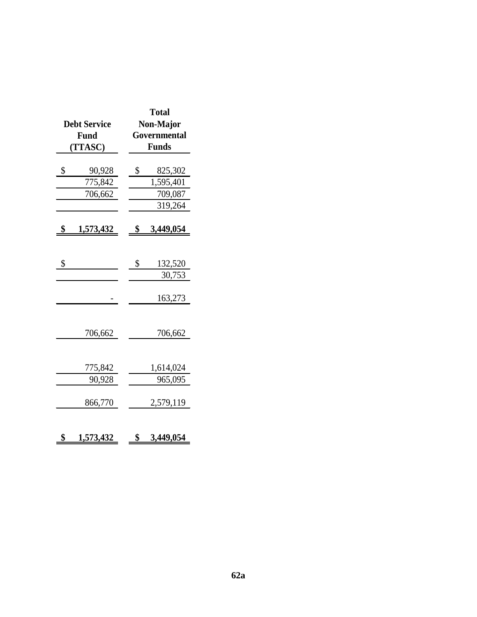|                         | <b>Total</b>    |
|-------------------------|-----------------|
| <b>Debt Service</b>     | Non-Major       |
| Fund                    | Governmental    |
| (TTASC)                 | <b>Funds</b>    |
|                         |                 |
| \$<br>90,928            | \$<br>825,302   |
| 775,842                 | 1,595,401       |
| 706,662                 | 709,087         |
|                         | 319,264         |
|                         |                 |
| \$<br><u>1,573,432 </u> | \$<br>3,449,054 |
|                         |                 |
|                         |                 |
| \$                      | \$<br>132,520   |
|                         | 30,753          |
|                         |                 |
|                         | 163,273         |
|                         |                 |
|                         |                 |
| 706,662                 | 706,662         |
|                         |                 |
|                         |                 |
| 775,842                 | 1,614,024       |
| 90,928                  | 965,095         |
|                         |                 |
| 866,770                 | 2,579,119       |
|                         |                 |
|                         |                 |
| \$<br>1,573,432         | \$<br>3,449,054 |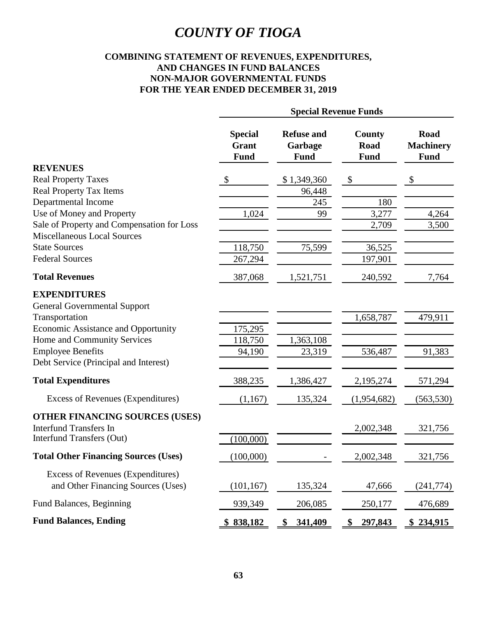## **COMBINING STATEMENT OF REVENUES, EXPENDITURES, AND CHANGES IN FUND BALANCES NON-MAJOR GOVERNMENTAL FUNDS FOR THE YEAR ENDED DECEMBER 31, 2019**

|                                                            |                                        |               | <b>Special Revenue Funds</b><br><b>Refuse and</b><br>County<br>Garbage<br><b>Road</b><br>Fund<br><b>Fund</b><br>\$<br>\$1,349,360<br>96,448<br>180<br>245<br>3,277<br>99<br>2,709<br>75,599<br>36,525<br>197,901<br>1,521,751<br>240,592<br>1,658,787<br>1,363,108<br>536,487<br>23,319<br>1,386,427<br>2,195,274 |                                  |  |  |
|------------------------------------------------------------|----------------------------------------|---------------|-------------------------------------------------------------------------------------------------------------------------------------------------------------------------------------------------------------------------------------------------------------------------------------------------------------------|----------------------------------|--|--|
|                                                            | <b>Special</b><br>Grant<br><b>Fund</b> |               |                                                                                                                                                                                                                                                                                                                   | Road<br><b>Machinery</b><br>Fund |  |  |
| <b>REVENUES</b>                                            |                                        |               |                                                                                                                                                                                                                                                                                                                   |                                  |  |  |
| <b>Real Property Taxes</b>                                 | $\boldsymbol{\mathsf{S}}$              |               |                                                                                                                                                                                                                                                                                                                   | \$                               |  |  |
| <b>Real Property Tax Items</b>                             |                                        |               |                                                                                                                                                                                                                                                                                                                   |                                  |  |  |
| Departmental Income                                        |                                        |               |                                                                                                                                                                                                                                                                                                                   |                                  |  |  |
| Use of Money and Property                                  | 1,024                                  |               |                                                                                                                                                                                                                                                                                                                   | 4,264                            |  |  |
| Sale of Property and Compensation for Loss                 |                                        |               |                                                                                                                                                                                                                                                                                                                   | 3,500                            |  |  |
| <b>Miscellaneous Local Sources</b>                         |                                        |               |                                                                                                                                                                                                                                                                                                                   |                                  |  |  |
| <b>State Sources</b>                                       | 118,750                                |               |                                                                                                                                                                                                                                                                                                                   |                                  |  |  |
| <b>Federal Sources</b>                                     | 267,294                                |               |                                                                                                                                                                                                                                                                                                                   |                                  |  |  |
| <b>Total Revenues</b>                                      | 387,068                                |               |                                                                                                                                                                                                                                                                                                                   | 7,764                            |  |  |
| <b>EXPENDITURES</b><br><b>General Governmental Support</b> |                                        |               |                                                                                                                                                                                                                                                                                                                   |                                  |  |  |
| Transportation                                             |                                        |               |                                                                                                                                                                                                                                                                                                                   | 479,911                          |  |  |
| Economic Assistance and Opportunity                        | 175,295                                |               |                                                                                                                                                                                                                                                                                                                   |                                  |  |  |
| Home and Community Services                                | 118,750                                |               |                                                                                                                                                                                                                                                                                                                   |                                  |  |  |
| <b>Employee Benefits</b>                                   | 94,190                                 |               |                                                                                                                                                                                                                                                                                                                   | 91,383                           |  |  |
| Debt Service (Principal and Interest)                      |                                        |               |                                                                                                                                                                                                                                                                                                                   |                                  |  |  |
| <b>Total Expenditures</b>                                  | 388,235                                |               |                                                                                                                                                                                                                                                                                                                   | 571,294                          |  |  |
| Excess of Revenues (Expenditures)                          | (1,167)                                | 135,324       | (1,954,682)                                                                                                                                                                                                                                                                                                       | (563, 530)                       |  |  |
| <b>OTHER FINANCING SOURCES (USES)</b>                      |                                        |               |                                                                                                                                                                                                                                                                                                                   |                                  |  |  |
| <b>Interfund Transfers In</b>                              |                                        |               | 2,002,348                                                                                                                                                                                                                                                                                                         | 321,756                          |  |  |
| Interfund Transfers (Out)                                  | (100,000)                              |               |                                                                                                                                                                                                                                                                                                                   |                                  |  |  |
| <b>Total Other Financing Sources (Uses)</b>                | (100,000)                              |               | 2,002,348                                                                                                                                                                                                                                                                                                         | 321,756                          |  |  |
| <b>Excess of Revenues (Expenditures)</b>                   |                                        |               |                                                                                                                                                                                                                                                                                                                   |                                  |  |  |
| and Other Financing Sources (Uses)                         | (101, 167)                             | 135,324       | 47,666                                                                                                                                                                                                                                                                                                            | (241,774)                        |  |  |
| Fund Balances, Beginning                                   | 939,349                                | 206,085       | 250,177                                                                                                                                                                                                                                                                                                           | 476,689                          |  |  |
| <b>Fund Balances, Ending</b>                               | \$838,182                              | \$<br>341,409 | 297,843<br>\$                                                                                                                                                                                                                                                                                                     | \$234,915                        |  |  |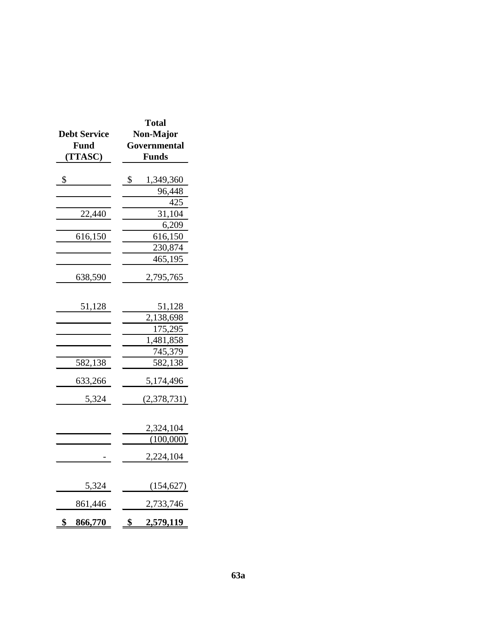|                            | <b>Total</b>               |
|----------------------------|----------------------------|
| <b>Debt Service</b>        | Non-Major                  |
| <b>Fund</b>                | Governmental               |
| (TTASC)                    | <b>Funds</b>               |
|                            |                            |
| $\boldsymbol{\mathcal{S}}$ | $\mathcal{S}$<br>1,349,360 |
|                            | 96,448                     |
|                            | 425                        |
| 22,440                     | 31,104                     |
|                            | 6,209                      |
| 616,150                    | 616,150                    |
|                            | 230,874                    |
|                            | 465,195                    |
| 638,590                    | 2,795,765                  |
|                            |                            |
| 51,128                     | 51,128                     |
|                            | 2,138,698                  |
|                            | 175,295                    |
|                            | 1,481,858                  |
|                            | $\overline{745,379}$       |
| 582,138                    | 582,138                    |
| 633,266                    | 5,174,496                  |
| 5,324                      | (2,378,731)                |
|                            |                            |
|                            |                            |
|                            | 2,324,104                  |
|                            | (100,000)                  |
|                            | 2,224,104                  |
|                            |                            |
| 5,324                      | (154, 627)                 |
| 861,446                    | 2,733,746                  |
| \$<br><u>866,770</u>       | \$<br><u>2,579,119</u>     |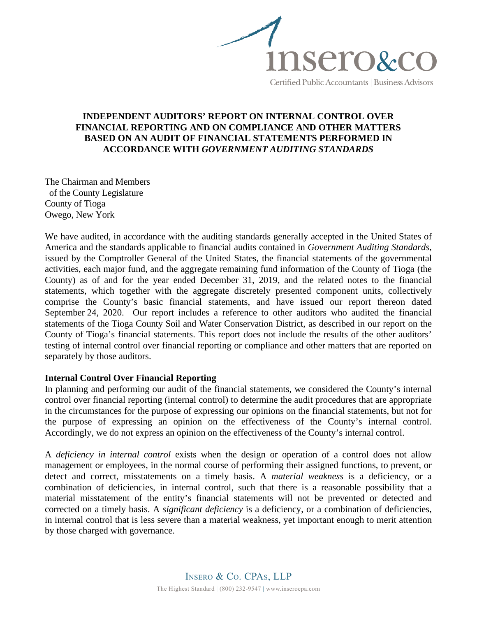

Certified Public Accountants | Business Advisors

## **INDEPENDENT AUDITORS' REPORT ON INTERNAL CONTROL OVER FINANCIAL REPORTING AND ON COMPLIANCE AND OTHER MATTERS BASED ON AN AUDIT OF FINANCIAL STATEMENTS PERFORMED IN ACCORDANCE WITH** *GOVERNMENT AUDITING STANDARDS*

The Chairman and Members of the County Legislature County of Tioga Owego, New York

We have audited, in accordance with the auditing standards generally accepted in the United States of America and the standards applicable to financial audits contained in *Government Auditing Standards*, issued by the Comptroller General of the United States, the financial statements of the governmental activities, each major fund, and the aggregate remaining fund information of the County of Tioga (the County) as of and for the year ended December 31, 2019, and the related notes to the financial statements, which together with the aggregate discretely presented component units, collectively comprise the County's basic financial statements, and have issued our report thereon dated September 24, 2020. Our report includes a reference to other auditors who audited the financial statements of the Tioga County Soil and Water Conservation District, as described in our report on the County of Tioga's financial statements. This report does not include the results of the other auditors' testing of internal control over financial reporting or compliance and other matters that are reported on separately by those auditors.

#### **Internal Control Over Financial Reporting**

In planning and performing our audit of the financial statements, we considered the County's internal control over financial reporting (internal control) to determine the audit procedures that are appropriate in the circumstances for the purpose of expressing our opinions on the financial statements, but not for the purpose of expressing an opinion on the effectiveness of the County's internal control. Accordingly, we do not express an opinion on the effectiveness of the County's internal control.

A *deficiency in internal control* exists when the design or operation of a control does not allow management or employees, in the normal course of performing their assigned functions, to prevent, or detect and correct, misstatements on a timely basis. A *material weakness* is a deficiency, or a combination of deficiencies, in internal control, such that there is a reasonable possibility that a material misstatement of the entity's financial statements will not be prevented or detected and corrected on a timely basis. A *significant deficiency* is a deficiency, or a combination of deficiencies, in internal control that is less severe than a material weakness, yet important enough to merit attention by those charged with governance.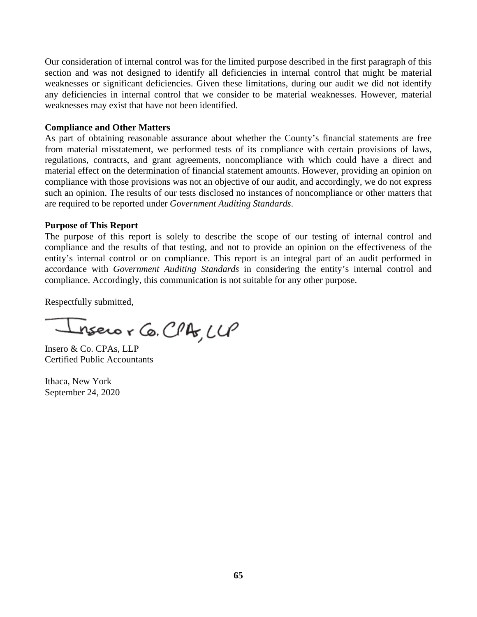Our consideration of internal control was for the limited purpose described in the first paragraph of this section and was not designed to identify all deficiencies in internal control that might be material weaknesses or significant deficiencies. Given these limitations, during our audit we did not identify any deficiencies in internal control that we consider to be material weaknesses. However, material weaknesses may exist that have not been identified.

### **Compliance and Other Matters**

As part of obtaining reasonable assurance about whether the County's financial statements are free from material misstatement, we performed tests of its compliance with certain provisions of laws, regulations, contracts, and grant agreements, noncompliance with which could have a direct and material effect on the determination of financial statement amounts. However, providing an opinion on compliance with those provisions was not an objective of our audit, and accordingly, we do not express such an opinion. The results of our tests disclosed no instances of noncompliance or other matters that are required to be reported under *Government Auditing Standards*.

## **Purpose of This Report**

The purpose of this report is solely to describe the scope of our testing of internal control and compliance and the results of that testing, and not to provide an opinion on the effectiveness of the entity's internal control or on compliance. This report is an integral part of an audit performed in accordance with *Government Auditing Standards* in considering the entity's internal control and compliance. Accordingly, this communication is not suitable for any other purpose.

Respectfully submitted,

nsero r Co. CPA, LLP

Insero & Co. CPAs, LLP Certified Public Accountants

Ithaca, New York September 24, 2020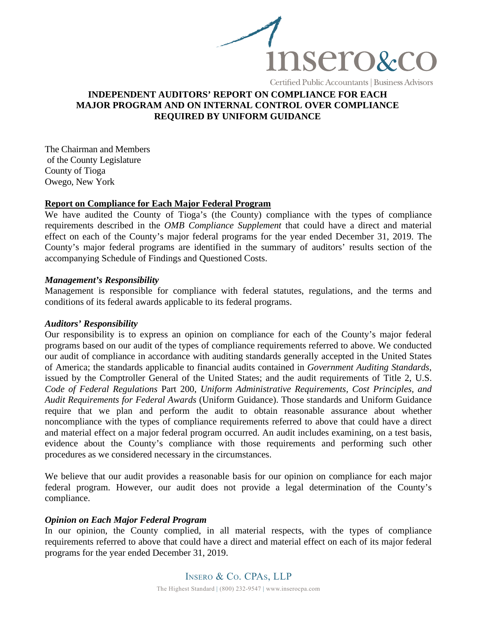

Certified Public Accountants | Business Advisors

## **INDEPENDENT AUDITORS' REPORT ON COMPLIANCE FOR EACH MAJOR PROGRAM AND ON INTERNAL CONTROL OVER COMPLIANCE REQUIRED BY UNIFORM GUIDANCE**

The Chairman and Members of the County Legislature County of Tioga Owego, New York

#### **Report on Compliance for Each Major Federal Program**

We have audited the County of Tioga's (the County) compliance with the types of compliance requirements described in the *OMB Compliance Supplement* that could have a direct and material effect on each of the County's major federal programs for the year ended December 31, 2019. The County's major federal programs are identified in the summary of auditors' results section of the accompanying Schedule of Findings and Questioned Costs.

### *Management's Responsibility*

Management is responsible for compliance with federal statutes, regulations, and the terms and conditions of its federal awards applicable to its federal programs.

### *Auditors' Responsibility*

Our responsibility is to express an opinion on compliance for each of the County's major federal programs based on our audit of the types of compliance requirements referred to above. We conducted our audit of compliance in accordance with auditing standards generally accepted in the United States of America; the standards applicable to financial audits contained in *Government Auditing Standards*, issued by the Comptroller General of the United States; and the audit requirements of Title 2, U.S. *Code of Federal Regulations* Part 200, *Uniform Administrative Requirements, Cost Principles, and Audit Requirements for Federal Awards* (Uniform Guidance). Those standards and Uniform Guidance require that we plan and perform the audit to obtain reasonable assurance about whether noncompliance with the types of compliance requirements referred to above that could have a direct and material effect on a major federal program occurred. An audit includes examining, on a test basis, evidence about the County's compliance with those requirements and performing such other procedures as we considered necessary in the circumstances.

We believe that our audit provides a reasonable basis for our opinion on compliance for each major federal program. However, our audit does not provide a legal determination of the County's compliance.

### *Opinion on Each Major Federal Program*

In our opinion, the County complied, in all material respects, with the types of compliance requirements referred to above that could have a direct and material effect on each of its major federal programs for the year ended December 31, 2019.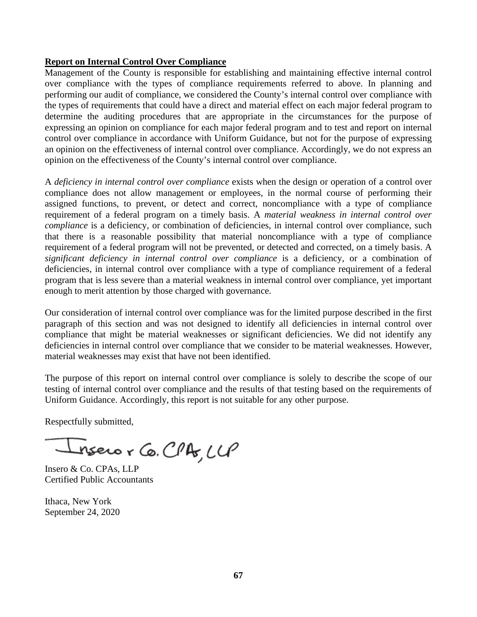## **Report on Internal Control Over Compliance**

Management of the County is responsible for establishing and maintaining effective internal control over compliance with the types of compliance requirements referred to above. In planning and performing our audit of compliance, we considered the County's internal control over compliance with the types of requirements that could have a direct and material effect on each major federal program to determine the auditing procedures that are appropriate in the circumstances for the purpose of expressing an opinion on compliance for each major federal program and to test and report on internal control over compliance in accordance with Uniform Guidance, but not for the purpose of expressing an opinion on the effectiveness of internal control over compliance. Accordingly, we do not express an opinion on the effectiveness of the County's internal control over compliance.

A *deficiency in internal control over compliance* exists when the design or operation of a control over compliance does not allow management or employees, in the normal course of performing their assigned functions, to prevent, or detect and correct, noncompliance with a type of compliance requirement of a federal program on a timely basis. A *material weakness in internal control over compliance* is a deficiency, or combination of deficiencies, in internal control over compliance, such that there is a reasonable possibility that material noncompliance with a type of compliance requirement of a federal program will not be prevented, or detected and corrected, on a timely basis. A *significant deficiency in internal control over compliance* is a deficiency, or a combination of deficiencies, in internal control over compliance with a type of compliance requirement of a federal program that is less severe than a material weakness in internal control over compliance, yet important enough to merit attention by those charged with governance.

Our consideration of internal control over compliance was for the limited purpose described in the first paragraph of this section and was not designed to identify all deficiencies in internal control over compliance that might be material weaknesses or significant deficiencies. We did not identify any deficiencies in internal control over compliance that we consider to be material weaknesses. However, material weaknesses may exist that have not been identified.

The purpose of this report on internal control over compliance is solely to describe the scope of our testing of internal control over compliance and the results of that testing based on the requirements of Uniform Guidance. Accordingly, this report is not suitable for any other purpose.

Respectfully submitted,

nsero r Co. CPA, LLP

Insero & Co. CPAs, LLP Certified Public Accountants

Ithaca, New York September 24, 2020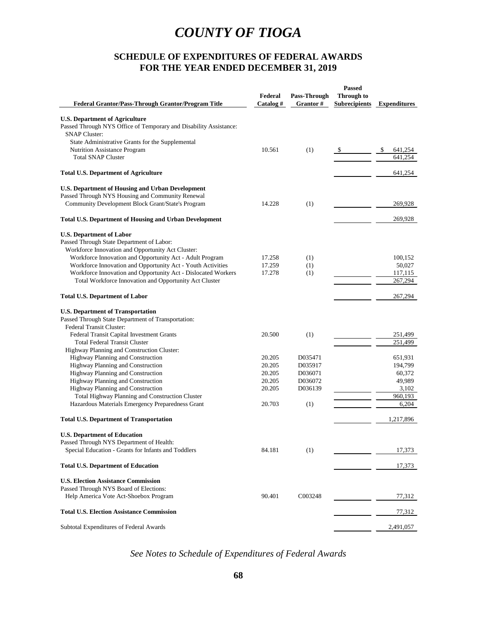## **SCHEDULE OF EXPENDITURES OF FEDERAL AWARDS FOR THE YEAR ENDED DECEMBER 31, 2019**

| Federal Grantor/Pass-Through Grantor/Program Title                                                            | Federal<br>Catalog# | Pass-Through<br>Grantor # | <b>Passed</b><br>Through to<br><b>Subrecipients</b> | <b>Expenditures</b> |
|---------------------------------------------------------------------------------------------------------------|---------------------|---------------------------|-----------------------------------------------------|---------------------|
| <b>U.S. Department of Agriculture</b>                                                                         |                     |                           |                                                     |                     |
| Passed Through NYS Office of Temporary and Disability Assistance:                                             |                     |                           |                                                     |                     |
| <b>SNAP Cluster:</b>                                                                                          |                     |                           |                                                     |                     |
| State Administrative Grants for the Supplemental                                                              |                     |                           |                                                     |                     |
| Nutrition Assistance Program                                                                                  | 10.561              | (1)                       |                                                     | \$<br>641,254       |
| <b>Total SNAP Cluster</b>                                                                                     |                     |                           |                                                     | 641,254             |
| <b>Total U.S. Department of Agriculture</b>                                                                   |                     |                           |                                                     | 641,254             |
| <b>U.S. Department of Housing and Urban Development</b>                                                       |                     |                           |                                                     |                     |
| Passed Through NYS Housing and Community Renewal                                                              |                     |                           |                                                     |                     |
| Community Development Block Grant/State's Program                                                             | 14.228              | (1)                       |                                                     | 269,928             |
| <b>Total U.S. Department of Housing and Urban Development</b>                                                 |                     |                           |                                                     | 269,928             |
|                                                                                                               |                     |                           |                                                     |                     |
| <b>U.S. Department of Labor</b>                                                                               |                     |                           |                                                     |                     |
| Passed Through State Department of Labor:                                                                     |                     |                           |                                                     |                     |
| Workforce Innovation and Opportunity Act Cluster:<br>Workforce Innovation and Opportunity Act - Adult Program | 17.258              | (1)                       |                                                     | 100,152             |
| Workforce Innovation and Opportunity Act - Youth Activities                                                   | 17.259              | (1)                       |                                                     | 50,027              |
| Workforce Innovation and Opportunity Act - Dislocated Workers                                                 | 17.278              | (1)                       |                                                     | 117,115             |
| Total Workforce Innovation and Opportunity Act Cluster                                                        |                     |                           |                                                     | 267,294             |
| <b>Total U.S. Department of Labor</b>                                                                         |                     |                           |                                                     | 267,294             |
|                                                                                                               |                     |                           |                                                     |                     |
| <b>U.S. Department of Transportation</b>                                                                      |                     |                           |                                                     |                     |
| Passed Through State Department of Transportation:                                                            |                     |                           |                                                     |                     |
| <b>Federal Transit Cluster:</b>                                                                               |                     |                           |                                                     |                     |
| Federal Transit Capital Investment Grants<br><b>Total Federal Transit Cluster</b>                             | 20.500              | (1)                       |                                                     | 251,499<br>251,499  |
| Highway Planning and Construction Cluster:                                                                    |                     |                           |                                                     |                     |
| Highway Planning and Construction                                                                             | 20.205              | D035471                   |                                                     | 651,931             |
| Highway Planning and Construction                                                                             | 20.205              | D035917                   |                                                     | 194,799             |
| Highway Planning and Construction                                                                             | 20.205              | D036071                   |                                                     | 60,372              |
| Highway Planning and Construction                                                                             | 20.205              | D036072                   |                                                     | 49,989              |
| Highway Planning and Construction                                                                             | 20.205              | D036139                   |                                                     | 3,102               |
| Total Highway Planning and Construction Cluster                                                               |                     |                           |                                                     | 960,193             |
| Hazardous Materials Emergency Preparedness Grant                                                              | 20.703              | (1)                       |                                                     | 6,204               |
| <b>Total U.S. Department of Transportation</b>                                                                |                     |                           |                                                     | 1,217,896           |
| <b>U.S. Department of Education</b>                                                                           |                     |                           |                                                     |                     |
| Passed Through NYS Department of Health:                                                                      |                     |                           |                                                     |                     |
| Special Education - Grants for Infants and Toddlers                                                           | 84.181              | (1)                       |                                                     | 17,373              |
| <b>Total U.S. Department of Education</b>                                                                     |                     |                           |                                                     | 17,373              |
|                                                                                                               |                     |                           |                                                     |                     |
| <b>U.S. Election Assistance Commission</b>                                                                    |                     |                           |                                                     |                     |
| Passed Through NYS Board of Elections:<br>Help America Vote Act-Shoebox Program                               | 90.401              | C003248                   |                                                     | 77,312              |
|                                                                                                               |                     |                           |                                                     |                     |
| <b>Total U.S. Election Assistance Commission</b>                                                              |                     |                           |                                                     | 77,312              |
| Subtotal Expenditures of Federal Awards                                                                       |                     |                           |                                                     | 2,491,057           |

## *See Notes to Schedule of Expenditures of Federal Awards*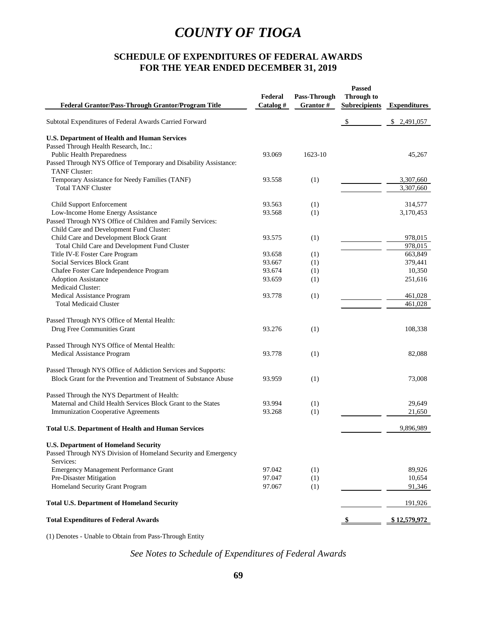## **SCHEDULE OF EXPENDITURES OF FEDERAL AWARDS FOR THE YEAR ENDED DECEMBER 31, 2019**

| Federal Grantor/Pass-Through Grantor/Program Title                                                                             | Federal<br>Catalog # | Pass-Through<br>Grantor# | <b>Passed</b><br>Through to<br><b>Subrecipients</b> | <b>Expenditures</b>    |
|--------------------------------------------------------------------------------------------------------------------------------|----------------------|--------------------------|-----------------------------------------------------|------------------------|
| Subtotal Expenditures of Federal Awards Carried Forward                                                                        |                      |                          | \$                                                  | \$<br>2,491,057        |
| <b>U.S. Department of Health and Human Services</b>                                                                            |                      |                          |                                                     |                        |
| Passed Through Health Research, Inc.:                                                                                          |                      |                          |                                                     |                        |
| <b>Public Health Preparedness</b><br>Passed Through NYS Office of Temporary and Disability Assistance:<br><b>TANF Cluster:</b> | 93.069               | 1623-10                  |                                                     | 45,267                 |
| Temporary Assistance for Needy Families (TANF)<br><b>Total TANF Cluster</b>                                                    | 93.558               | (1)                      |                                                     | 3,307,660<br>3,307,660 |
| Child Support Enforcement                                                                                                      | 93.563               | (1)                      |                                                     | 314,577                |
| Low-Income Home Energy Assistance                                                                                              | 93.568               | (1)                      |                                                     | 3,170,453              |
| Passed Through NYS Office of Children and Family Services:<br>Child Care and Development Fund Cluster:                         |                      |                          |                                                     |                        |
| Child Care and Development Block Grant                                                                                         | 93.575               | (1)                      |                                                     | 978,015                |
| Total Child Care and Development Fund Cluster                                                                                  |                      |                          |                                                     | 978,015                |
| Title IV-E Foster Care Program                                                                                                 | 93.658               | (1)                      |                                                     | 663,849                |
| Social Services Block Grant                                                                                                    | 93.667               | (1)                      |                                                     | 379,441                |
| Chafee Foster Care Independence Program                                                                                        | 93.674<br>93.659     | (1)                      |                                                     | 10,350                 |
| <b>Adoption Assistance</b><br>Medicaid Cluster:                                                                                |                      | (1)                      |                                                     | 251,616                |
| <b>Medical Assistance Program</b>                                                                                              | 93.778               | (1)                      |                                                     | 461,028                |
| <b>Total Medicaid Cluster</b>                                                                                                  |                      |                          |                                                     | 461.028                |
| Passed Through NYS Office of Mental Health:                                                                                    |                      |                          |                                                     |                        |
| Drug Free Communities Grant                                                                                                    | 93.276               | (1)                      |                                                     | 108,338                |
| Passed Through NYS Office of Mental Health:                                                                                    |                      |                          |                                                     |                        |
| Medical Assistance Program                                                                                                     | 93.778               | (1)                      |                                                     | 82,088                 |
|                                                                                                                                |                      |                          |                                                     |                        |
| Passed Through NYS Office of Addiction Services and Supports:                                                                  |                      |                          |                                                     |                        |
| Block Grant for the Prevention and Treatment of Substance Abuse                                                                | 93.959               | (1)                      |                                                     | 73,008                 |
| Passed Through the NYS Department of Health:                                                                                   |                      |                          |                                                     |                        |
| Maternal and Child Health Services Block Grant to the States                                                                   | 93.994               | (1)                      |                                                     | 29,649                 |
| Immunization Cooperative Agreements                                                                                            | 93.268               | (1)                      |                                                     | 21,650                 |
| <b>Total U.S. Department of Health and Human Services</b>                                                                      |                      |                          |                                                     | 9,896,989              |
| <b>U.S. Department of Homeland Security</b><br>Passed Through NYS Division of Homeland Security and Emergency<br>Services:     |                      |                          |                                                     |                        |
| <b>Emergency Management Performance Grant</b>                                                                                  | 97.042               | (1)                      |                                                     | 89,926                 |
| Pre-Disaster Mitigation                                                                                                        | 97.047               | (1)                      |                                                     | 10,654                 |
| Homeland Security Grant Program                                                                                                | 97.067               | (1)                      |                                                     | 91,346                 |
| <b>Total U.S. Department of Homeland Security</b>                                                                              |                      |                          |                                                     | 191,926                |
| <b>Total Expenditures of Federal Awards</b>                                                                                    |                      |                          |                                                     | \$12,579,972           |

(1) Denotes - Unable to Obtain from Pass-Through Entity

*See Notes to Schedule of Expenditures of Federal Awards*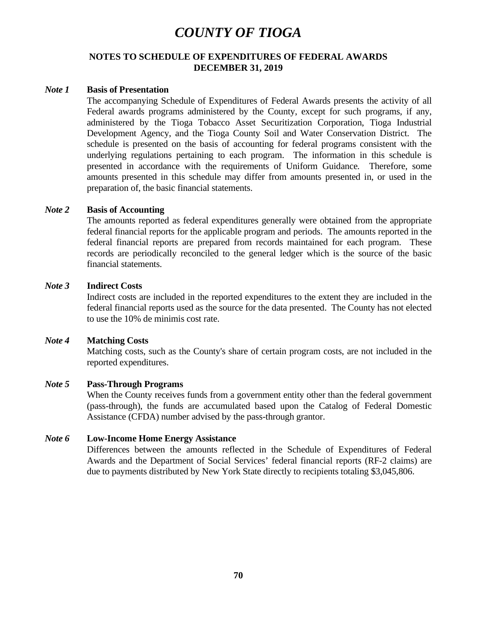#### **NOTES TO SCHEDULE OF EXPENDITURES OF FEDERAL AWARDS DECEMBER 31, 2019**

#### *Note 1* **Basis of Presentation**

The accompanying Schedule of Expenditures of Federal Awards presents the activity of all Federal awards programs administered by the County, except for such programs, if any, administered by the Tioga Tobacco Asset Securitization Corporation, Tioga Industrial Development Agency, and the Tioga County Soil and Water Conservation District. The schedule is presented on the basis of accounting for federal programs consistent with the underlying regulations pertaining to each program. The information in this schedule is presented in accordance with the requirements of Uniform Guidance*.* Therefore, some amounts presented in this schedule may differ from amounts presented in, or used in the preparation of, the basic financial statements.

### *Note 2* **Basis of Accounting**

The amounts reported as federal expenditures generally were obtained from the appropriate federal financial reports for the applicable program and periods. The amounts reported in the federal financial reports are prepared from records maintained for each program. These records are periodically reconciled to the general ledger which is the source of the basic financial statements.

#### *Note 3* **Indirect Costs**

Indirect costs are included in the reported expenditures to the extent they are included in the federal financial reports used as the source for the data presented. The County has not elected to use the 10% de minimis cost rate.

### *Note 4* **Matching Costs**

Matching costs, such as the County's share of certain program costs, are not included in the reported expenditures.

### *Note 5* **Pass-Through Programs**

When the County receives funds from a government entity other than the federal government (pass-through), the funds are accumulated based upon the Catalog of Federal Domestic Assistance (CFDA) number advised by the pass-through grantor.

### *Note 6* **Low-Income Home Energy Assistance**

Differences between the amounts reflected in the Schedule of Expenditures of Federal Awards and the Department of Social Services' federal financial reports (RF-2 claims) are due to payments distributed by New York State directly to recipients totaling \$3,045,806.